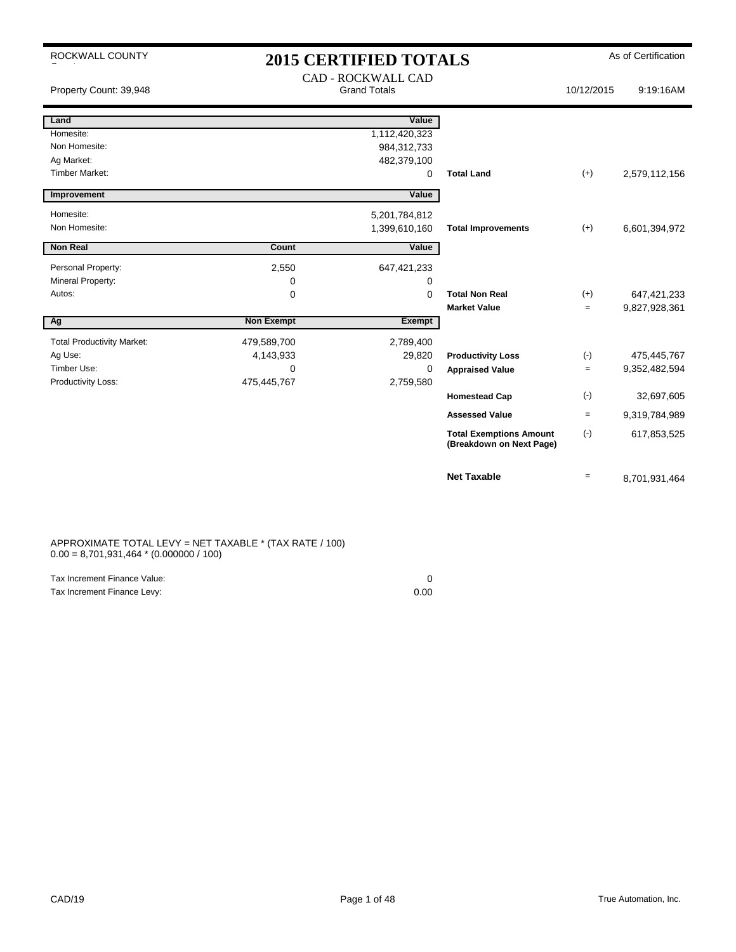| ROCKWALL COUNTY                   | <b>2015 CERTIFIED TOTALS</b> |                                                  |                                                            |            | As of Certification |
|-----------------------------------|------------------------------|--------------------------------------------------|------------------------------------------------------------|------------|---------------------|
| Property Count: 39,948            |                              | <b>CAD - ROCKWALL CAD</b><br><b>Grand Totals</b> |                                                            | 10/12/2015 | 9:19:16AM           |
| Land                              |                              | Value                                            |                                                            |            |                     |
| Homesite:                         |                              | 1,112,420,323                                    |                                                            |            |                     |
| Non Homesite:                     |                              | 984,312,733                                      |                                                            |            |                     |
| Ag Market:                        |                              | 482,379,100                                      |                                                            |            |                     |
| <b>Timber Market:</b>             |                              | $\mathbf 0$                                      | <b>Total Land</b>                                          | $(+)$      | 2,579,112,156       |
| Improvement                       |                              | Value                                            |                                                            |            |                     |
| Homesite:                         |                              | 5,201,784,812                                    |                                                            |            |                     |
| Non Homesite:                     |                              | 1,399,610,160                                    | <b>Total Improvements</b>                                  | $(+)$      | 6,601,394,972       |
| <b>Non Real</b>                   | Count                        | Value                                            |                                                            |            |                     |
|                                   |                              |                                                  |                                                            |            |                     |
| Personal Property:                | 2,550                        | 647,421,233                                      |                                                            |            |                     |
| Mineral Property:                 | 0                            | 0                                                |                                                            |            |                     |
| Autos:                            | 0                            | $\mathbf 0$                                      | <b>Total Non Real</b>                                      | $(+)$      | 647,421,233         |
|                                   |                              |                                                  | <b>Market Value</b>                                        | $=$        | 9,827,928,361       |
| Ag                                | <b>Non Exempt</b>            | Exempt                                           |                                                            |            |                     |
| <b>Total Productivity Market:</b> | 479,589,700                  | 2,789,400                                        |                                                            |            |                     |
| Ag Use:                           | 4,143,933                    | 29,820                                           | <b>Productivity Loss</b>                                   | $(\cdot)$  | 475,445,767         |
| Timber Use:                       | 0                            | $\mathbf 0$                                      | <b>Appraised Value</b>                                     | $=$        | 9,352,482,594       |
| Productivity Loss:                | 475,445,767                  | 2,759,580                                        |                                                            |            |                     |
|                                   |                              |                                                  | <b>Homestead Cap</b>                                       | $(-)$      | 32,697,605          |
|                                   |                              |                                                  | <b>Assessed Value</b>                                      | $=$        | 9,319,784,989       |
|                                   |                              |                                                  | <b>Total Exemptions Amount</b><br>(Breakdown on Next Page) | $(-)$      | 617,853,525         |
|                                   |                              |                                                  | <b>Net Taxable</b>                                         | $=$        | 8,701,931,464       |

APPROXIMATE TOTAL LEVY = NET TAXABLE \* (TAX RATE / 100)  $0.00 = 8,701,931,464 * (0.000000 / 100)$ 

| Tax Increment Finance Value: |      |
|------------------------------|------|
| Tax Increment Finance Levy:  | 0.00 |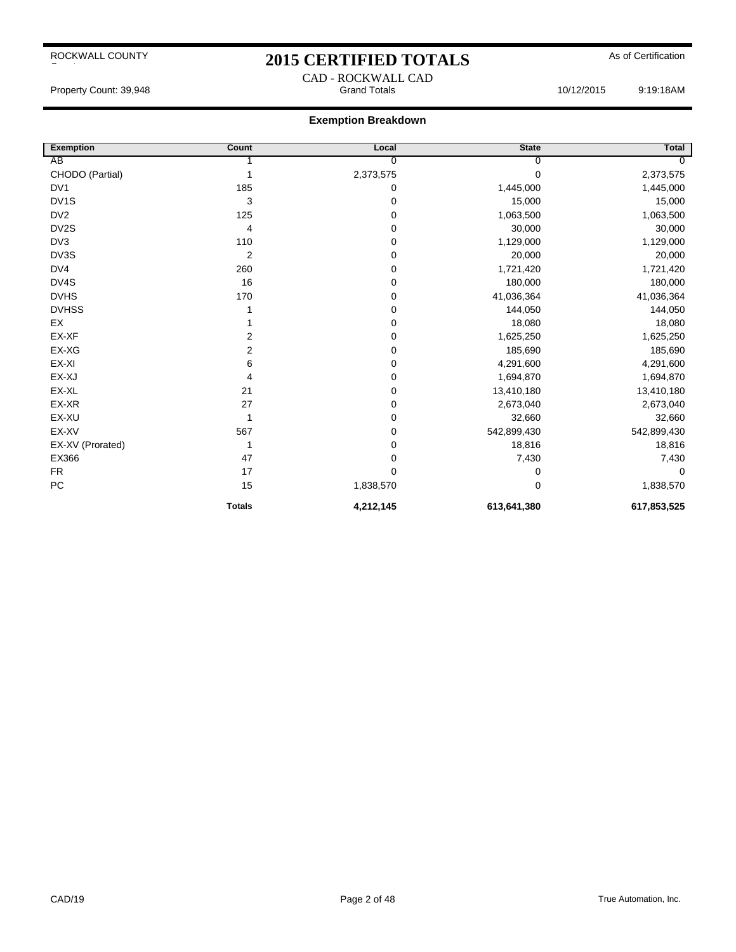## 2015 CERTIFIED TOTALS As of Certification CAD - ROCKWALL CAD

Property Count: 39,948 Grand Totals 10/12/2015 9:19:18AM

| <b>Exemption</b>  | Count          | Local     | <b>State</b> | Total       |
|-------------------|----------------|-----------|--------------|-------------|
| AB                |                | 0         | 0            |             |
| CHODO (Partial)   |                | 2,373,575 | $\Omega$     | 2,373,575   |
| DV <sub>1</sub>   | 185            | 0         | 1,445,000    | 1,445,000   |
| DV <sub>1</sub> S | 3              | 0         | 15,000       | 15,000      |
| DV <sub>2</sub>   | 125            | 0         | 1,063,500    | 1,063,500   |
| DV2S              | 4              | 0         | 30,000       | 30,000      |
| DV <sub>3</sub>   | 110            | 0         | 1,129,000    | 1,129,000   |
| DV3S              | $\overline{2}$ | 0         | 20,000       | 20,000      |
| DV4               | 260            | 0         | 1,721,420    | 1,721,420   |
| DV4S              | 16             | 0         | 180,000      | 180,000     |
| <b>DVHS</b>       | 170            | 0         | 41,036,364   | 41,036,364  |
| <b>DVHSS</b>      |                | 0         | 144,050      | 144,050     |
| EX                |                | 0         | 18,080       | 18,080      |
| EX-XF             | 2              | 0         | 1,625,250    | 1,625,250   |
| EX-XG             | 2              | 0         | 185,690      | 185,690     |
| EX-XI             | 6              | 0         | 4,291,600    | 4,291,600   |
| EX-XJ             | 4              | 0         | 1,694,870    | 1,694,870   |
| EX-XL             | 21             | 0         | 13,410,180   | 13,410,180  |
| EX-XR             | 27             | 0         | 2,673,040    | 2,673,040   |
| EX-XU             | 1              | 0         | 32,660       | 32,660      |
| EX-XV             | 567            | 0         | 542,899,430  | 542,899,430 |
| EX-XV (Prorated)  | 1              | 0         | 18,816       | 18,816      |
| EX366             | 47             | 0         | 7,430        | 7,430       |
| <b>FR</b>         | 17             | 0         | 0            | $\mathbf 0$ |
| PC                | 15             | 1,838,570 | $\Omega$     | 1,838,570   |
|                   | <b>Totals</b>  | 4,212,145 | 613,641,380  | 617,853,525 |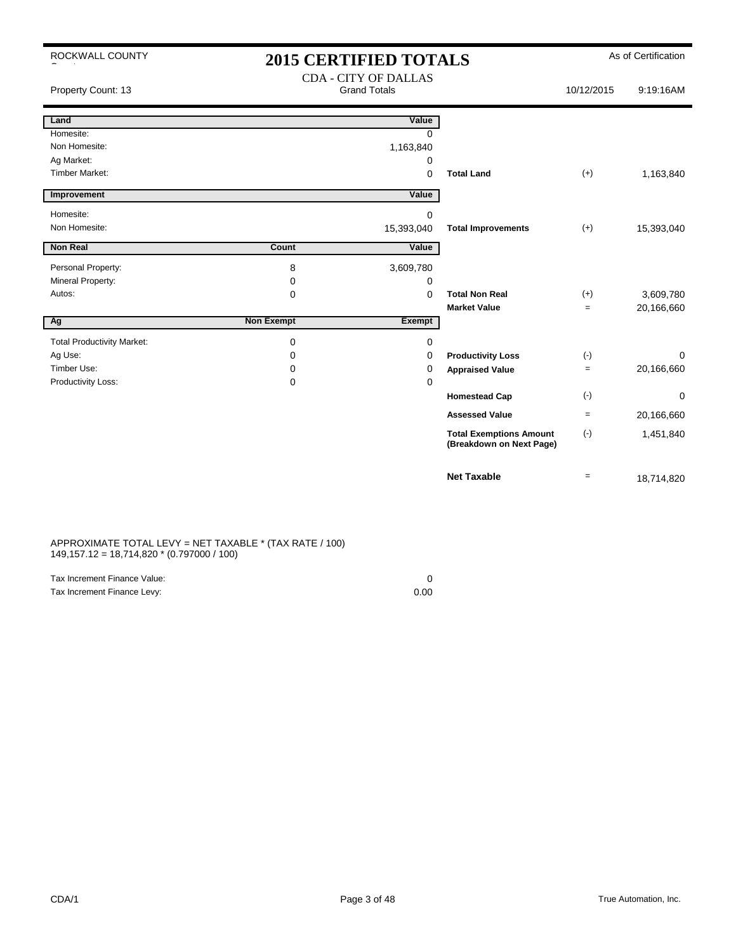| ROCKWALL COUNTY                   | <b>2015 CERTIFIED TOTALS</b> |                                                    |                                                            |            | As of Certification |
|-----------------------------------|------------------------------|----------------------------------------------------|------------------------------------------------------------|------------|---------------------|
| Property Count: 13                |                              | <b>CDA - CITY OF DALLAS</b><br><b>Grand Totals</b> |                                                            | 10/12/2015 | 9:19:16AM           |
| Land                              |                              | Value                                              |                                                            |            |                     |
| Homesite:                         |                              | $\Omega$                                           |                                                            |            |                     |
| Non Homesite:                     |                              | 1,163,840                                          |                                                            |            |                     |
| Ag Market:                        |                              | 0                                                  |                                                            |            |                     |
| <b>Timber Market:</b>             |                              | 0                                                  | <b>Total Land</b>                                          | $(+)$      | 1,163,840           |
| Improvement                       |                              | Value                                              |                                                            |            |                     |
| Homesite:                         |                              | $\Omega$                                           |                                                            |            |                     |
| Non Homesite:                     |                              | 15,393,040                                         | <b>Total Improvements</b>                                  | $(+)$      | 15,393,040          |
| <b>Non Real</b>                   | Count                        | Value                                              |                                                            |            |                     |
| Personal Property:                | 8                            | 3,609,780                                          |                                                            |            |                     |
| Mineral Property:                 | 0                            | 0                                                  |                                                            |            |                     |
| Autos:                            | 0                            | 0                                                  | <b>Total Non Real</b>                                      | $(+)$      | 3,609,780           |
|                                   |                              |                                                    | <b>Market Value</b>                                        | $\equiv$   | 20,166,660          |
| Ag                                | <b>Non Exempt</b>            | <b>Exempt</b>                                      |                                                            |            |                     |
| <b>Total Productivity Market:</b> | $\mathbf 0$                  | 0                                                  |                                                            |            |                     |
| Ag Use:                           | 0                            | 0                                                  | <b>Productivity Loss</b>                                   | $(\cdot)$  | $\Omega$            |
| Timber Use:                       | 0                            | 0                                                  | <b>Appraised Value</b>                                     | $\equiv$   | 20,166,660          |
| Productivity Loss:                | 0                            | $\mathbf 0$                                        |                                                            |            |                     |
|                                   |                              |                                                    | <b>Homestead Cap</b>                                       | $(\cdot)$  | $\Omega$            |
|                                   |                              |                                                    | <b>Assessed Value</b>                                      | $\equiv$   | 20,166,660          |
|                                   |                              |                                                    | <b>Total Exemptions Amount</b><br>(Breakdown on Next Page) | $(-)$      | 1,451,840           |
|                                   |                              |                                                    | <b>Net Taxable</b>                                         | $=$        | 18,714,820          |

#### APPROXIMATE TOTAL LEVY = NET TAXABLE \* (TAX RATE / 100) 149,157.12 = 18,714,820 \* (0.797000 / 100)

| Tax Increment Finance Value: |      |
|------------------------------|------|
| Tax Increment Finance Levy:  | 0.00 |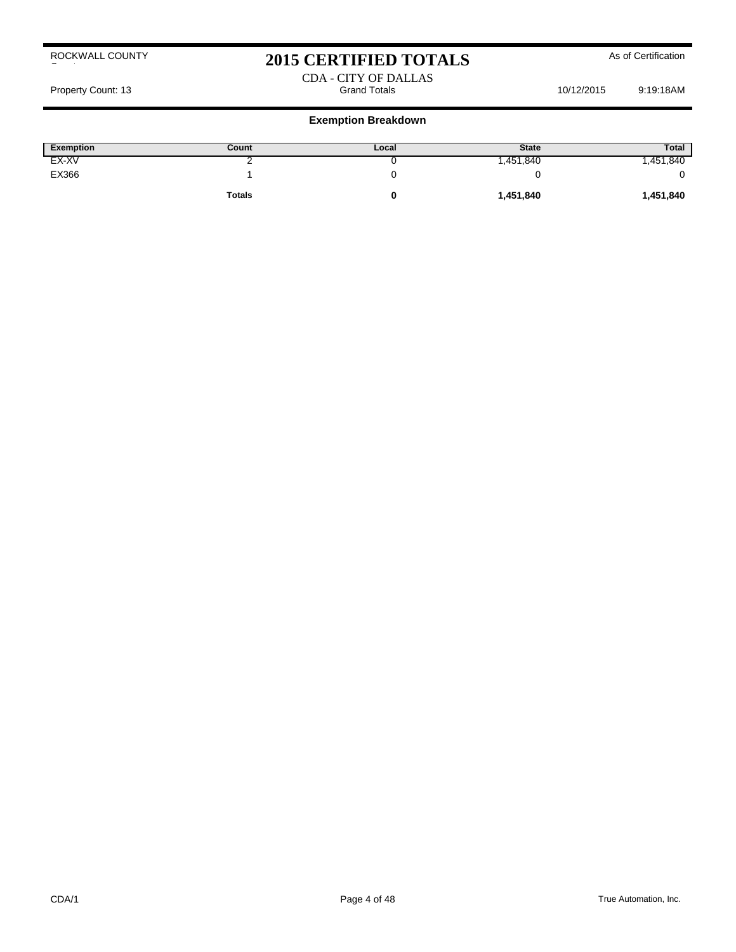# 2015 CERTIFIED TOTALS As of Certification

#### CDA - CITY OF DALLAS Property Count: 13 **Property Count: 13** Crand Totals 10/12/2015 9:19:18AM

| <b>Exemption</b> | Count         | Local | <b>State</b> | <b>Total</b> |
|------------------|---------------|-------|--------------|--------------|
| EX-XV            |               |       | .451,840     | ,451,840     |
| EX366            |               |       |              |              |
|                  | <b>Totals</b> |       | 1,451,840    | 1,451,840    |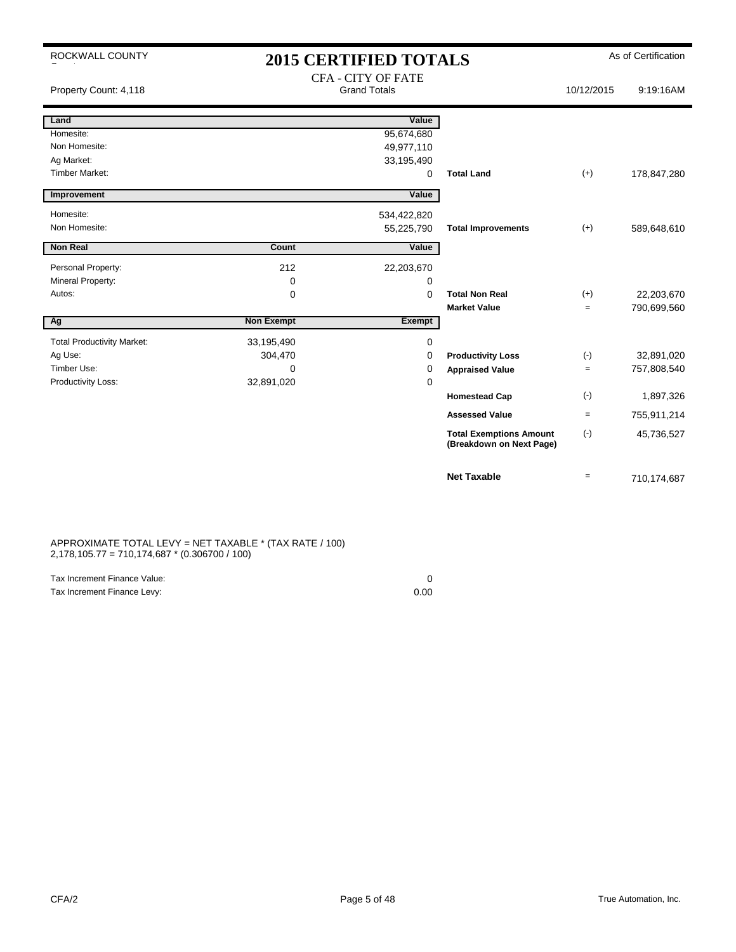| ROCKWALL COUNTY                   |                   | <b>2015 CERTIFIED TOTALS</b> |                                                            |                   | As of Certification |
|-----------------------------------|-------------------|------------------------------|------------------------------------------------------------|-------------------|---------------------|
|                                   |                   | <b>CFA - CITY OF FATE</b>    |                                                            |                   |                     |
| Property Count: 4,118             |                   | <b>Grand Totals</b>          |                                                            | 10/12/2015        | 9:19:16AM           |
|                                   |                   |                              |                                                            |                   |                     |
| Land                              |                   | Value                        |                                                            |                   |                     |
| Homesite:                         |                   | 95,674,680                   |                                                            |                   |                     |
| Non Homesite:                     |                   | 49,977,110                   |                                                            |                   |                     |
| Ag Market:                        |                   | 33,195,490                   |                                                            |                   |                     |
| <b>Timber Market:</b>             |                   | 0                            | <b>Total Land</b>                                          | $(+)$             | 178,847,280         |
| Improvement                       |                   | Value                        |                                                            |                   |                     |
| Homesite:                         |                   | 534,422,820                  |                                                            |                   |                     |
| Non Homesite:                     |                   | 55,225,790                   | <b>Total Improvements</b>                                  | $(+)$             | 589,648,610         |
|                                   |                   |                              |                                                            |                   |                     |
| <b>Non Real</b>                   | Count             | Value                        |                                                            |                   |                     |
| Personal Property:                | 212               | 22,203,670                   |                                                            |                   |                     |
| Mineral Property:                 | 0                 | 0                            |                                                            |                   |                     |
| Autos:                            | 0                 | $\Omega$                     | <b>Total Non Real</b>                                      | $(+)$             | 22,203,670          |
|                                   |                   |                              | <b>Market Value</b>                                        | $=$               | 790,699,560         |
| Ag                                | <b>Non Exempt</b> | Exempt                       |                                                            |                   |                     |
| <b>Total Productivity Market:</b> | 33,195,490        | 0                            |                                                            |                   |                     |
| Ag Use:                           | 304,470           | 0                            | <b>Productivity Loss</b>                                   | $(\cdot)$         | 32,891,020          |
| Timber Use:                       | $\Omega$          | 0                            | <b>Appraised Value</b>                                     | $\qquad \qquad =$ | 757,808,540         |
| Productivity Loss:                | 32,891,020        | 0                            |                                                            |                   |                     |
|                                   |                   |                              | <b>Homestead Cap</b>                                       | $(-)$             | 1,897,326           |
|                                   |                   |                              | <b>Assessed Value</b>                                      | $=$               | 755,911,214         |
|                                   |                   |                              | <b>Total Exemptions Amount</b><br>(Breakdown on Next Page) | $(-)$             | 45,736,527          |
|                                   |                   |                              | <b>Net Taxable</b>                                         | $=$               | 710,174,687         |

#### APPROXIMATE TOTAL LEVY = NET TAXABLE \* (TAX RATE / 100) 2,178,105.77 = 710,174,687 \* (0.306700 / 100)

| Tax Increment Finance Value: |      |
|------------------------------|------|
| Tax Increment Finance Levy:  | 0.00 |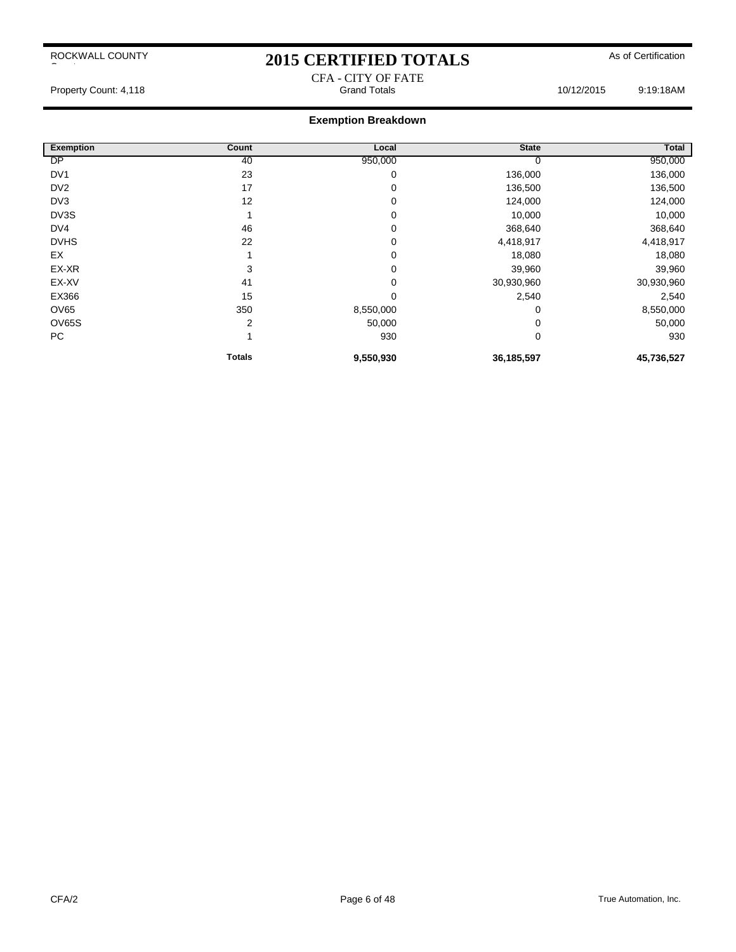# 2015 CERTIFIED TOTALS As of Certification

# CFA - CITY OF FATE **Exemption Breakdown**

| <b>Total</b> | <b>State</b> | Local     | Count         | <b>Exemption</b> |
|--------------|--------------|-----------|---------------|------------------|
| 950,000      | U            | 950,000   | 40            | DP               |
| 136,000      | 136,000      | 0         | 23            | DV <sub>1</sub>  |
| 136,500      | 136,500      | 0         | 17            | DV <sub>2</sub>  |
| 124,000      | 124,000      | 0         | 12            | DV3              |
| 10,000       | 10,000       | 0         |               | DV3S             |
| 368,640      | 368,640      | 0         | 46            | DV4              |
| 4,418,917    | 4,418,917    | 0         | 22            | <b>DVHS</b>      |
| 18,080       | 18,080       | 0         |               | EX               |
| 39,960       | 39,960       | 0         | 3             | EX-XR            |
| 30,930,960   | 30,930,960   | 0         | 41            | EX-XV            |
| 2,540        | 2,540        | 0         | 15            | EX366            |
| 8,550,000    | 0            | 8,550,000 | 350           | OV65             |
| 50,000       | 0            | 50,000    | 2             | OV65S            |
| 930          | 0            | 930       |               | PC               |
| 45,736,527   | 36,185,597   | 9,550,930 | <b>Totals</b> |                  |

Property Count: 4,118 **Property Count: 4,118** Crand Totals **Grand Totals** 10/12/2015 9:19:18AM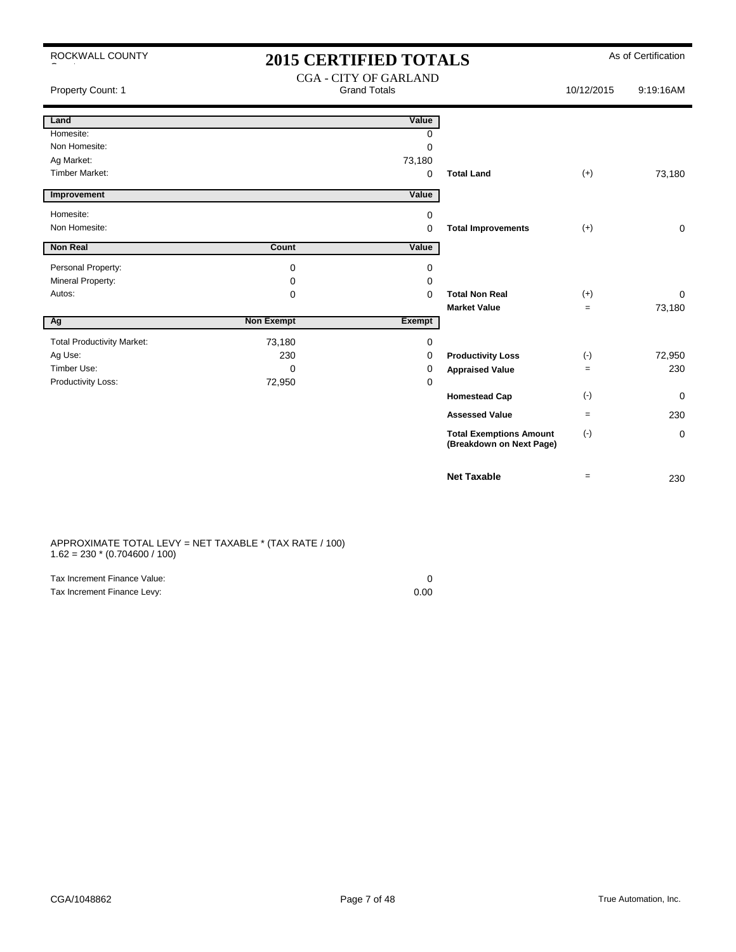| ROCKWALL COUNTY |  |
|-----------------|--|
|-----------------|--|

County

 $\overline{1}$ 

 $\overline{\phantom{a}}$ 

### 2015 CERTIFIED TOTALS As of Certification CGA - CITY OF GARLAND

| Property Count: 1                 |                   | $COP - CII + OI$ OAKLAND<br><b>Grand Totals</b> |                                                            | 10/12/2015 | 9:19:16AM   |
|-----------------------------------|-------------------|-------------------------------------------------|------------------------------------------------------------|------------|-------------|
| Land                              |                   | Value                                           |                                                            |            |             |
| Homesite:                         |                   | 0                                               |                                                            |            |             |
| Non Homesite:                     |                   | $\mathbf 0$                                     |                                                            |            |             |
| Ag Market:                        |                   | 73,180                                          |                                                            |            |             |
| <b>Timber Market:</b>             |                   | $\mathbf 0$                                     | <b>Total Land</b>                                          | $(+)$      | 73,180      |
| Improvement                       |                   | Value                                           |                                                            |            |             |
| Homesite:                         |                   | 0                                               |                                                            |            |             |
| Non Homesite:                     |                   | 0                                               | <b>Total Improvements</b>                                  | $(+)$      | $\mathbf 0$ |
| <b>Non Real</b>                   | Count             | Value                                           |                                                            |            |             |
| Personal Property:                | 0                 | 0                                               |                                                            |            |             |
| Mineral Property:                 | 0                 | 0                                               |                                                            |            |             |
| Autos:                            | 0                 | $\mathbf 0$                                     | <b>Total Non Real</b>                                      | $(+)$      | 0           |
|                                   |                   |                                                 | <b>Market Value</b>                                        | $=$        | 73,180      |
| Ag                                | <b>Non Exempt</b> | Exempt                                          |                                                            |            |             |
| <b>Total Productivity Market:</b> | 73,180            | 0                                               |                                                            |            |             |
| Ag Use:                           | 230               | 0                                               | <b>Productivity Loss</b>                                   | $(\cdot)$  | 72,950      |
| Timber Use:                       | 0                 | 0                                               | <b>Appraised Value</b>                                     | $=$        | 230         |
| Productivity Loss:                | 72,950            | 0                                               |                                                            |            |             |
|                                   |                   |                                                 | <b>Homestead Cap</b>                                       | $(\cdot)$  | 0           |
|                                   |                   |                                                 | <b>Assessed Value</b>                                      | $=$        | 230         |
|                                   |                   |                                                 | <b>Total Exemptions Amount</b><br>(Breakdown on Next Page) | $(\cdot)$  | $\mathbf 0$ |
|                                   |                   |                                                 | <b>Net Taxable</b>                                         | $=$        | 230         |

APPROXIMATE TOTAL LEVY = NET TAXABLE \* (TAX RATE / 100)  $1.62 = 230 * (0.704600 / 100)$ 

| Tax Increment Finance Value: |      |
|------------------------------|------|
| Tax Increment Finance Levy:  | 0.00 |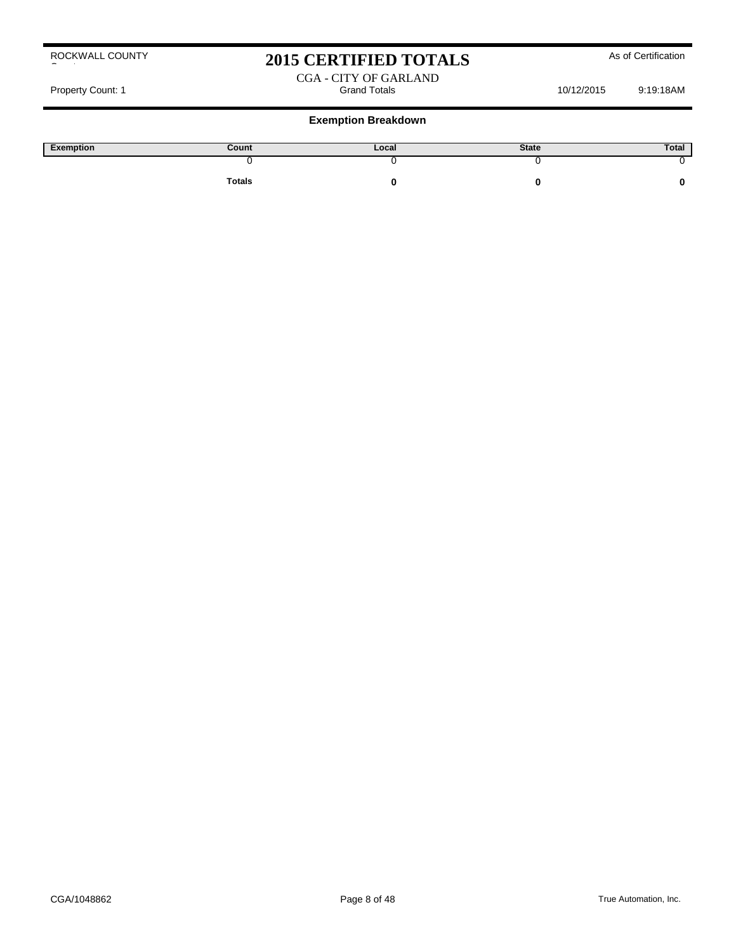# 2015 CERTIFIED TOTALS As of Certification

#### CGA - CITY OF GARLAND Property Count: 1 and Totals Count: 1 and Totals 10/12/2015 9:19:18AM

| Exemption | Count  | Local | <b>State</b> | Total |
|-----------|--------|-------|--------------|-------|
|           |        |       |              |       |
|           | Totals |       |              |       |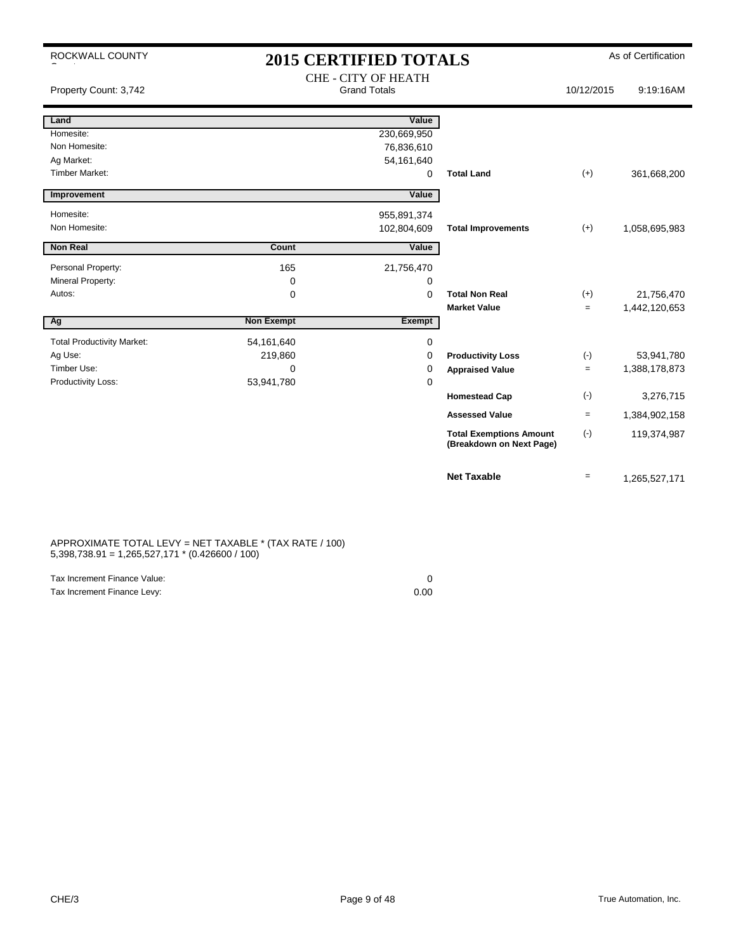| ROCKWALL COUNTY                   | <b>2015 CERTIFIED TOTALS</b> |                                                   |                                                            |                   | As of Certification |  |
|-----------------------------------|------------------------------|---------------------------------------------------|------------------------------------------------------------|-------------------|---------------------|--|
| Property Count: 3,742             |                              | <b>CHE - CITY OF HEATH</b><br><b>Grand Totals</b> |                                                            | 10/12/2015        | 9:19:16AM           |  |
| Land                              |                              | Value                                             |                                                            |                   |                     |  |
| Homesite:                         |                              | 230,669,950                                       |                                                            |                   |                     |  |
| Non Homesite:                     |                              | 76,836,610                                        |                                                            |                   |                     |  |
| Ag Market:                        |                              | 54, 161, 640                                      |                                                            |                   |                     |  |
| Timber Market:                    |                              | 0                                                 | <b>Total Land</b>                                          | $(+)$             | 361,668,200         |  |
| Improvement                       |                              | Value                                             |                                                            |                   |                     |  |
| Homesite:                         |                              | 955,891,374                                       |                                                            |                   |                     |  |
| Non Homesite:                     |                              | 102,804,609                                       | <b>Total Improvements</b>                                  | $(+)$             | 1,058,695,983       |  |
| <b>Non Real</b>                   | Count                        | Value                                             |                                                            |                   |                     |  |
|                                   |                              |                                                   |                                                            |                   |                     |  |
| Personal Property:                | 165                          | 21,756,470                                        |                                                            |                   |                     |  |
| Mineral Property:                 | 0                            | 0                                                 |                                                            |                   |                     |  |
| Autos:                            | 0                            | $\Omega$                                          | <b>Total Non Real</b>                                      | $(+)$             | 21,756,470          |  |
|                                   |                              |                                                   | <b>Market Value</b>                                        | $\equiv$          | 1,442,120,653       |  |
| Ag                                | <b>Non Exempt</b>            | Exempt                                            |                                                            |                   |                     |  |
| <b>Total Productivity Market:</b> | 54,161,640                   | 0                                                 |                                                            |                   |                     |  |
| Ag Use:                           | 219,860                      | 0                                                 | <b>Productivity Loss</b>                                   | $(\cdot)$         | 53,941,780          |  |
| Timber Use:                       | $\Omega$                     | 0                                                 | <b>Appraised Value</b>                                     | $\qquad \qquad =$ | 1,388,178,873       |  |
| Productivity Loss:                | 53,941,780                   | $\mathbf 0$                                       |                                                            |                   |                     |  |
|                                   |                              |                                                   | <b>Homestead Cap</b>                                       | $(-)$             | 3,276,715           |  |
|                                   |                              |                                                   | <b>Assessed Value</b>                                      | $\qquad \qquad =$ | 1,384,902,158       |  |
|                                   |                              |                                                   | <b>Total Exemptions Amount</b><br>(Breakdown on Next Page) | $(\cdot)$         | 119,374,987         |  |
|                                   |                              |                                                   | <b>Net Taxable</b>                                         | $\equiv$          | 1,265,527,171       |  |

#### APPROXIMATE TOTAL LEVY = NET TAXABLE \* (TAX RATE / 100) 5,398,738.91 = 1,265,527,171 \* (0.426600 / 100)

| Tax Increment Finance Value: |      |
|------------------------------|------|
| Tax Increment Finance Levy:  | 0.00 |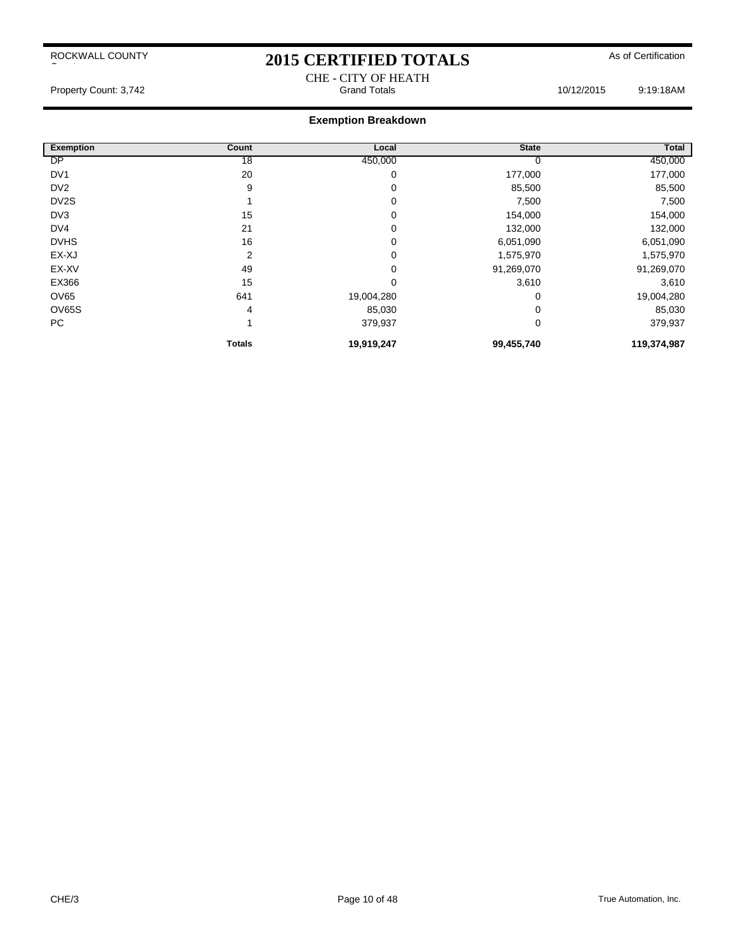# 2015 CERTIFIED TOTALS As of Certification CHE - CITY OF HEATH<br>Grand Totals

Property Count: 3,742 **Count: 3,742** Crand Totals **Grand Totals** 10/12/2015 9:19:18AM

| <b>Exemption</b>  | <b>Count</b>  | Local       | <b>State</b> | <b>Total</b> |
|-------------------|---------------|-------------|--------------|--------------|
| <b>DP</b>         | 18            | 450,000     | U            | 450,000      |
| DV <sub>1</sub>   | 20            | 0           | 177,000      | 177,000      |
| DV <sub>2</sub>   | 9             | 0           | 85,500       | 85,500       |
| DV <sub>2</sub> S |               | $\mathbf 0$ | 7,500        | 7,500        |
| DV3               | 15            | 0           | 154,000      | 154,000      |
| DV4               | 21            | 0           | 132,000      | 132,000      |
| <b>DVHS</b>       | 16            | 0           | 6,051,090    | 6,051,090    |
| EX-XJ             | 2             | 0           | 1,575,970    | 1,575,970    |
| EX-XV             | 49            | 0           | 91,269,070   | 91,269,070   |
| EX366             | 15            | 0           | 3,610        | 3,610        |
| <b>OV65</b>       | 641           | 19,004,280  | $\Omega$     | 19,004,280   |
| OV65S             | 4             | 85,030      | 0            | 85,030       |
| PC                |               | 379,937     | 0            | 379,937      |
|                   | <b>Totals</b> | 19,919,247  | 99,455,740   | 119,374,987  |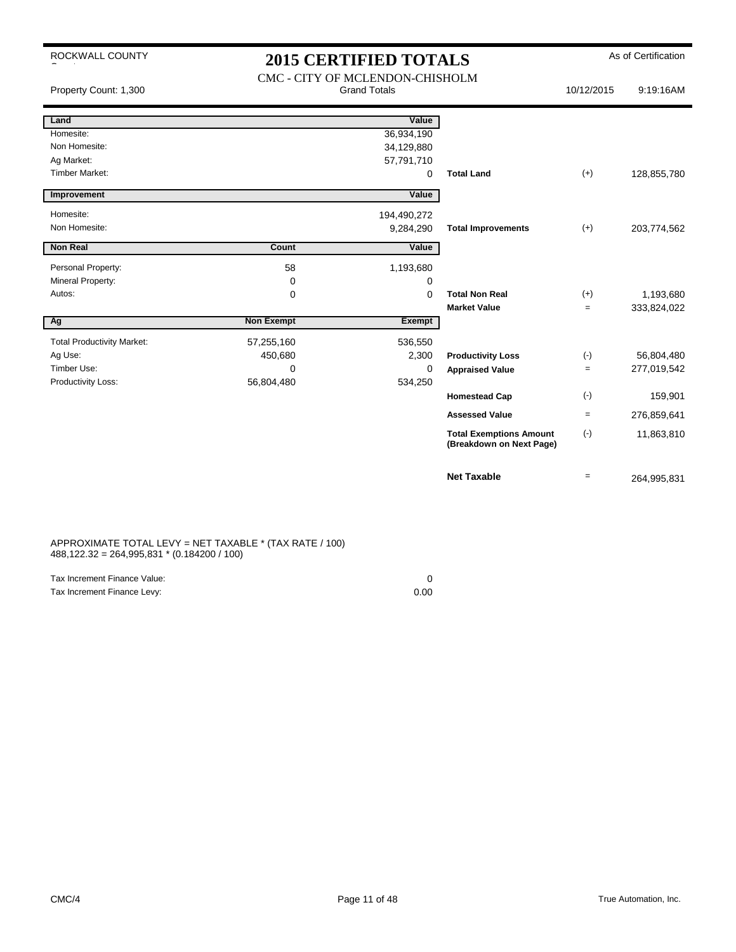ROCKWALL COUNTY

County

# 2015 CERTIFIED TOTALS As of Certification

| Property Count: 1,300             |                   | CMC - CITY OF MCLENDON-CHISHOLM<br><b>Grand Totals</b> |                                                            | 10/12/2015        | 9:19:16AM   |
|-----------------------------------|-------------------|--------------------------------------------------------|------------------------------------------------------------|-------------------|-------------|
| Land                              |                   | Value                                                  |                                                            |                   |             |
| Homesite:                         |                   | 36,934,190                                             |                                                            |                   |             |
| Non Homesite:                     |                   | 34,129,880                                             |                                                            |                   |             |
| Ag Market:                        |                   | 57,791,710                                             |                                                            |                   |             |
| <b>Timber Market:</b>             |                   | 0                                                      | <b>Total Land</b>                                          | $(+)$             | 128,855,780 |
| Improvement                       |                   | Value                                                  |                                                            |                   |             |
| Homesite:                         |                   | 194,490,272                                            |                                                            |                   |             |
| Non Homesite:                     |                   | 9,284,290                                              | <b>Total Improvements</b>                                  | $(+)$             | 203,774,562 |
| <b>Non Real</b>                   | Count             | Value                                                  |                                                            |                   |             |
| Personal Property:                | 58                | 1,193,680                                              |                                                            |                   |             |
| Mineral Property:                 | 0                 | 0                                                      |                                                            |                   |             |
| Autos:                            | 0                 | $\mathbf 0$                                            | <b>Total Non Real</b>                                      | $(+)$             | 1,193,680   |
|                                   |                   |                                                        | <b>Market Value</b>                                        | $=$               | 333,824,022 |
| Ag                                | <b>Non Exempt</b> | <b>Exempt</b>                                          |                                                            |                   |             |
| <b>Total Productivity Market:</b> | 57,255,160        | 536,550                                                |                                                            |                   |             |
| Ag Use:                           | 450,680           | 2,300                                                  | <b>Productivity Loss</b>                                   | $(\cdot)$         | 56,804,480  |
| Timber Use:                       | 0                 | $\mathbf 0$                                            | <b>Appraised Value</b>                                     | $=$               | 277,019,542 |
| Productivity Loss:                | 56,804,480        | 534,250                                                |                                                            |                   |             |
|                                   |                   |                                                        | <b>Homestead Cap</b>                                       | $(\cdot)$         | 159,901     |
|                                   |                   |                                                        | <b>Assessed Value</b>                                      | $\qquad \qquad =$ | 276,859,641 |
|                                   |                   |                                                        | <b>Total Exemptions Amount</b><br>(Breakdown on Next Page) | $(\cdot)$         | 11,863,810  |
|                                   |                   |                                                        | <b>Net Taxable</b>                                         | $=$               | 264,995,831 |

APPROXIMATE TOTAL LEVY = NET TAXABLE \* (TAX RATE / 100) 488,122.32 = 264,995,831 \* (0.184200 / 100)

| Tax Increment Finance Value: |      |
|------------------------------|------|
| Tax Increment Finance Levy:  | 0.00 |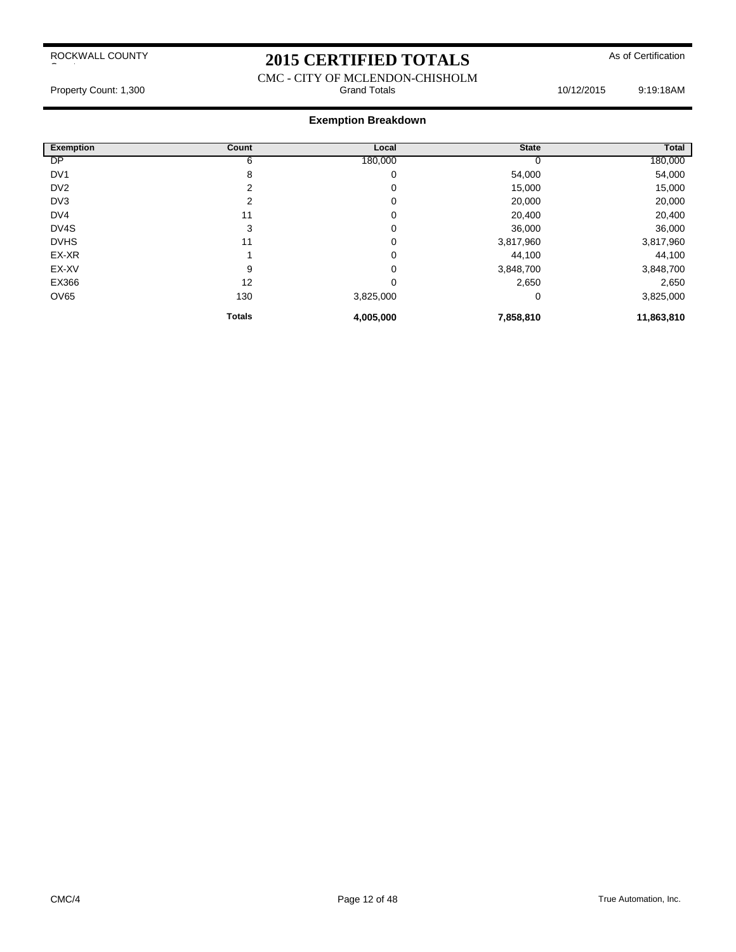# 2015 CERTIFIED TOTALS As of Certification

#### CMC - CITY OF MCLENDON-CHISHOLM Property Count: 1,300 **Stand Totals** Grand Totals 10/12/2015 9:19:18AM

| <b>Exemption</b> | <b>Count</b>  | Local     | <b>State</b> | Total      |
|------------------|---------------|-----------|--------------|------------|
| <b>DP</b>        | 6             | 180,000   |              | 180,000    |
| DV <sub>1</sub>  | 8             | 0         | 54,000       | 54,000     |
| DV <sub>2</sub>  | 2             | 0         | 15,000       | 15,000     |
| DV3              | 2             | 0         | 20,000       | 20,000     |
| DV4              | 11            | 0         | 20,400       | 20,400     |
| DV4S             | 3             | 0         | 36,000       | 36,000     |
| <b>DVHS</b>      | 11            | 0         | 3,817,960    | 3,817,960  |
| EX-XR            |               | 0         | 44,100       | 44,100     |
| EX-XV            | 9             | 0         | 3,848,700    | 3,848,700  |
| EX366            | 12            | 0         | 2,650        | 2,650      |
| OV65             | 130           | 3,825,000 | 0            | 3,825,000  |
|                  | <b>Totals</b> | 4,005,000 | 7,858,810    | 11,863,810 |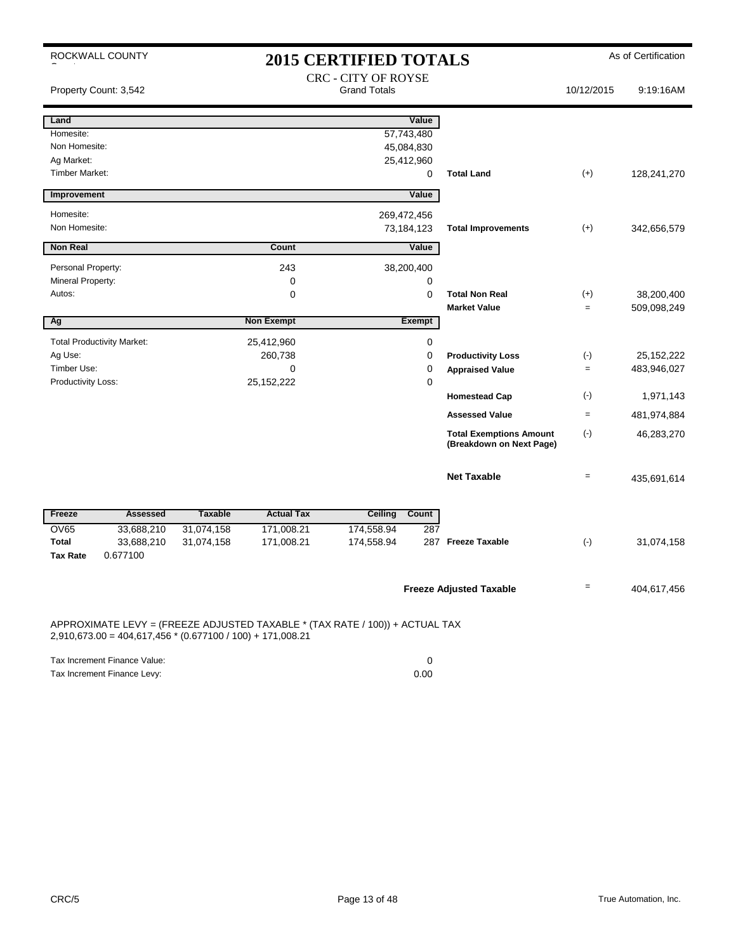|                       | ROCKWALL COUNTY                                              | <b>2015 CERTIFIED TOTALS</b> |                   |                                                                              |             |                                                            | As of Certification |              |
|-----------------------|--------------------------------------------------------------|------------------------------|-------------------|------------------------------------------------------------------------------|-------------|------------------------------------------------------------|---------------------|--------------|
|                       | Property Count: 3,542                                        |                              |                   | <b>CRC - CITY OF ROYSE</b><br><b>Grand Totals</b>                            |             |                                                            | 10/12/2015          | 9:19:16AM    |
| Land                  |                                                              |                              |                   |                                                                              | Value       |                                                            |                     |              |
| Homesite:             |                                                              |                              |                   |                                                                              | 57,743,480  |                                                            |                     |              |
| Non Homesite:         |                                                              |                              |                   |                                                                              | 45,084,830  |                                                            |                     |              |
| Ag Market:            |                                                              |                              |                   |                                                                              | 25,412,960  |                                                            |                     |              |
| <b>Timber Market:</b> |                                                              |                              |                   |                                                                              | 0           | <b>Total Land</b>                                          | $(+)$               | 128,241,270  |
| Improvement           |                                                              |                              |                   |                                                                              | Value       |                                                            |                     |              |
| Homesite:             |                                                              |                              |                   | 269,472,456                                                                  |             |                                                            |                     |              |
| Non Homesite:         |                                                              |                              |                   |                                                                              | 73,184,123  | <b>Total Improvements</b>                                  | $(+)$               | 342,656,579  |
| <b>Non Real</b>       |                                                              |                              | Count             |                                                                              | Value       |                                                            |                     |              |
| Personal Property:    |                                                              |                              | 243               |                                                                              | 38,200,400  |                                                            |                     |              |
| Mineral Property:     |                                                              |                              | 0                 |                                                                              | 0           |                                                            |                     |              |
| Autos:                |                                                              |                              | 0                 |                                                                              | 0           | <b>Total Non Real</b>                                      | $(+)$               | 38,200,400   |
|                       |                                                              |                              |                   |                                                                              |             | <b>Market Value</b>                                        | $=$                 | 509,098,249  |
| Ag                    |                                                              |                              | <b>Non Exempt</b> |                                                                              | Exempt      |                                                            |                     |              |
|                       | <b>Total Productivity Market:</b>                            |                              | 25,412,960        |                                                                              | 0           |                                                            |                     |              |
| Ag Use:               |                                                              |                              | 260,738           |                                                                              | $\pmb{0}$   | <b>Productivity Loss</b>                                   | $(-)$               | 25, 152, 222 |
| Timber Use:           |                                                              |                              | 0                 |                                                                              | $\mathbf 0$ | <b>Appraised Value</b>                                     | $=$                 | 483,946,027  |
| Productivity Loss:    |                                                              |                              | 25, 152, 222      |                                                                              | 0           |                                                            |                     |              |
|                       |                                                              |                              |                   |                                                                              |             | <b>Homestead Cap</b>                                       | $(\cdot)$           | 1,971,143    |
|                       |                                                              |                              |                   |                                                                              |             | <b>Assessed Value</b>                                      | $=$                 | 481,974,884  |
|                       |                                                              |                              |                   |                                                                              |             | <b>Total Exemptions Amount</b><br>(Breakdown on Next Page) | $(-)$               | 46,283,270   |
|                       |                                                              |                              |                   |                                                                              |             | <b>Net Taxable</b>                                         | $=$                 | 435,691,614  |
| Freeze                | <b>Assessed</b>                                              | <b>Taxable</b>               | <b>Actual Tax</b> | <b>Ceiling</b>                                                               | Count       |                                                            |                     |              |
| <b>OV65</b>           | 33,688,210                                                   | 31,074,158                   | 171,008.21        | 174,558.94                                                                   | 287         |                                                            |                     |              |
| <b>Total</b>          | 33,688,210                                                   | 31,074,158                   | 171,008.21        | 174,558.94                                                                   |             | 287 Freeze Taxable                                         | $(-)$               | 31,074,158   |
| <b>Tax Rate</b>       | 0.677100                                                     |                              |                   |                                                                              |             |                                                            |                     |              |
|                       |                                                              |                              |                   |                                                                              |             | <b>Freeze Adjusted Taxable</b>                             | $=$                 | 404,617,456  |
|                       | $2,910,673.00 = 404,617,456 * (0.677100 / 100) + 171,008.21$ |                              |                   | APPROXIMATE LEVY = (FREEZE ADJUSTED TAXABLE * (TAX RATE / 100)) + ACTUAL TAX |             |                                                            |                     |              |
|                       | Tax Increment Finance Value:                                 |                              |                   |                                                                              | $\mathbf 0$ |                                                            |                     |              |

Tax Increment Finance Levy: 0.00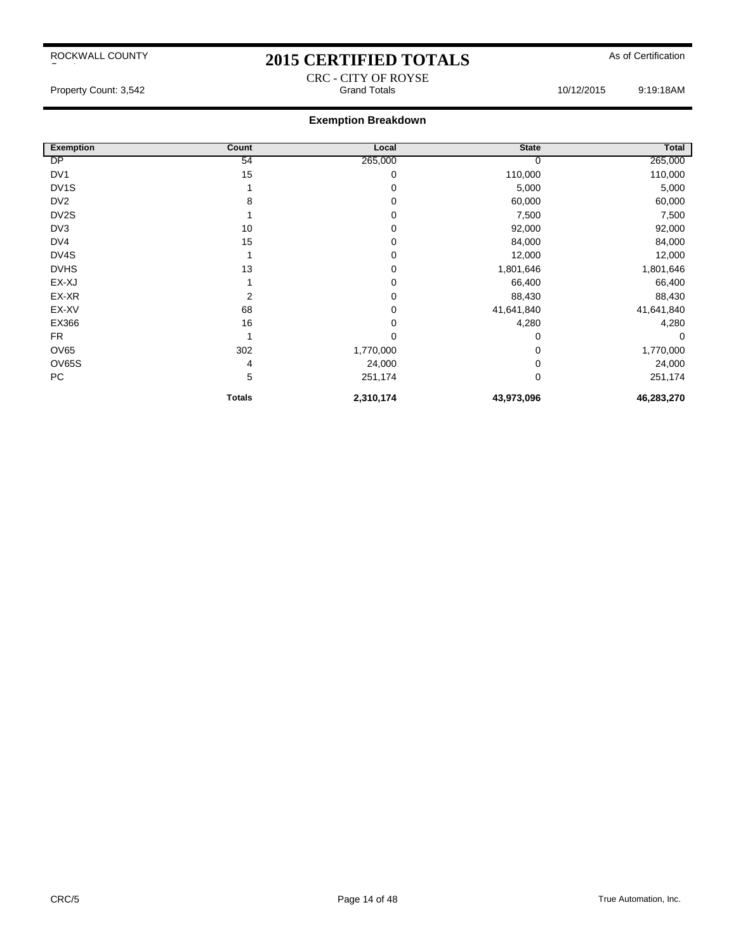# 2015 CERTIFIED TOTALS As of Certification

Property Count: 3,542 **Count: 3,542** Grand Totals **Count: 3,542** Grand Totals 10/12/2015 9:19:18AM

#### **Exemption Breakdown**

| <b>Exemption</b>  | Count         | Local     | <b>State</b> | Total      |
|-------------------|---------------|-----------|--------------|------------|
| <b>DP</b>         | 54            | 265,000   |              | 265,000    |
| DV <sub>1</sub>   | 15            | 0         | 110,000      | 110,000    |
| DV <sub>1</sub> S |               | 0         | 5,000        | 5,000      |
| DV <sub>2</sub>   | 8             | 0         | 60,000       | 60,000     |
| DV <sub>2</sub> S |               | 0         | 7,500        | 7,500      |
| DV3               | 10            | 0         | 92,000       | 92,000     |
| DV4               | 15            | 0         | 84,000       | 84,000     |
| DV4S              |               | 0         | 12,000       | 12,000     |
| <b>DVHS</b>       | 13            | 0         | 1,801,646    | 1,801,646  |
| EX-XJ             |               | 0         | 66,400       | 66,400     |
| EX-XR             | 2             | 0         | 88,430       | 88,430     |
| EX-XV             | 68            | 0         | 41,641,840   | 41,641,840 |
| EX366             | 16            | 0         | 4,280        | 4,280      |
| <b>FR</b>         |               | 0         | 0            | 0          |
| <b>OV65</b>       | 302           | 1,770,000 | 0            | 1,770,000  |
| <b>OV65S</b>      | 4             | 24,000    | $\Omega$     | 24,000     |
| PC                | 5             | 251,174   | $\mathbf 0$  | 251,174    |
|                   | <b>Totals</b> | 2,310,174 | 43,973,096   | 46,283,270 |

CRC - CITY OF ROYSE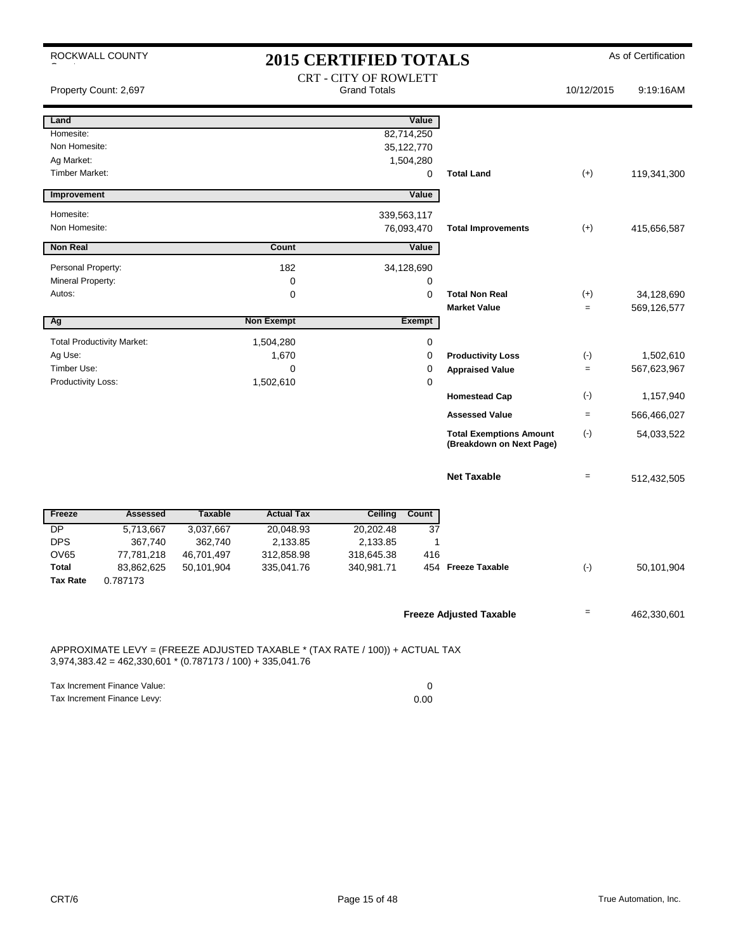| ROCKWALL COUNTY                                                                                                                              |                |                   | <b>2015 CERTIFIED TOTALS</b> |             |                                                            |                   | As of Certification |
|----------------------------------------------------------------------------------------------------------------------------------------------|----------------|-------------------|------------------------------|-------------|------------------------------------------------------------|-------------------|---------------------|
|                                                                                                                                              |                |                   | <b>CRT - CITY OF ROWLETT</b> |             |                                                            |                   |                     |
| Property Count: 2,697                                                                                                                        |                |                   | <b>Grand Totals</b>          |             |                                                            | 10/12/2015        | 9:19:16AM           |
|                                                                                                                                              |                |                   |                              |             |                                                            |                   |                     |
| Land                                                                                                                                         |                |                   |                              | Value       |                                                            |                   |                     |
| Homesite:<br>Non Homesite:                                                                                                                   |                |                   | 82,714,250                   |             |                                                            |                   |                     |
| Ag Market:                                                                                                                                   |                |                   | 35,122,770<br>1,504,280      |             |                                                            |                   |                     |
| <b>Timber Market:</b>                                                                                                                        |                |                   |                              | 0           | <b>Total Land</b>                                          | $(+)$             | 119,341,300         |
|                                                                                                                                              |                |                   |                              |             |                                                            |                   |                     |
| Improvement                                                                                                                                  |                |                   |                              | Value       |                                                            |                   |                     |
| Homesite:                                                                                                                                    |                |                   | 339,563,117                  |             |                                                            |                   |                     |
| Non Homesite:                                                                                                                                |                |                   | 76,093,470                   |             | <b>Total Improvements</b>                                  | $(+)$             | 415,656,587         |
| <b>Non Real</b>                                                                                                                              |                | <b>Count</b>      |                              | Value       |                                                            |                   |                     |
| Personal Property:                                                                                                                           |                | 182               | 34,128,690                   |             |                                                            |                   |                     |
| Mineral Property:                                                                                                                            |                | 0                 |                              | 0           |                                                            |                   |                     |
| Autos:                                                                                                                                       |                | 0                 |                              | 0           | <b>Total Non Real</b>                                      | $(+)$             | 34,128,690          |
|                                                                                                                                              |                |                   |                              |             | <b>Market Value</b>                                        | $=$               | 569,126,577         |
| Αg                                                                                                                                           |                | <b>Non Exempt</b> |                              | Exempt      |                                                            |                   |                     |
| <b>Total Productivity Market:</b>                                                                                                            |                | 1,504,280         |                              | $\mathbf 0$ |                                                            |                   |                     |
| Ag Use:                                                                                                                                      |                | 1,670             |                              | 0           | <b>Productivity Loss</b>                                   | $(-)$             | 1,502,610           |
| Timber Use:                                                                                                                                  |                | 0                 |                              | 0           | <b>Appraised Value</b>                                     | $=$               | 567,623,967         |
| Productivity Loss:                                                                                                                           |                | 1,502,610         |                              | 0           |                                                            |                   |                     |
|                                                                                                                                              |                |                   |                              |             | <b>Homestead Cap</b>                                       | $(\cdot)$         | 1,157,940           |
|                                                                                                                                              |                |                   |                              |             | <b>Assessed Value</b>                                      | $\equiv$          | 566,466,027         |
|                                                                                                                                              |                |                   |                              |             | <b>Total Exemptions Amount</b><br>(Breakdown on Next Page) | $(\cdot)$         | 54,033,522          |
|                                                                                                                                              |                |                   |                              |             |                                                            |                   |                     |
|                                                                                                                                              |                |                   |                              |             | <b>Net Taxable</b>                                         | $\qquad \qquad =$ | 512,432,505         |
|                                                                                                                                              |                |                   |                              |             |                                                            |                   |                     |
| <b>Assessed</b><br>Freeze                                                                                                                    | <b>Taxable</b> | <b>Actual Tax</b> | <b>Ceiling</b>               | Count       |                                                            |                   |                     |
| $\overline{DP}$<br>5,713,667                                                                                                                 | 3,037,667      | 20,048.93         | 20,202.48                    | 37          |                                                            |                   |                     |
| <b>DPS</b><br>367,740                                                                                                                        | 362,740        | 2,133.85          | 2,133.85                     | 1           |                                                            |                   |                     |
| <b>OV65</b><br>77,781,218                                                                                                                    | 46,701,497     | 312,858.98        | 318,645.38                   | 416         |                                                            |                   |                     |
| Total<br>83,862,625                                                                                                                          | 50,101,904     | 335,041.76        | 340,981.71                   |             | 454 Freeze Taxable                                         | $(\cdot)$         | 50,101,904          |
| Tax Rate<br>0.787173                                                                                                                         |                |                   |                              |             |                                                            |                   |                     |
|                                                                                                                                              |                |                   |                              |             |                                                            |                   |                     |
|                                                                                                                                              |                |                   |                              |             | <b>Freeze Adjusted Taxable</b>                             | Ξ.                | 462,330,601         |
| APPROXIMATE LEVY = (FREEZE ADJUSTED TAXABLE * (TAX RATE / 100)) + ACTUAL TAX<br>$3,974,383.42 = 462,330,601 * (0.787173 / 100) + 335,041.76$ |                |                   |                              |             |                                                            |                   |                     |

| Tax Increment Finance Value: |      |
|------------------------------|------|
| Tax Increment Finance Levy:  | 0.00 |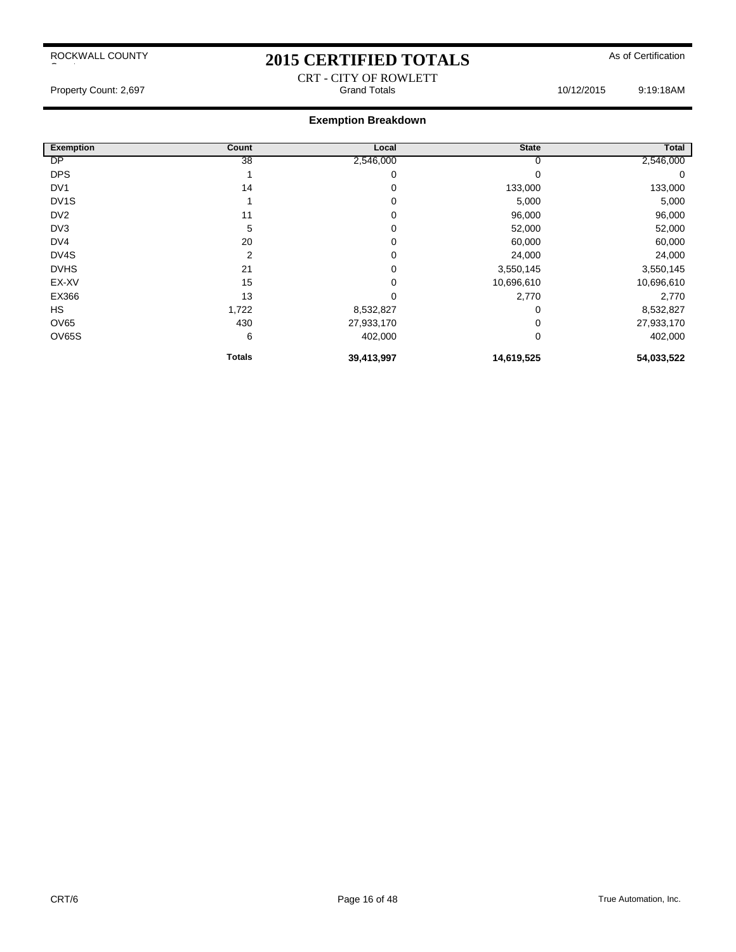# 2015 CERTIFIED TOTALS As of Certification CRT - CITY OF ROWLETT

Property Count: 2,697 Count: 2,697 Count: 2,697 Count: 2,697 Count: 2,697 Count: 2,697 Count: 2,697 Count: 2,697 Count: 2,697 Count: 2,697 Count: 2,697 Count: 2,697 Count: 2,697 Count: 2,697 Count: 2,697 Count: 2,697 Count

| <b>Exemption</b>  | Count         | Local      | <b>State</b> | Total      |
|-------------------|---------------|------------|--------------|------------|
| <b>DP</b>         | 38            | 2,546,000  |              | 2,546,000  |
| <b>DPS</b>        |               | 0          |              | 0          |
| DV <sub>1</sub>   | 14            | 0          | 133,000      | 133,000    |
| DV <sub>1</sub> S |               | 0          | 5,000        | 5,000      |
| DV <sub>2</sub>   | 11            | 0          | 96,000       | 96,000     |
| DV3               | 5             | 0          | 52,000       | 52,000     |
| DV4               | 20            | 0          | 60,000       | 60,000     |
| DV4S              | 2             | 0          | 24,000       | 24,000     |
| <b>DVHS</b>       | 21            | 0          | 3,550,145    | 3,550,145  |
| EX-XV             | 15            | 0          | 10,696,610   | 10,696,610 |
| EX366             | 13            | 0          | 2,770        | 2,770      |
| <b>HS</b>         | 1,722         | 8,532,827  | 0            | 8,532,827  |
| <b>OV65</b>       | 430           | 27,933,170 |              | 27,933,170 |
| OV65S             | 6             | 402,000    | 0            | 402,000    |
|                   | <b>Totals</b> | 39,413,997 | 14,619,525   | 54,033,522 |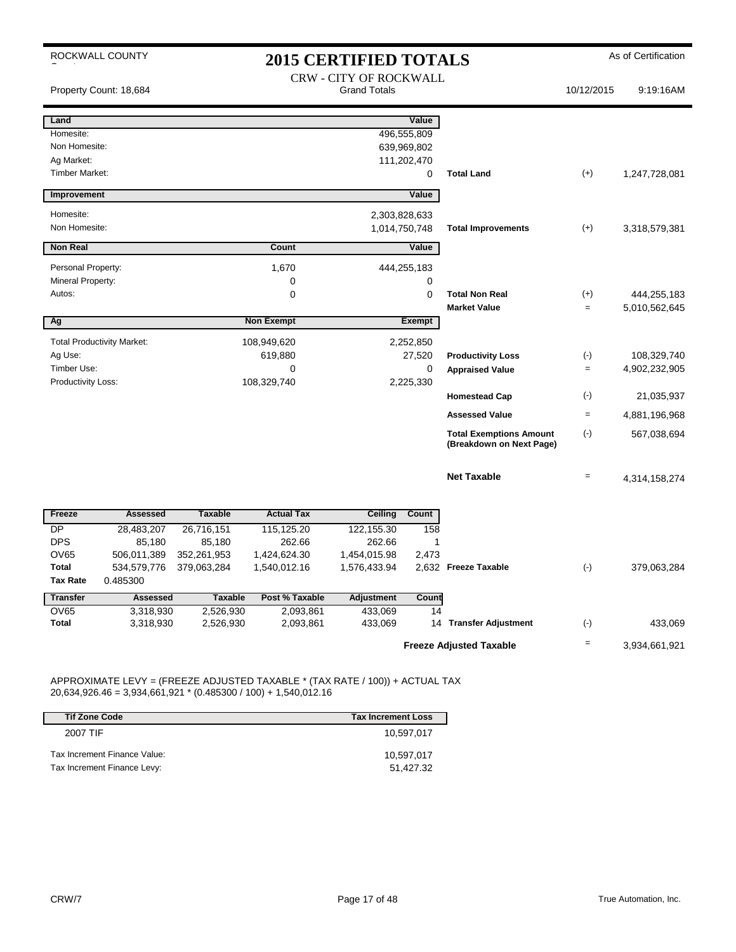|                                     | ROCKWALL COUNTY                   |                        |                        | <b>2015 CERTIFIED TOTALS</b>                         |                  |                                                            |            | As of Certification |
|-------------------------------------|-----------------------------------|------------------------|------------------------|------------------------------------------------------|------------------|------------------------------------------------------------|------------|---------------------|
|                                     | Property Count: 18,684            |                        |                        | <b>CRW - CITY OF ROCKWALL</b><br><b>Grand Totals</b> |                  |                                                            | 10/12/2015 | 9:19:16AM           |
| Land                                |                                   |                        |                        |                                                      | Value            |                                                            |            |                     |
| Homesite:                           |                                   |                        |                        |                                                      | 496,555,809      |                                                            |            |                     |
| Non Homesite:                       |                                   |                        |                        |                                                      | 639,969,802      |                                                            |            |                     |
| Ag Market:<br><b>Timber Market:</b> |                                   |                        |                        |                                                      | 111,202,470      |                                                            |            |                     |
|                                     |                                   |                        |                        |                                                      | $\mathbf 0$      | <b>Total Land</b>                                          | $(+)$      | 1,247,728,081       |
| Improvement                         |                                   |                        |                        |                                                      | Value            |                                                            |            |                     |
| Homesite:                           |                                   |                        |                        |                                                      | 2,303,828,633    |                                                            |            |                     |
| Non Homesite:                       |                                   |                        |                        |                                                      | 1,014,750,748    | <b>Total Improvements</b>                                  | $(+)$      | 3,318,579,381       |
| <b>Non Real</b>                     |                                   |                        | Count                  |                                                      | Value            |                                                            |            |                     |
| Personal Property:                  |                                   |                        |                        |                                                      |                  |                                                            |            |                     |
| Mineral Property:                   |                                   |                        | 1,670<br>0             |                                                      | 444,255,183<br>0 |                                                            |            |                     |
| Autos:                              |                                   |                        | 0                      |                                                      | 0                | <b>Total Non Real</b>                                      | $(+)$      | 444,255,183         |
|                                     |                                   |                        |                        |                                                      |                  | <b>Market Value</b>                                        | $=$        | 5,010,562,645       |
| Ag                                  |                                   |                        | <b>Non Exempt</b>      |                                                      | Exempt           |                                                            |            |                     |
|                                     | <b>Total Productivity Market:</b> |                        | 108,949,620            |                                                      | 2,252,850        |                                                            |            |                     |
| Ag Use:                             |                                   |                        | 619,880                |                                                      | 27,520           | <b>Productivity Loss</b>                                   | $(-)$      | 108,329,740         |
| Timber Use:                         |                                   |                        | 0                      |                                                      | 0                | <b>Appraised Value</b>                                     | $=$        | 4,902,232,905       |
| Productivity Loss:                  |                                   |                        | 108,329,740            |                                                      | 2,225,330        |                                                            |            |                     |
|                                     |                                   |                        |                        |                                                      |                  | <b>Homestead Cap</b>                                       | $(\cdot)$  | 21,035,937          |
|                                     |                                   |                        |                        |                                                      |                  | <b>Assessed Value</b>                                      | $=$        | 4,881,196,968       |
|                                     |                                   |                        |                        |                                                      |                  | <b>Total Exemptions Amount</b><br>(Breakdown on Next Page) | $(-)$      | 567,038,694         |
|                                     |                                   |                        |                        |                                                      |                  | <b>Net Taxable</b>                                         | $=$        | 4,314,158,274       |
| Freeze                              | <b>Assessed</b>                   | <b>Taxable</b>         | <b>Actual Tax</b>      | Ceiling                                              | Count            |                                                            |            |                     |
| <b>DP</b>                           | 28,483,207                        | 26,716,151             | 115,125.20             | 122,155.30                                           | 158              |                                                            |            |                     |
| <b>DPS</b>                          | 85,180                            | 85,180                 | 262.66                 | 262.66                                               | 1                |                                                            |            |                     |
| <b>OV65</b>                         | 506,011,389                       | 352,261,953            | 1,424,624.30           | 1,454,015.98                                         | 2,473            |                                                            |            |                     |
| Total                               | 534,579,776                       | 379,063,284            | 1,540,012.16           | 1,576,433.94                                         |                  | 2,632 Freeze Taxable                                       | $(-)$      | 379,063,284         |
| <b>Tax Rate</b>                     | 0.485300                          |                        |                        |                                                      |                  |                                                            |            |                     |
| <b>Transfer</b>                     | <b>Assessed</b>                   | <b>Taxable</b>         | Post % Taxable         | <b>Adjustment</b>                                    | Count            |                                                            |            |                     |
| <b>OV65</b><br><b>Total</b>         | 3,318,930<br>3,318,930            | 2,526,930<br>2,526,930 | 2,093,861<br>2,093,861 | 433,069<br>433,069                                   | 14               | 14 Transfer Adjustment                                     | $(\cdot)$  | 433,069             |
|                                     |                                   |                        |                        |                                                      |                  |                                                            |            |                     |
|                                     |                                   |                        |                        |                                                      |                  | <b>Freeze Adjusted Taxable</b>                             | $=$        | 3,934,661,921       |

APPROXIMATE LEVY = (FREEZE ADJUSTED TAXABLE \* (TAX RATE / 100)) + ACTUAL TAX 20,634,926.46 = 3,934,661,921 \* (0.485300 / 100) + 1,540,012.16

| <b>Tif Zone Code</b>         | <b>Tax Increment Loss</b> |
|------------------------------|---------------------------|
| 2007 TIF                     | 10.597.017                |
| Tax Increment Finance Value: | 10,597,017                |
| Tax Increment Finance Levy:  | 51.427.32                 |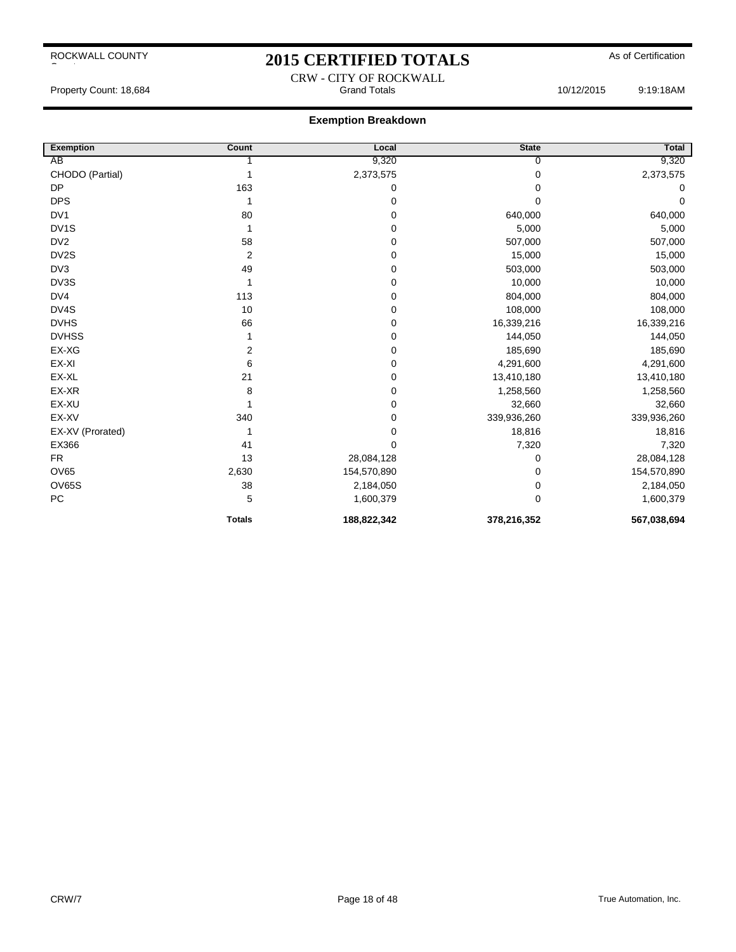# 2015 CERTIFIED TOTALS As of Certification CRW - CITY OF ROCKWALL

Property Count: 18,684 **Count: 18,684** Crand Totals **Count: 18,684** Crand Totals 10/12/2015 9:19:18AM

| <b>Exemption</b>  | Count                   | Local       | <b>State</b> | Total       |
|-------------------|-------------------------|-------------|--------------|-------------|
| AB                |                         | 9,320       | 0            | 9,320       |
| CHODO (Partial)   |                         | 2,373,575   | 0            | 2,373,575   |
| <b>DP</b>         | 163                     | 0           | 0            | 0           |
| <b>DPS</b>        | 1                       | 0           | 0            | 0           |
| DV <sub>1</sub>   | 80                      | 0           | 640,000      | 640,000     |
| DV <sub>1</sub> S |                         | 0           | 5,000        | 5,000       |
| DV <sub>2</sub>   | 58                      | 0           | 507,000      | 507,000     |
| DV2S              | $\overline{2}$          | 0           | 15,000       | 15,000      |
| DV3               | 49                      | 0           | 503,000      | 503,000     |
| DV3S              |                         | 0           | 10,000       | 10,000      |
| DV4               | 113                     | 0           | 804,000      | 804,000     |
| DV4S              | 10                      | 0           | 108,000      | 108,000     |
| <b>DVHS</b>       | 66                      | 0           | 16,339,216   | 16,339,216  |
| <b>DVHSS</b>      |                         | 0           | 144,050      | 144,050     |
| EX-XG             | $\overline{\mathbf{c}}$ | 0           | 185,690      | 185,690     |
| EX-XI             | 6                       | 0           | 4,291,600    | 4,291,600   |
| EX-XL             | 21                      | 0           | 13,410,180   | 13,410,180  |
| EX-XR             | 8                       | 0           | 1,258,560    | 1,258,560   |
| EX-XU             |                         | 0           | 32,660       | 32,660      |
| EX-XV             | 340                     | 0           | 339,936,260  | 339,936,260 |
| EX-XV (Prorated)  |                         | 0           | 18,816       | 18,816      |
| EX366             | 41                      | 0           | 7,320        | 7,320       |
| <b>FR</b>         | 13                      | 28,084,128  | 0            | 28,084,128  |
| <b>OV65</b>       | 2,630                   | 154,570,890 | 0            | 154,570,890 |
| <b>OV65S</b>      | 38                      | 2,184,050   | 0            | 2,184,050   |
| PC                | 5                       | 1,600,379   | 0            | 1,600,379   |
|                   | <b>Totals</b>           | 188,822,342 | 378,216,352  | 567,038,694 |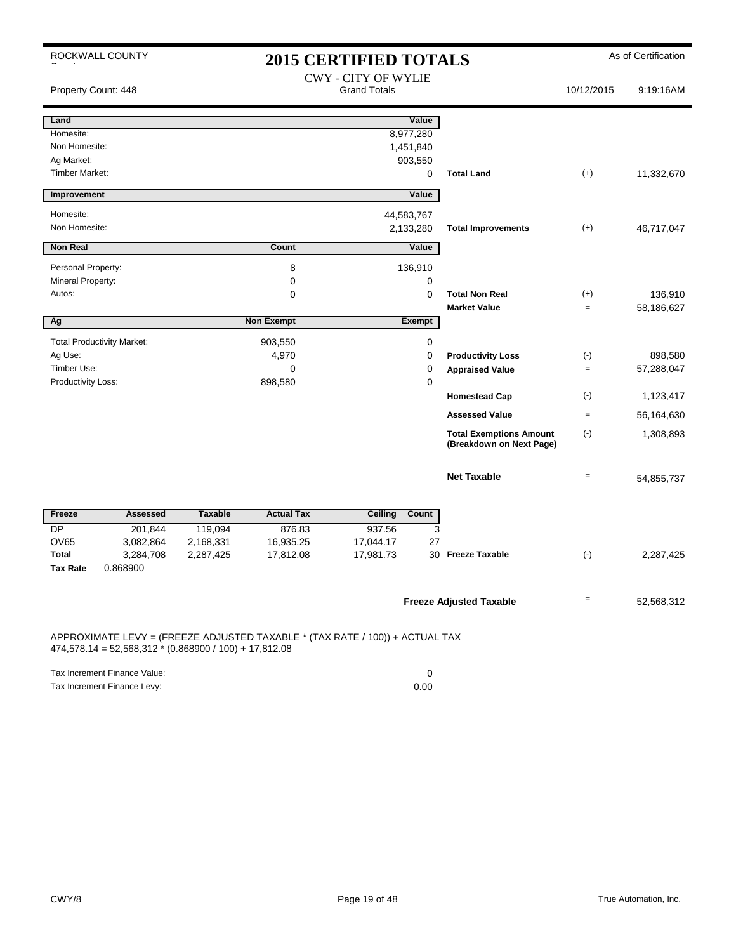|                             | ROCKWALL COUNTY                                                                                                                          |                |                   | <b>2015 CERTIFIED TOTALS</b> |             |                                                            |                   | As of Certification   |  |
|-----------------------------|------------------------------------------------------------------------------------------------------------------------------------------|----------------|-------------------|------------------------------|-------------|------------------------------------------------------------|-------------------|-----------------------|--|
|                             |                                                                                                                                          |                |                   | <b>CWY - CITY OF WYLIE</b>   |             |                                                            |                   |                       |  |
| Property Count: 448         |                                                                                                                                          |                |                   | <b>Grand Totals</b>          |             |                                                            | 10/12/2015        | 9:19:16AM             |  |
| Land                        |                                                                                                                                          |                |                   | Value                        |             |                                                            |                   |                       |  |
| Homesite:                   |                                                                                                                                          |                |                   | 8,977,280                    |             |                                                            |                   |                       |  |
| Non Homesite:<br>Ag Market: |                                                                                                                                          |                |                   | 1,451,840                    |             |                                                            |                   |                       |  |
| <b>Timber Market:</b>       |                                                                                                                                          |                |                   | 903,550                      | 0           | <b>Total Land</b>                                          | $(+)$             | 11,332,670            |  |
| Improvement                 |                                                                                                                                          |                |                   | Value                        |             |                                                            |                   |                       |  |
|                             |                                                                                                                                          |                |                   |                              |             |                                                            |                   |                       |  |
| Homesite:<br>Non Homesite:  |                                                                                                                                          |                |                   | 44,583,767                   |             |                                                            |                   |                       |  |
|                             |                                                                                                                                          |                |                   | 2,133,280                    |             | <b>Total Improvements</b>                                  | $(+)$             | 46,717,047            |  |
| <b>Non Real</b>             |                                                                                                                                          |                | Count             | Value                        |             |                                                            |                   |                       |  |
| Personal Property:          |                                                                                                                                          |                | 8                 | 136,910                      |             |                                                            |                   |                       |  |
| Mineral Property:           |                                                                                                                                          |                | 0                 |                              | $\mathbf 0$ |                                                            |                   |                       |  |
| Autos:                      |                                                                                                                                          |                | 0                 |                              | $\mathbf 0$ | <b>Total Non Real</b><br><b>Market Value</b>               | $(+)$<br>$=$      | 136,910<br>58,186,627 |  |
| Ag                          |                                                                                                                                          |                | <b>Non Exempt</b> | <b>Exempt</b>                |             |                                                            |                   |                       |  |
|                             | <b>Total Productivity Market:</b>                                                                                                        |                | 903,550           |                              | 0           |                                                            |                   |                       |  |
| Ag Use:                     |                                                                                                                                          |                | 4,970             |                              | $\mathbf 0$ | <b>Productivity Loss</b>                                   | $(\cdot)$         | 898,580               |  |
| Timber Use:                 |                                                                                                                                          |                | $\mathbf 0$       |                              | 0           | <b>Appraised Value</b>                                     | $=$               | 57,288,047            |  |
| Productivity Loss:          |                                                                                                                                          |                | 898,580           |                              | 0           |                                                            |                   |                       |  |
|                             |                                                                                                                                          |                |                   |                              |             | <b>Homestead Cap</b>                                       | $(\cdot)$         | 1,123,417             |  |
|                             |                                                                                                                                          |                |                   |                              |             | <b>Assessed Value</b>                                      | $\qquad \qquad =$ | 56,164,630            |  |
|                             |                                                                                                                                          |                |                   |                              |             | <b>Total Exemptions Amount</b><br>(Breakdown on Next Page) | $(\cdot)$         | 1,308,893             |  |
|                             |                                                                                                                                          |                |                   |                              |             | <b>Net Taxable</b>                                         | $=$               | 54,855,737            |  |
| Freeze                      | <b>Assessed</b>                                                                                                                          | <b>Taxable</b> | <b>Actual Tax</b> | Ceiling<br>Count             |             |                                                            |                   |                       |  |
| DP                          | 201,844                                                                                                                                  | 119,094        | 876.83            | 937.56                       | 3           |                                                            |                   |                       |  |
| OV65                        | 3,082,864                                                                                                                                | 2,168,331      | 16,935.25         | 17,044.17                    | 27          |                                                            |                   |                       |  |
| Total                       | 3,284,708                                                                                                                                | 2,287,425      | 17,812.08         | 17,981.73                    |             | 30 Freeze Taxable                                          | $(\cdot)$         | 2,287,425             |  |
| <b>Tax Rate</b>             | 0.868900                                                                                                                                 |                |                   |                              |             |                                                            |                   |                       |  |
|                             |                                                                                                                                          |                |                   |                              |             | <b>Freeze Adjusted Taxable</b>                             |                   | 52,568,312            |  |
|                             |                                                                                                                                          |                |                   |                              |             |                                                            |                   |                       |  |
|                             | APPROXIMATE LEVY = (FREEZE ADJUSTED TAXABLE * (TAX RATE / 100)) + ACTUAL TAX<br>$474,578.14 = 52,568,312 * (0.868900 / 100) + 17,812.08$ |                |                   |                              |             |                                                            |                   |                       |  |

| Tax Increment Finance Value: |      |
|------------------------------|------|
| Tax Increment Finance Levy:  | 0.00 |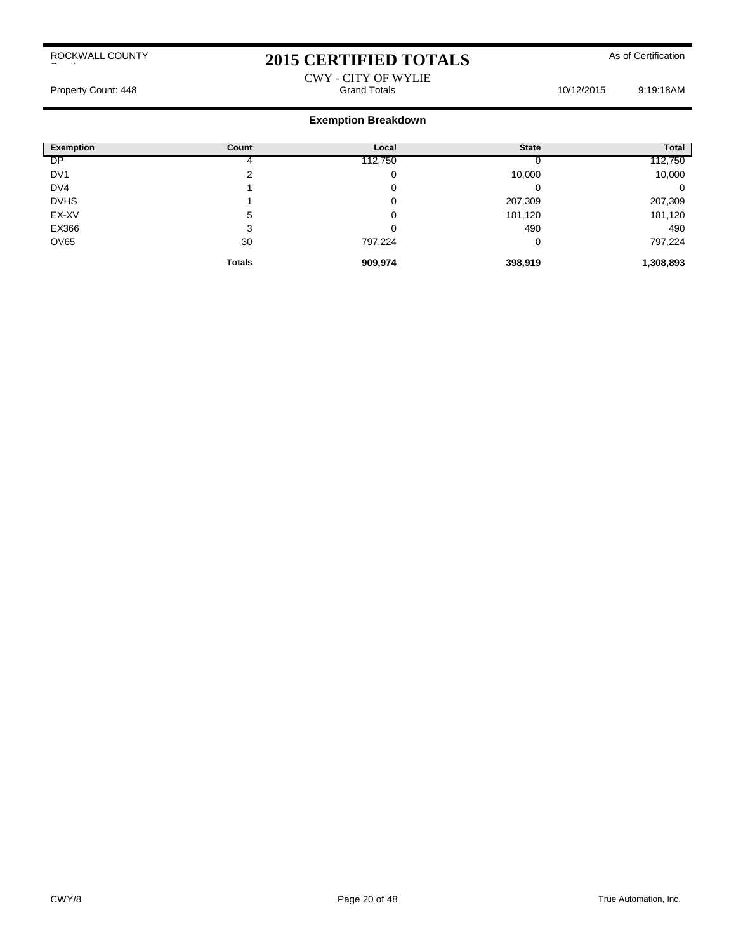# 2015 CERTIFIED TOTALS As of Certification

### CWY - CITY OF WYLIE Property Count: 448 **Property Count: 448** Crand Totals **Grand Totals** 10/12/2015 9:19:18AM

| <b>Exemption</b> | Count         | Local   | <b>State</b> | Total     |
|------------------|---------------|---------|--------------|-----------|
| <b>DP</b>        |               | 112,750 |              | 112,750   |
| DV <sub>1</sub>  | ົ             | 0       | 10,000       | 10,000    |
| DV4              |               | 0       |              | 0         |
| <b>DVHS</b>      |               | 0       | 207,309      | 207,309   |
| EX-XV            | 5             | 0       | 181,120      | 181,120   |
| EX366            | 3             | 0       | 490          | 490       |
| <b>OV65</b>      | 30            | 797,224 | 0            | 797,224   |
|                  | <b>Totals</b> | 909,974 | 398,919      | 1,308,893 |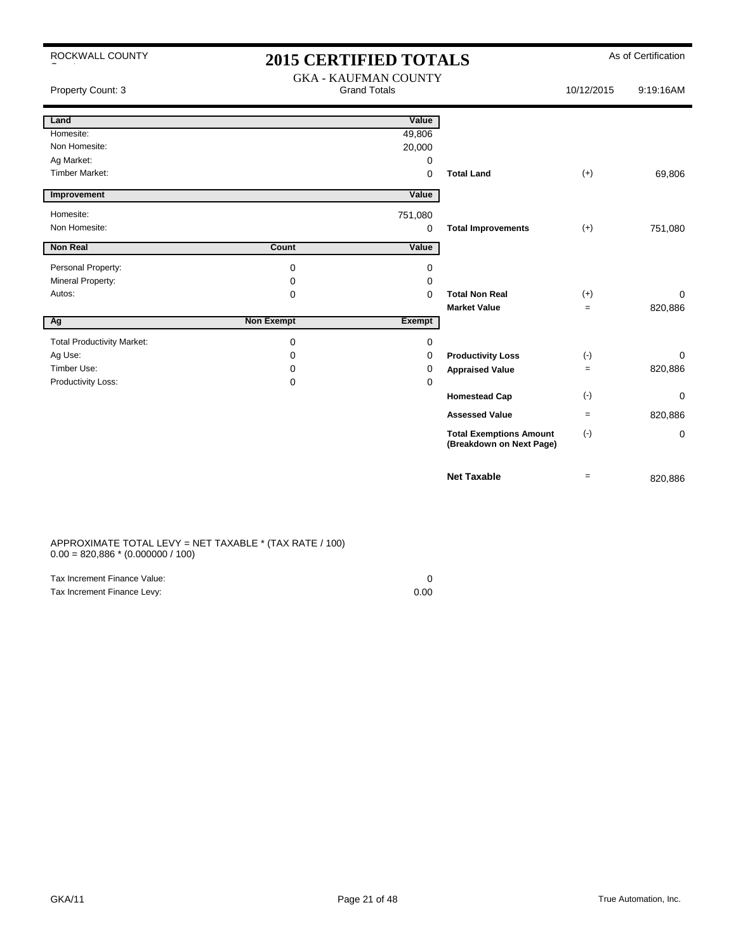| ROCKWALL COUNTY                   | <b>2015 CERTIFIED TOTALS</b> |                                                    |                                                            |                   | As of Certification |
|-----------------------------------|------------------------------|----------------------------------------------------|------------------------------------------------------------|-------------------|---------------------|
| Property Count: 3                 |                              | <b>GKA - KAUFMAN COUNTY</b><br><b>Grand Totals</b> |                                                            | 10/12/2015        | 9:19:16AM           |
| Land                              |                              | Value                                              |                                                            |                   |                     |
| Homesite:                         |                              | 49,806                                             |                                                            |                   |                     |
| Non Homesite:                     |                              | 20,000                                             |                                                            |                   |                     |
| Ag Market:                        |                              | 0                                                  |                                                            |                   |                     |
| <b>Timber Market:</b>             |                              | 0                                                  | <b>Total Land</b>                                          | $(+)$             | 69,806              |
| Improvement                       |                              | Value                                              |                                                            |                   |                     |
| Homesite:                         |                              | 751,080                                            |                                                            |                   |                     |
| Non Homesite:                     |                              | 0                                                  | <b>Total Improvements</b>                                  | $(+)$             | 751,080             |
| <b>Non Real</b>                   | Count                        | Value                                              |                                                            |                   |                     |
| Personal Property:                | 0                            | 0                                                  |                                                            |                   |                     |
| Mineral Property:                 | 0                            | 0                                                  |                                                            |                   |                     |
| Autos:                            | 0                            | $\Omega$                                           | <b>Total Non Real</b>                                      | $(+)$             | 0                   |
|                                   |                              |                                                    | <b>Market Value</b>                                        | $\qquad \qquad =$ | 820,886             |
| Ag                                | <b>Non Exempt</b>            | Exempt                                             |                                                            |                   |                     |
| <b>Total Productivity Market:</b> | 0                            | 0                                                  |                                                            |                   |                     |
| Ag Use:                           | 0                            | 0                                                  | <b>Productivity Loss</b>                                   | $(\cdot)$         | 0                   |
| Timber Use:                       | 0                            | 0                                                  | <b>Appraised Value</b>                                     | $=$               | 820,886             |
| Productivity Loss:                | 0                            | 0                                                  |                                                            |                   |                     |
|                                   |                              |                                                    | <b>Homestead Cap</b>                                       | $(\cdot)$         | 0                   |
|                                   |                              |                                                    | <b>Assessed Value</b>                                      | $\equiv$          | 820,886             |
|                                   |                              |                                                    | <b>Total Exemptions Amount</b><br>(Breakdown on Next Page) | $(\cdot)$         | 0                   |
|                                   |                              |                                                    | <b>Net Taxable</b>                                         | $=$               | 820,886             |

APPROXIMATE TOTAL LEVY = NET TAXABLE \* (TAX RATE / 100)  $0.00 = 820,886 * (0.000000 / 100)$ 

| Tax Increment Finance Value: |      |
|------------------------------|------|
| Tax Increment Finance Levy:  | 0.00 |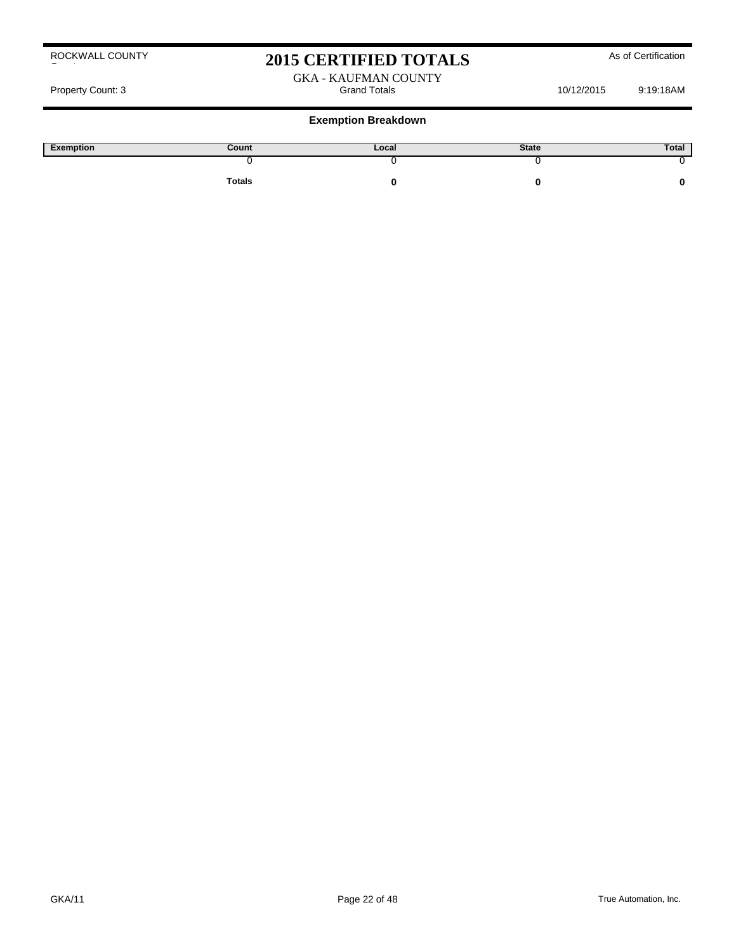# 2015 CERTIFIED TOTALS As of Certification

#### GKA - KAUFMAN COUNTY<br>Grand Totals Property Count: 3 and States 10/12/2015 9:19:18AM

| Exemption | Count         | Local | <b>State</b> | Total |
|-----------|---------------|-------|--------------|-------|
|           |               |       |              |       |
|           | <b>Totals</b> |       |              |       |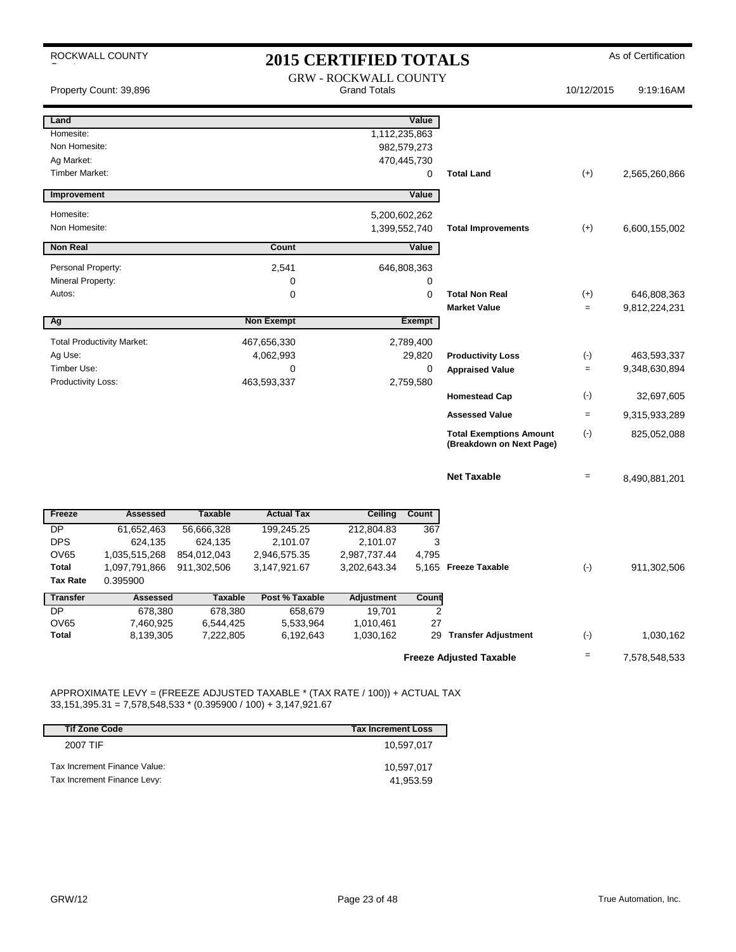|                          | ROCKWALL COUNTY                   | <b>2015 CERTIFIED TOTALS</b> |                        |                              |                |                                                            | As of Certification |               |
|--------------------------|-----------------------------------|------------------------------|------------------------|------------------------------|----------------|------------------------------------------------------------|---------------------|---------------|
|                          |                                   |                              |                        | <b>GRW - ROCKWALL COUNTY</b> |                |                                                            |                     |               |
|                          | Property Count: 39,896            |                              |                        | <b>Grand Totals</b>          |                |                                                            | 10/12/2015          | 9:19:16AM     |
| Land                     |                                   |                              |                        |                              | Value          |                                                            |                     |               |
| Homesite:                |                                   |                              |                        |                              | 1,112,235,863  |                                                            |                     |               |
| Non Homesite:            |                                   |                              |                        |                              | 982,579,273    |                                                            |                     |               |
| Ag Market:               |                                   |                              |                        |                              | 470,445,730    |                                                            |                     |               |
| <b>Timber Market:</b>    |                                   |                              |                        |                              | 0              | <b>Total Land</b>                                          | $(+)$               | 2,565,260,866 |
| Improvement              |                                   |                              |                        |                              | Value          |                                                            |                     |               |
| Homesite:                |                                   |                              |                        |                              | 5,200,602,262  |                                                            |                     |               |
| Non Homesite:            |                                   |                              |                        |                              | 1,399,552,740  | <b>Total Improvements</b>                                  | $(+)$               | 6,600,155,002 |
| <b>Non Real</b>          |                                   |                              | Count                  |                              | Value          |                                                            |                     |               |
| Personal Property:       |                                   |                              | 2,541                  |                              | 646,808,363    |                                                            |                     |               |
| Mineral Property:        |                                   |                              | 0                      |                              | 0              |                                                            |                     |               |
| Autos:                   |                                   |                              | 0                      |                              | $\Omega$       | <b>Total Non Real</b>                                      | $(+)$               | 646,808,363   |
|                          |                                   |                              |                        |                              |                | <b>Market Value</b>                                        | $=$                 | 9,812,224,231 |
| Ag                       |                                   |                              | <b>Non Exempt</b>      |                              | <b>Exempt</b>  |                                                            |                     |               |
|                          | <b>Total Productivity Market:</b> |                              | 467,656,330            |                              | 2,789,400      |                                                            |                     |               |
| Ag Use:                  |                                   |                              | 4,062,993              |                              | 29,820         | <b>Productivity Loss</b>                                   | $(\cdot)$           | 463,593,337   |
| Timber Use:              |                                   |                              | 0                      |                              | 0              | <b>Appraised Value</b>                                     | $\equiv$            | 9,348,630,894 |
| Productivity Loss:       |                                   |                              | 463,593,337            |                              | 2,759,580      |                                                            |                     |               |
|                          |                                   |                              |                        |                              |                | <b>Homestead Cap</b>                                       | $(\cdot)$           | 32,697,605    |
|                          |                                   |                              |                        |                              |                | <b>Assessed Value</b>                                      | $=$                 | 9,315,933,289 |
|                          |                                   |                              |                        |                              |                | <b>Total Exemptions Amount</b><br>(Breakdown on Next Page) | $(-)$               | 825,052,088   |
|                          |                                   |                              |                        |                              |                | <b>Net Taxable</b>                                         | $=$                 | 8,490,881,201 |
| Freeze                   | <b>Assessed</b>                   | <b>Taxable</b>               | <b>Actual Tax</b>      | Ceiling                      | Count          |                                                            |                     |               |
| <b>DP</b>                | 61,652,463                        | 56,666,328                   | 199,245.25             | 212,804.83                   | 367            |                                                            |                     |               |
| <b>DPS</b>               | 624,135                           | 624,135                      | 2,101.07               | 2,101.07                     | 3              |                                                            |                     |               |
| <b>OV65</b>              | 1,035,515,268                     | 854,012,043                  | 2,946,575.35           | 2,987,737.44                 | 4,795          |                                                            |                     |               |
| <b>Total</b>             | 1,097,791,866                     | 911,302,506                  | 3,147,921.67           | 3,202,643.34                 |                | 5,165 Freeze Taxable                                       | $(-)$               | 911,302,506   |
| <b>Tax Rate</b>          | 0.395900                          |                              |                        |                              |                |                                                            |                     |               |
| <b>Transfer</b>          | <b>Assessed</b>                   | <b>Taxable</b>               | Post % Taxable         | <b>Adjustment</b>            | Count          |                                                            |                     |               |
| <b>DP</b><br><b>OV65</b> | 678,380                           | 678,380                      | 658,679                | 19,701                       | $\overline{2}$ |                                                            |                     |               |
| <b>Total</b>             | 7,460,925<br>8,139,305            | 6,544,425<br>7,222,805       | 5,533,964<br>6,192,643 | 1,010,461<br>1,030,162       | 27             | 29 Transfer Adjustment                                     | $(\cdot)$           | 1,030,162     |
|                          |                                   |                              |                        |                              |                |                                                            |                     |               |
|                          |                                   |                              |                        |                              |                | <b>Freeze Adjusted Taxable</b>                             | $=$                 | 7,578,548,533 |

APPROXIMATE LEVY = (FREEZE ADJUSTED TAXABLE \* (TAX RATE / 100)) + ACTUAL TAX 33,151,395.31 = 7,578,548,533 \* (0.395900 / 100) + 3,147,921.67

| <b>Tif Zone Code</b>         | <b>Tax Increment Loss</b> |
|------------------------------|---------------------------|
| 2007 TIF                     | 10.597.017                |
| Tax Increment Finance Value: | 10.597.017                |
| Tax Increment Finance Levy:  | 41.953.59                 |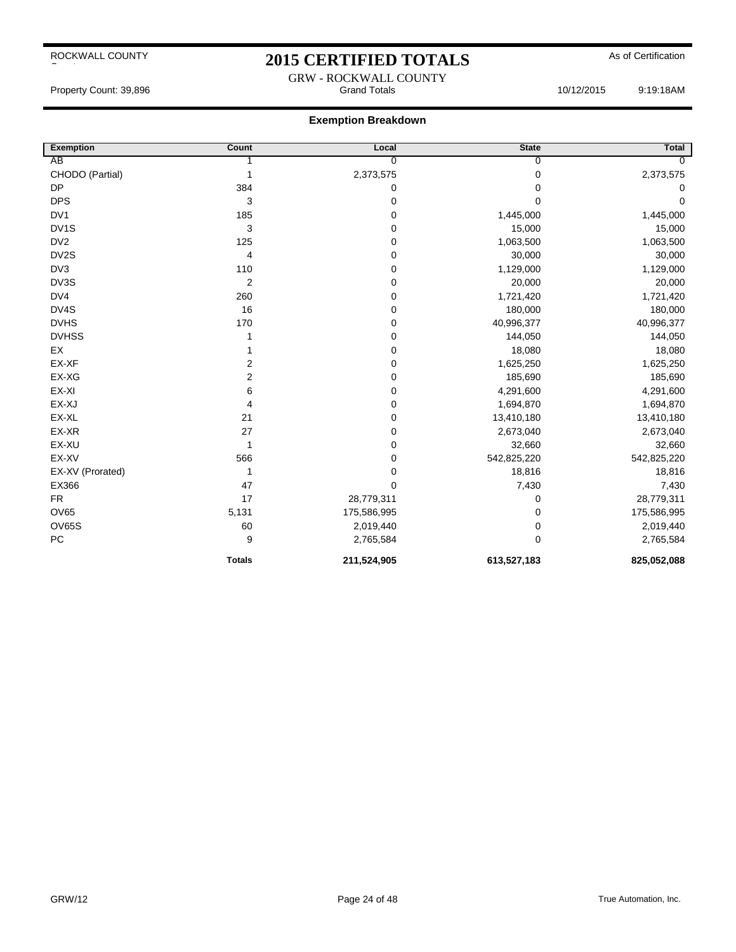## 2015 CERTIFIED TOTALS As of Certification GRW - ROCKWALL COUNTY

#### **Exemption Breakdown**

| <b>Exemption</b> | Count          | Local       | <b>State</b> | Total       |
|------------------|----------------|-------------|--------------|-------------|
| AB               |                | 0           | $\Omega$     |             |
| CHODO (Partial)  | 1              | 2,373,575   | 0            | 2,373,575   |
| <b>DP</b>        | 384            | 0           | $\Omega$     | 0           |
| <b>DPS</b>       | 3              | 0           | 0            | $\Omega$    |
| DV <sub>1</sub>  | 185            | 0           | 1,445,000    | 1,445,000   |
| DV1S             | 3              | 0           | 15,000       | 15,000      |
| DV <sub>2</sub>  | 125            | 0           | 1,063,500    | 1,063,500   |
| DV2S             | $\overline{4}$ | 0           | 30,000       | 30,000      |
| DV3              | 110            | 0           | 1,129,000    | 1,129,000   |
| DV3S             | $\overline{2}$ | 0           | 20,000       | 20,000      |
| DV4              | 260            | 0           | 1,721,420    | 1,721,420   |
| DV4S             | 16             | 0           | 180,000      | 180,000     |
| <b>DVHS</b>      | 170            | 0           | 40,996,377   | 40,996,377  |
| <b>DVHSS</b>     |                | 0           | 144,050      | 144,050     |
| EX               |                | 0           | 18,080       | 18,080      |
| EX-XF            | 2              | 0           | 1,625,250    | 1,625,250   |
| EX-XG            | $\overline{2}$ | 0           | 185,690      | 185,690     |
| EX-XI            | 6              | 0           | 4,291,600    | 4,291,600   |
| EX-XJ            | 4              | 0           | 1,694,870    | 1,694,870   |
| EX-XL            | 21             | 0           | 13,410,180   | 13,410,180  |
| EX-XR            | 27             | 0           | 2,673,040    | 2,673,040   |
| EX-XU            | 1              | 0           | 32,660       | 32,660      |
| EX-XV            | 566            | 0           | 542,825,220  | 542,825,220 |
| EX-XV (Prorated) | 1              | 0           | 18,816       | 18,816      |
| EX366            | 47             | 0           | 7,430        | 7,430       |
| <b>FR</b>        | 17             | 28,779,311  | 0            | 28,779,311  |
| <b>OV65</b>      | 5,131          | 175,586,995 | $\Omega$     | 175,586,995 |
| <b>OV65S</b>     | 60             | 2,019,440   | 0            | 2,019,440   |
| PC               | 9              | 2,765,584   | $\mathbf 0$  | 2,765,584   |
|                  | <b>Totals</b>  | 211,524,905 | 613,527,183  | 825,052,088 |

Property Count: 39,896 Grand Totals 10/12/2015 9:19:18AM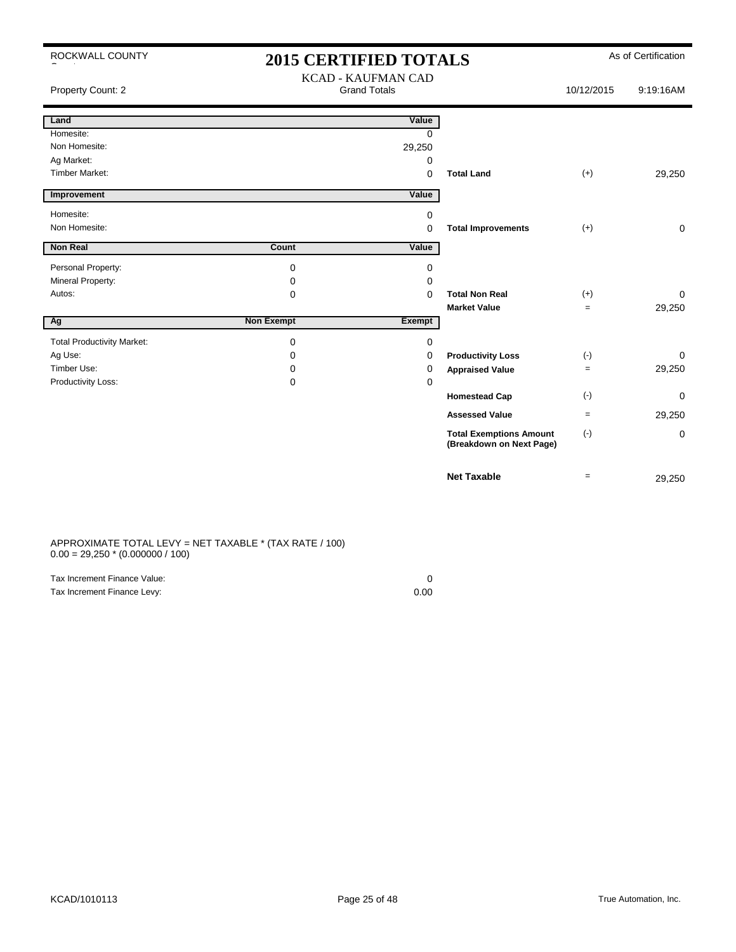| ROCKWALL COUNTY                   | <b>2015 CERTIFIED TOTALS</b> |                                                  |                                                            | As of Certification |             |
|-----------------------------------|------------------------------|--------------------------------------------------|------------------------------------------------------------|---------------------|-------------|
| Property Count: 2                 |                              | <b>KCAD - KAUFMAN CAD</b><br><b>Grand Totals</b> |                                                            | 10/12/2015          | 9:19:16AM   |
| Land                              |                              | Value                                            |                                                            |                     |             |
| Homesite:                         |                              | <sup>0</sup>                                     |                                                            |                     |             |
| Non Homesite:                     |                              | 29,250                                           |                                                            |                     |             |
| Ag Market:                        |                              | 0                                                |                                                            |                     |             |
| <b>Timber Market:</b>             |                              | 0                                                | <b>Total Land</b>                                          | $(+)$               | 29,250      |
| Improvement                       |                              | Value                                            |                                                            |                     |             |
| Homesite:                         |                              | 0                                                |                                                            |                     |             |
| Non Homesite:                     |                              | 0                                                | <b>Total Improvements</b>                                  | $(+)$               | 0           |
| <b>Non Real</b>                   | Count                        | Value                                            |                                                            |                     |             |
| Personal Property:                | $\mathbf 0$                  | 0                                                |                                                            |                     |             |
| Mineral Property:                 | 0                            | 0                                                |                                                            |                     |             |
| Autos:                            | $\mathbf 0$                  | 0                                                | <b>Total Non Real</b>                                      | $(+)$               | $\Omega$    |
|                                   |                              |                                                  | <b>Market Value</b>                                        | $=$                 | 29,250      |
| Ag                                | <b>Non Exempt</b>            | Exempt                                           |                                                            |                     |             |
| <b>Total Productivity Market:</b> | $\mathbf 0$                  | 0                                                |                                                            |                     |             |
| Ag Use:                           | 0                            | 0                                                | <b>Productivity Loss</b>                                   | $(\cdot)$           | $\Omega$    |
| Timber Use:                       | $\Omega$                     | 0                                                | <b>Appraised Value</b>                                     | $=$                 | 29,250      |
| Productivity Loss:                | 0                            | 0                                                |                                                            |                     |             |
|                                   |                              |                                                  | <b>Homestead Cap</b>                                       | $(-)$               | $\mathbf 0$ |
|                                   |                              |                                                  | <b>Assessed Value</b>                                      | $=$                 | 29,250      |
|                                   |                              |                                                  | <b>Total Exemptions Amount</b><br>(Breakdown on Next Page) | $(-)$               | 0           |
|                                   |                              |                                                  | <b>Net Taxable</b>                                         | $=$                 | 29,250      |

#### APPROXIMATE TOTAL LEVY = NET TAXABLE \* (TAX RATE / 100)  $0.00 = 29{,}250 * (0.000000 / 100)$

| Tax Increment Finance Value: |      |
|------------------------------|------|
| Tax Increment Finance Levy:  | 0.00 |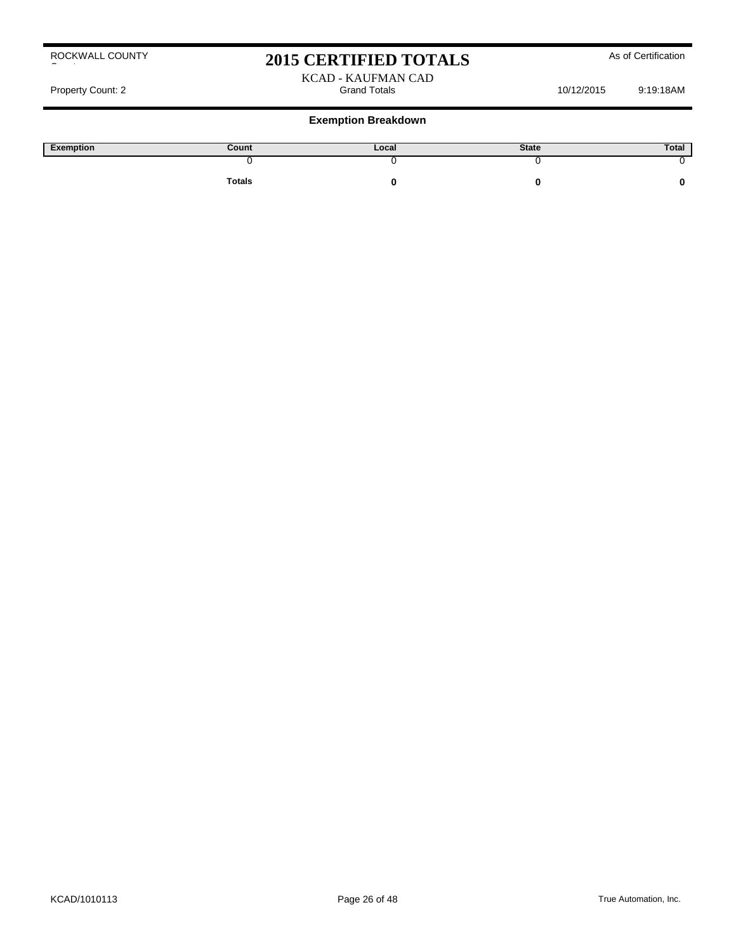# 2015 CERTIFIED TOTALS As of Certification

#### KCAD - KAUFMAN CAD Property Count: 2 Crand Totals Grand Totals 10/12/2015 9:19:18AM

| Exemption | Count         | Local | <b>State</b> | Total |
|-----------|---------------|-------|--------------|-------|
|           |               |       |              |       |
|           | <b>Totals</b> |       |              |       |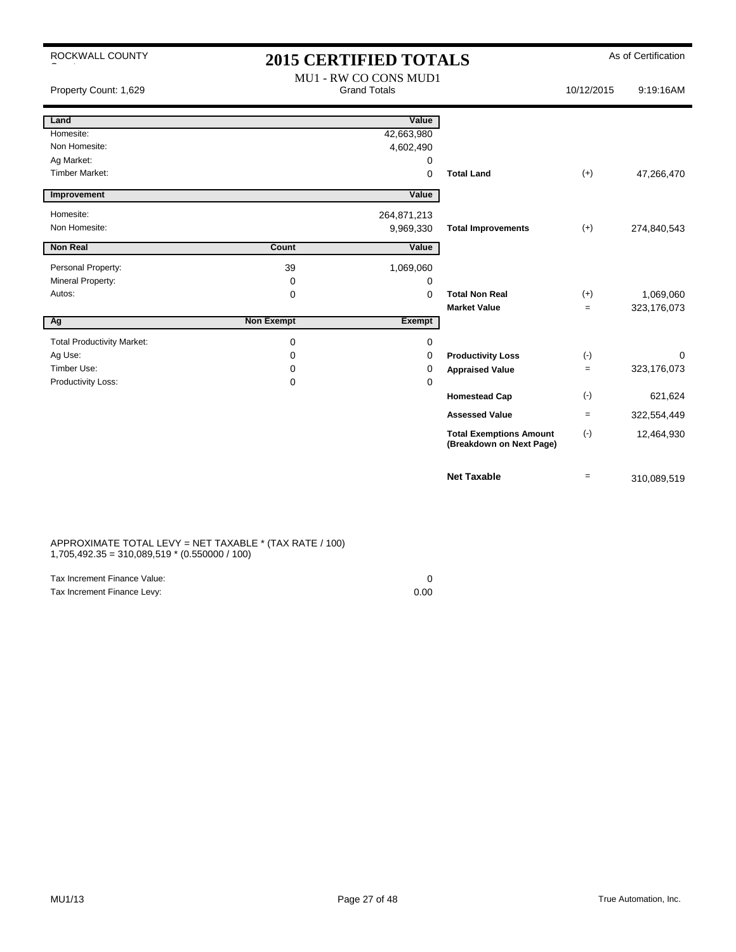| ROCKWALL COUNTY                   |                   | <b>2015 CERTIFIED TOTALS</b>                 |                                                            |                   | As of Certification |
|-----------------------------------|-------------------|----------------------------------------------|------------------------------------------------------------|-------------------|---------------------|
| Property Count: 1,629             |                   | MU1 - RW CO CONS MUD1<br><b>Grand Totals</b> |                                                            | 10/12/2015        | 9:19:16AM           |
| Land                              |                   | Value                                        |                                                            |                   |                     |
| Homesite:                         |                   | 42,663,980                                   |                                                            |                   |                     |
| Non Homesite:                     |                   | 4,602,490                                    |                                                            |                   |                     |
| Ag Market:                        |                   | 0                                            |                                                            |                   |                     |
| <b>Timber Market:</b>             |                   | $\mathbf 0$                                  | <b>Total Land</b>                                          | $(+)$             | 47,266,470          |
| Improvement                       |                   | Value                                        |                                                            |                   |                     |
| Homesite:                         |                   | 264,871,213                                  |                                                            |                   |                     |
| Non Homesite:                     |                   | 9,969,330                                    | <b>Total Improvements</b>                                  | $(+)$             | 274,840,543         |
| <b>Non Real</b>                   | Count             | Value                                        |                                                            |                   |                     |
| Personal Property:                | 39                | 1,069,060                                    |                                                            |                   |                     |
| Mineral Property:                 | 0                 | 0                                            |                                                            |                   |                     |
| Autos:                            | $\mathbf 0$       | $\Omega$                                     | <b>Total Non Real</b>                                      | $(+)$             | 1,069,060           |
|                                   |                   |                                              | <b>Market Value</b>                                        | $=$               | 323,176,073         |
| $\overline{Ag}$                   | <b>Non Exempt</b> | Exempt                                       |                                                            |                   |                     |
| <b>Total Productivity Market:</b> | 0                 | 0                                            |                                                            |                   |                     |
| Ag Use:                           | 0                 | 0                                            | <b>Productivity Loss</b>                                   | $(-)$             | $\Omega$            |
| Timber Use:                       | 0                 | 0                                            | <b>Appraised Value</b>                                     | $\qquad \qquad =$ | 323,176,073         |
| Productivity Loss:                | 0                 | $\mathbf 0$                                  |                                                            |                   |                     |
|                                   |                   |                                              | <b>Homestead Cap</b>                                       | $(\cdot)$         | 621,624             |
|                                   |                   |                                              | <b>Assessed Value</b>                                      | $=$               | 322,554,449         |
|                                   |                   |                                              | <b>Total Exemptions Amount</b><br>(Breakdown on Next Page) | $(\cdot)$         | 12,464,930          |
|                                   |                   |                                              | <b>Net Taxable</b>                                         | $=$               | 310,089,519         |

#### APPROXIMATE TOTAL LEVY = NET TAXABLE \* (TAX RATE / 100) 1,705,492.35 = 310,089,519 \* (0.550000 / 100)

| Tax Increment Finance Value: |      |
|------------------------------|------|
| Tax Increment Finance Levy:  | 0.00 |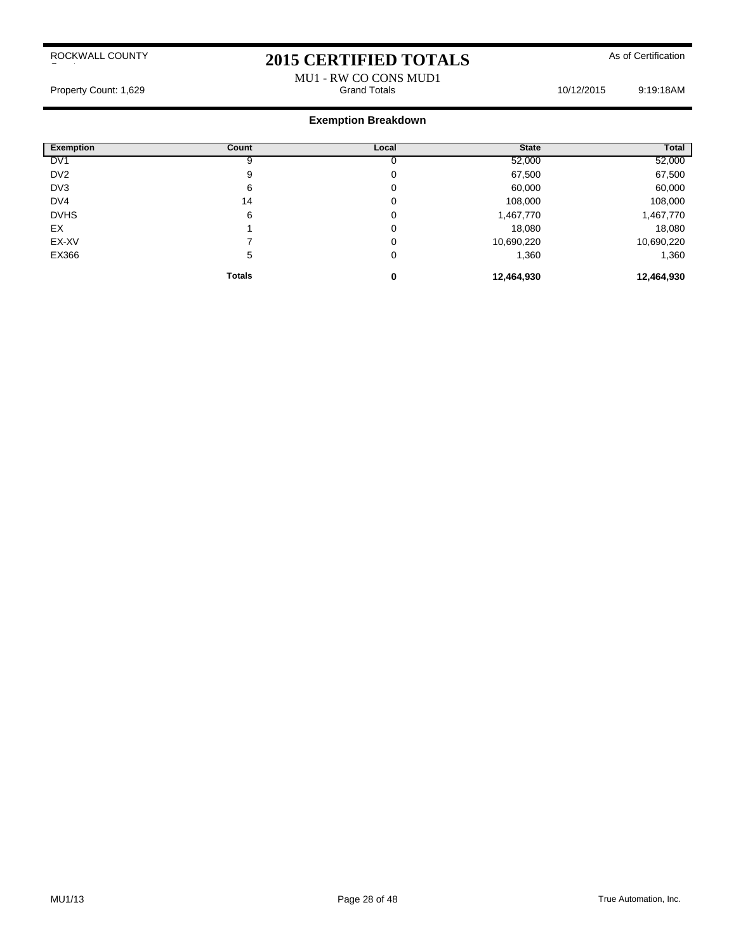# 2015 CERTIFIED TOTALS As of Certification

#### MU1 - RW CO CONS MUD1<br>Grand Totals Property Count: 1,629 **Count: 1,629** Crand Totals **10/12/2015** 9:19:18AM

| <b>Exemption</b> | Count         | Local | <b>State</b> | Total      |
|------------------|---------------|-------|--------------|------------|
| DV <sub>1</sub>  | 9             |       | 52,000       | 52,000     |
| DV <sub>2</sub>  | 9             | 0     | 67,500       | 67,500     |
| DV3              | 6             | 0     | 60,000       | 60,000     |
| DV4              | 14            | 0     | 108,000      | 108,000    |
| <b>DVHS</b>      | 6             | 0     | 1,467,770    | 1,467,770  |
| EX               |               | 0     | 18,080       | 18,080     |
| EX-XV            |               | 0     | 10,690,220   | 10,690,220 |
| EX366            | 5             | 0     | 1,360        | 1,360      |
|                  | <b>Totals</b> | 0     | 12,464,930   | 12,464,930 |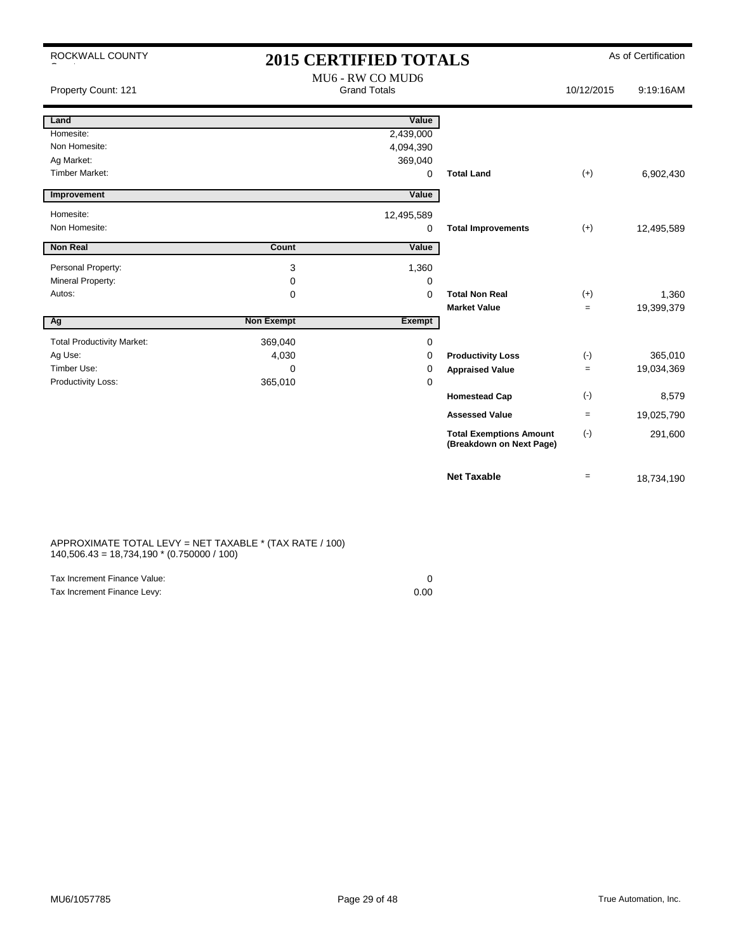| ROCKWALL COUNTY                   | <b>2015 CERTIFIED TOTALS</b> |                                         |                                                            | As of Certification |            |
|-----------------------------------|------------------------------|-----------------------------------------|------------------------------------------------------------|---------------------|------------|
| Property Count: 121               |                              | MU6 - RW CO MUD6<br><b>Grand Totals</b> |                                                            | 10/12/2015          | 9:19:16AM  |
| Land                              |                              | Value                                   |                                                            |                     |            |
| Homesite:                         |                              | 2,439,000                               |                                                            |                     |            |
| Non Homesite:                     |                              | 4,094,390                               |                                                            |                     |            |
| Ag Market:                        |                              | 369,040                                 |                                                            |                     |            |
| Timber Market:                    |                              | 0                                       | <b>Total Land</b>                                          | $(+)$               | 6,902,430  |
| Improvement                       |                              | Value                                   |                                                            |                     |            |
| Homesite:                         |                              | 12,495,589                              |                                                            |                     |            |
| Non Homesite:                     |                              | 0                                       | <b>Total Improvements</b>                                  | $(+)$               | 12,495,589 |
| Non Real                          | Count                        | Value                                   |                                                            |                     |            |
| Personal Property:                | 3                            | 1,360                                   |                                                            |                     |            |
| Mineral Property:                 | 0                            | 0                                       |                                                            |                     |            |
| Autos:                            | $\Omega$                     | $\Omega$                                | <b>Total Non Real</b>                                      | $(+)$               | 1,360      |
|                                   |                              |                                         | <b>Market Value</b>                                        | $\equiv$            | 19,399,379 |
| Ag                                | <b>Non Exempt</b>            | Exempt                                  |                                                            |                     |            |
| <b>Total Productivity Market:</b> | 369,040                      | 0                                       |                                                            |                     |            |
| Ag Use:                           | 4,030                        | 0                                       | <b>Productivity Loss</b>                                   | $(-)$               | 365,010    |
| Timber Use:                       | $\Omega$                     | 0                                       | <b>Appraised Value</b>                                     | $\qquad \qquad =$   | 19,034,369 |
| Productivity Loss:                | 365,010                      | 0                                       |                                                            |                     |            |
|                                   |                              |                                         | <b>Homestead Cap</b>                                       | $(-)$               | 8,579      |
|                                   |                              |                                         | <b>Assessed Value</b>                                      | $=$                 | 19,025,790 |
|                                   |                              |                                         | <b>Total Exemptions Amount</b><br>(Breakdown on Next Page) | $(\cdot)$           | 291,600    |
|                                   |                              |                                         | <b>Net Taxable</b>                                         | $\qquad \qquad =$   | 18,734,190 |

#### APPROXIMATE TOTAL LEVY = NET TAXABLE \* (TAX RATE / 100) 140,506.43 = 18,734,190 \* (0.750000 / 100)

| Tax Increment Finance Value: |      |
|------------------------------|------|
| Tax Increment Finance Levy:  | 0.00 |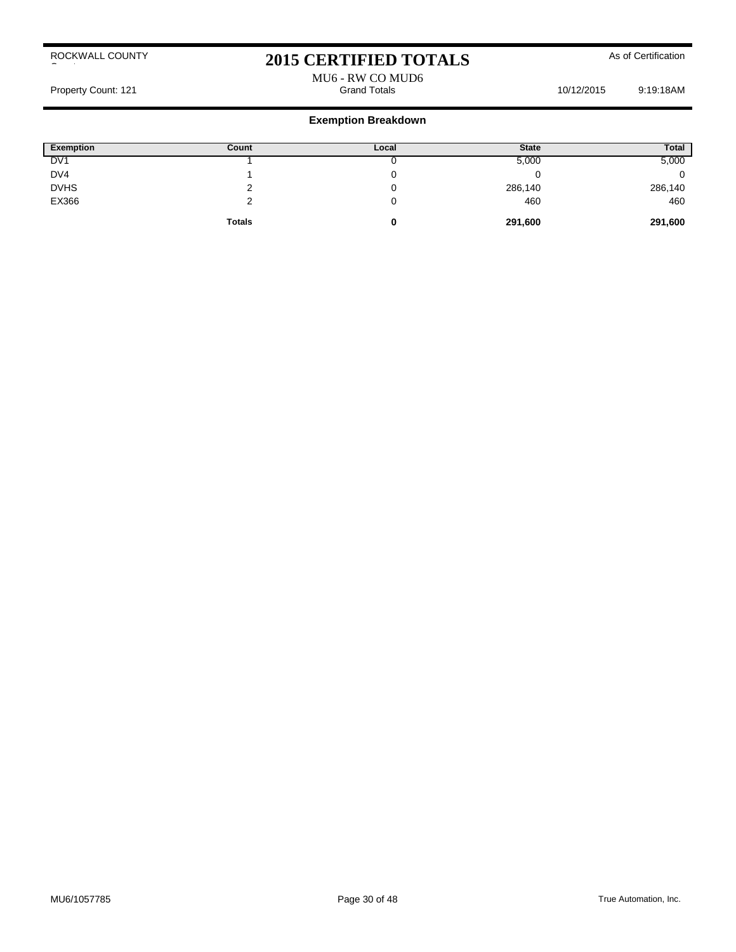# 2015 CERTIFIED TOTALS As of Certification

# MU6 - RW CO MUD6

Property Count: 121 **Property Count: 121 Grand Totals** 10/12/2015 9:19:18AM

| Exemption       | Count         | Local | <b>State</b> | Total   |
|-----------------|---------------|-------|--------------|---------|
| DV <sub>1</sub> |               |       | 5,000        | 5,000   |
| DV4             |               |       |              |         |
| <b>DVHS</b>     |               |       | 286,140      | 286,140 |
| EX366           |               |       | 460          | 460     |
|                 | <b>Totals</b> | U     | 291,600      | 291,600 |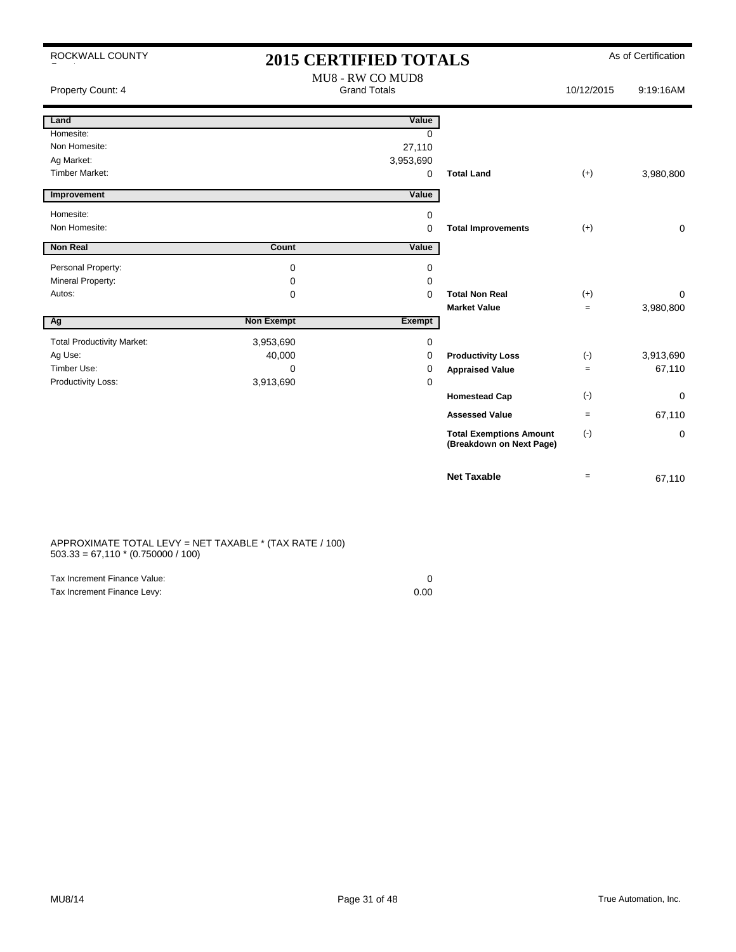| ROCKWALL COUNTY                   |                   | <b>2015 CERTIFIED TOTALS</b>            |                                                            |            | As of Certification |
|-----------------------------------|-------------------|-----------------------------------------|------------------------------------------------------------|------------|---------------------|
| Property Count: 4                 |                   | MU8 - RW CO MUD8<br><b>Grand Totals</b> |                                                            | 10/12/2015 | 9:19:16AM           |
| Land                              |                   | Value                                   |                                                            |            |                     |
| Homesite:                         |                   | 0                                       |                                                            |            |                     |
| Non Homesite:                     |                   | 27,110                                  |                                                            |            |                     |
| Ag Market:                        |                   | 3,953,690                               |                                                            |            |                     |
| <b>Timber Market:</b>             |                   | 0                                       | <b>Total Land</b>                                          | $(+)$      | 3,980,800           |
| Improvement                       |                   | Value                                   |                                                            |            |                     |
| Homesite:                         |                   | 0                                       |                                                            |            |                     |
| Non Homesite:                     |                   | 0                                       | <b>Total Improvements</b>                                  | $(+)$      | $\mathbf 0$         |
| <b>Non Real</b>                   | Count             | Value                                   |                                                            |            |                     |
|                                   |                   |                                         |                                                            |            |                     |
| Personal Property:                | 0                 | 0                                       |                                                            |            |                     |
| Mineral Property:                 | 0                 | 0                                       |                                                            |            |                     |
| Autos:                            | 0                 | $\mathbf 0$                             | <b>Total Non Real</b>                                      | $(+)$      | $\Omega$            |
|                                   | <b>Non Exempt</b> |                                         | <b>Market Value</b>                                        | $=$        | 3,980,800           |
| Ag                                |                   | Exempt                                  |                                                            |            |                     |
| <b>Total Productivity Market:</b> | 3,953,690         | 0                                       |                                                            |            |                     |
| Ag Use:                           | 40,000            | 0                                       | <b>Productivity Loss</b>                                   | $(-)$      | 3,913,690           |
| Timber Use:                       | $\Omega$          | 0                                       | <b>Appraised Value</b>                                     | $=$        | 67,110              |
| Productivity Loss:                | 3,913,690         | 0                                       |                                                            |            |                     |
|                                   |                   |                                         | <b>Homestead Cap</b>                                       | $(-)$      | 0                   |
|                                   |                   |                                         | <b>Assessed Value</b>                                      | $=$        | 67,110              |
|                                   |                   |                                         | <b>Total Exemptions Amount</b><br>(Breakdown on Next Page) | $(-)$      | 0                   |
|                                   |                   |                                         | <b>Net Taxable</b>                                         | $=$        | 67,110              |

APPROXIMATE TOTAL LEVY = NET TAXABLE \* (TAX RATE / 100) 503.33 = 67,110 \* (0.750000 / 100)

| Tax Increment Finance Value: |      |
|------------------------------|------|
| Tax Increment Finance Levy:  | 0.00 |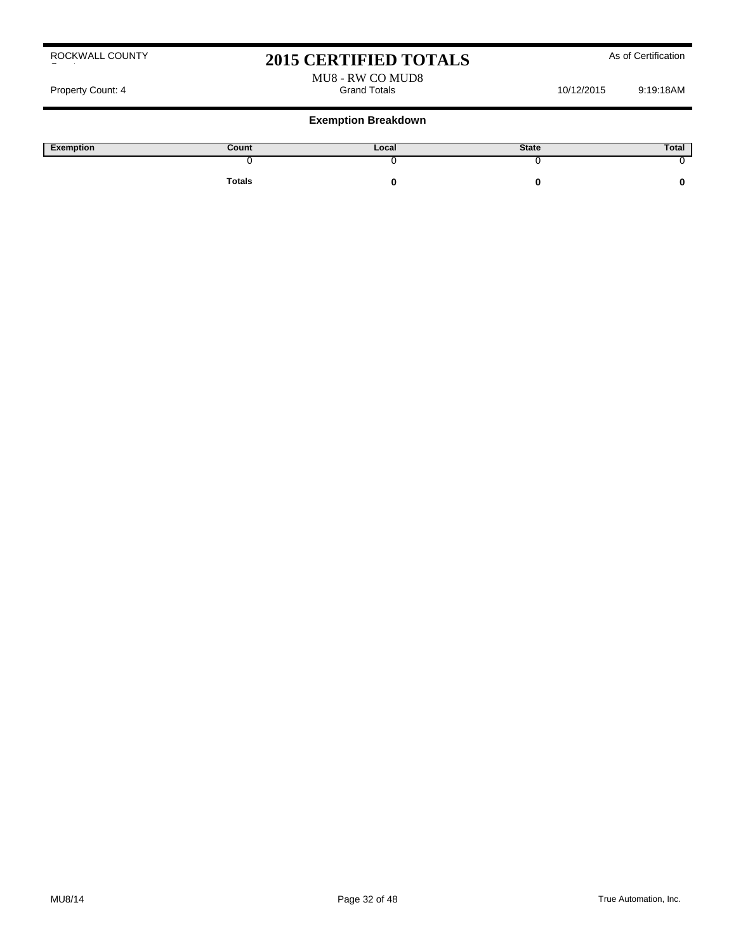## 2015 CERTIFIED TOTALS As of Certification

MU8 - RW CO MUD8

Property Count: 4 Grand Totals 10/12/2015 9:19:18AM

#### **Exemption Breakdown**

| Exemption | Count         | Local | <b>State</b> | Total |
|-----------|---------------|-------|--------------|-------|
|           |               |       |              |       |
|           | <b>Totals</b> |       |              |       |

ROCKWALL COUNTY County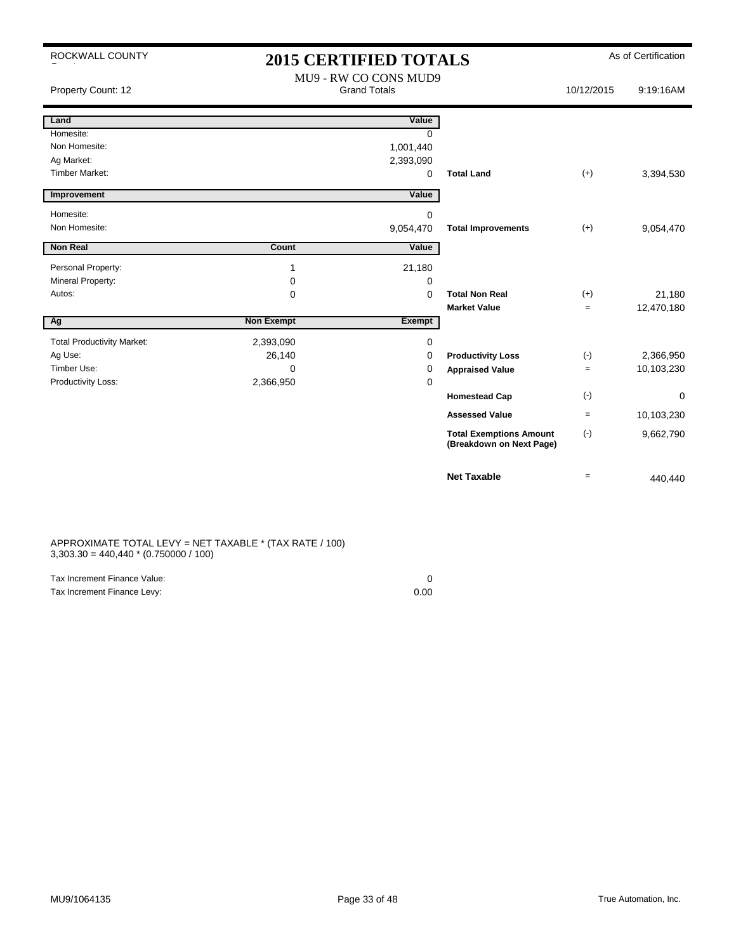|  | ROCKWALL COUNTY |
|--|-----------------|
|  |                 |

### 2015 CERTIFIED TOTALS As of Certification MU9 - RW CO CONS MUD9

| Property Count: 12                |                   | MUZ - KW CO CONS MUDZ<br><b>Grand Totals</b> |                                                            | 10/12/2015 | 9:19:16AM  |
|-----------------------------------|-------------------|----------------------------------------------|------------------------------------------------------------|------------|------------|
| Land                              |                   | Value                                        |                                                            |            |            |
| Homesite:                         |                   | $\Omega$                                     |                                                            |            |            |
| Non Homesite:                     |                   | 1,001,440                                    |                                                            |            |            |
| Ag Market:                        |                   | 2,393,090                                    |                                                            |            |            |
| <b>Timber Market:</b>             |                   | 0                                            | <b>Total Land</b>                                          | $(+)$      | 3,394,530  |
| Improvement                       |                   | Value                                        |                                                            |            |            |
| Homesite:                         |                   | $\mathbf 0$                                  |                                                            |            |            |
| Non Homesite:                     |                   | 9,054,470                                    | <b>Total Improvements</b>                                  | $(+)$      | 9,054,470  |
| <b>Non Real</b>                   | Count             | Value                                        |                                                            |            |            |
| Personal Property:                | 1                 | 21,180                                       |                                                            |            |            |
| Mineral Property:                 | 0                 | 0                                            |                                                            |            |            |
| Autos:                            | $\mathbf 0$       | 0                                            | <b>Total Non Real</b>                                      | $(+)$      | 21,180     |
|                                   |                   |                                              | <b>Market Value</b>                                        | $=$        | 12,470,180 |
| Ag                                | <b>Non Exempt</b> | Exempt                                       |                                                            |            |            |
| <b>Total Productivity Market:</b> | 2,393,090         | 0                                            |                                                            |            |            |
| Ag Use:                           | 26,140            | 0                                            | <b>Productivity Loss</b>                                   | $(\cdot)$  | 2,366,950  |
| Timber Use:                       | 0                 | 0                                            | <b>Appraised Value</b>                                     | $=$        | 10,103,230 |
| Productivity Loss:                | 2,366,950         | 0                                            |                                                            |            |            |
|                                   |                   |                                              | <b>Homestead Cap</b>                                       | $(\cdot)$  | 0          |
|                                   |                   |                                              | <b>Assessed Value</b>                                      | $=$        | 10,103,230 |
|                                   |                   |                                              | <b>Total Exemptions Amount</b><br>(Breakdown on Next Page) | $(\cdot)$  | 9,662,790  |
|                                   |                   |                                              | <b>Net Taxable</b>                                         | $=$        | 440,440    |

APPROXIMATE TOTAL LEVY = NET TAXABLE \* (TAX RATE / 100) 3,303.30 = 440,440 \* (0.750000 / 100)

| Tax Increment Finance Value: |      |
|------------------------------|------|
| Tax Increment Finance Levy:  | 0.00 |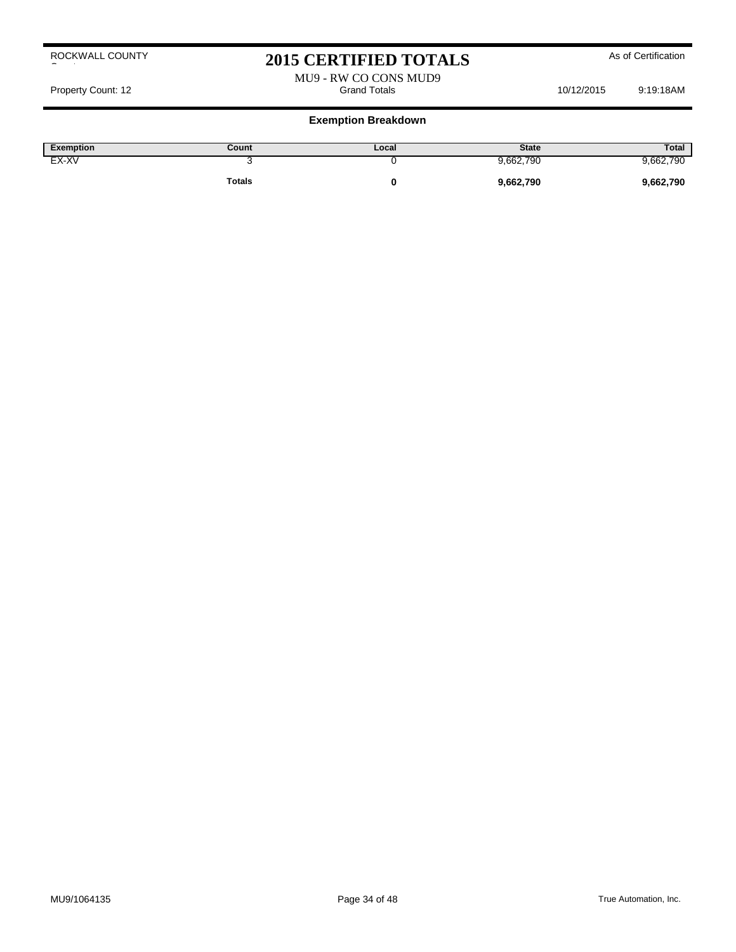# 2015 CERTIFIED TOTALS As of Certification

MU9 - RW CO CONS MUD9<br>Grand Totals Property Count: 12 **Property Count: 12** Crand Totals **10/12/2015** 9:19:18AM

#### **Exemption Breakdown**

| Exemption | Count  | Local | <b>State</b> | Total     |
|-----------|--------|-------|--------------|-----------|
| EX-XV     |        |       | 9,662,790    | 9,662,790 |
|           | Totals |       | 9,662,790    | 9,662,790 |

#### ROCKWALL COUNTY County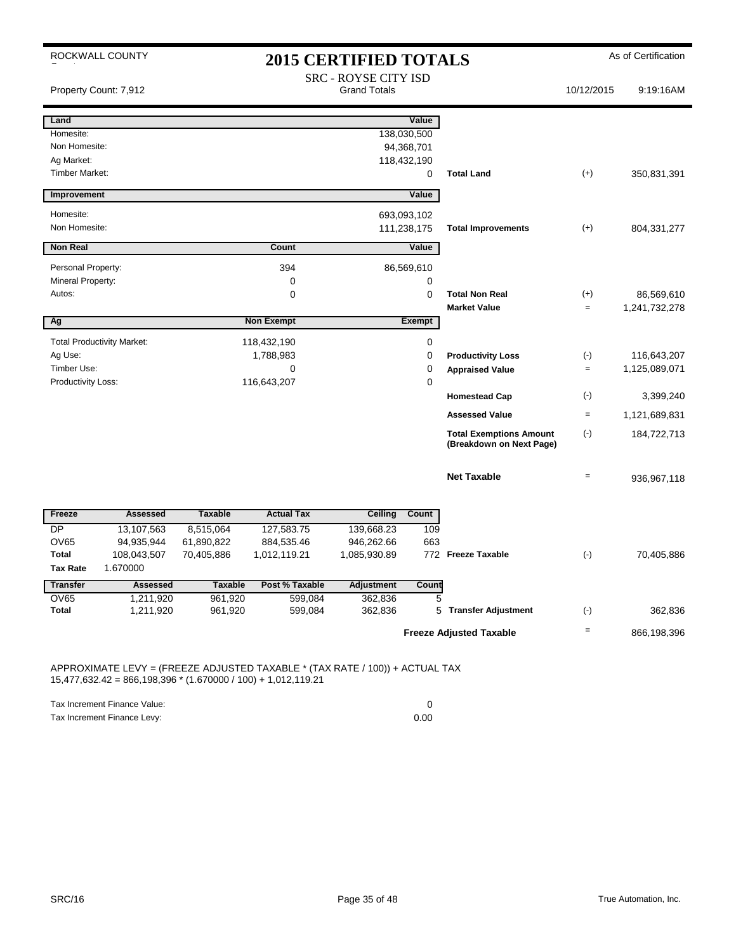|                          | ROCKWALL COUNTY                   |                |                   | <b>2015 CERTIFIED TOTALS</b>                |             |                                                            |            | As of Certification |
|--------------------------|-----------------------------------|----------------|-------------------|---------------------------------------------|-------------|------------------------------------------------------------|------------|---------------------|
|                          | Property Count: 7,912             |                |                   | SRC - ROYSE CITY ISD<br><b>Grand Totals</b> |             |                                                            | 10/12/2015 | 9:19:16AM           |
| Land                     |                                   |                |                   |                                             | Value       |                                                            |            |                     |
| Homesite:                |                                   |                |                   |                                             | 138,030,500 |                                                            |            |                     |
| Non Homesite:            |                                   |                |                   |                                             | 94,368,701  |                                                            |            |                     |
| Ag Market:               |                                   |                |                   |                                             | 118,432,190 |                                                            |            |                     |
| <b>Timber Market:</b>    |                                   |                |                   |                                             | 0           | <b>Total Land</b>                                          | $(+)$      | 350,831,391         |
| Improvement              |                                   |                |                   |                                             | Value       |                                                            |            |                     |
| Homesite:                |                                   |                |                   |                                             | 693,093,102 |                                                            |            |                     |
| Non Homesite:            |                                   |                |                   |                                             | 111,238,175 | <b>Total Improvements</b>                                  | $(+)$      | 804, 331, 277       |
| <b>Non Real</b>          |                                   |                | Count             |                                             | Value       |                                                            |            |                     |
| Personal Property:       |                                   |                | 394               |                                             | 86,569,610  |                                                            |            |                     |
| Mineral Property:        |                                   |                | $\mathbf 0$       |                                             | 0           |                                                            |            |                     |
| Autos:                   |                                   |                | $\mathbf 0$       |                                             | 0           | <b>Total Non Real</b>                                      | $(+)$      | 86,569,610          |
|                          |                                   |                |                   |                                             |             | <b>Market Value</b>                                        | $=$        | 1,241,732,278       |
| Ag                       |                                   |                | <b>Non Exempt</b> |                                             | Exempt      |                                                            |            |                     |
|                          | <b>Total Productivity Market:</b> |                | 118,432,190       |                                             | 0           |                                                            |            |                     |
| Ag Use:                  |                                   |                | 1,788,983         |                                             | 0           | <b>Productivity Loss</b>                                   | $(\cdot)$  | 116,643,207         |
| Timber Use:              |                                   |                | $\mathbf 0$       |                                             | 0           | <b>Appraised Value</b>                                     | $=$        | 1,125,089,071       |
| Productivity Loss:       |                                   |                | 116,643,207       |                                             | 0           | <b>Homestead Cap</b>                                       | $(\cdot)$  | 3,399,240           |
|                          |                                   |                |                   |                                             |             |                                                            |            |                     |
|                          |                                   |                |                   |                                             |             | <b>Assessed Value</b>                                      | $=$        | 1,121,689,831       |
|                          |                                   |                |                   |                                             |             | <b>Total Exemptions Amount</b><br>(Breakdown on Next Page) | $(-)$      | 184,722,713         |
|                          |                                   |                |                   |                                             |             |                                                            |            |                     |
|                          |                                   |                |                   |                                             |             | <b>Net Taxable</b>                                         | $=$        | 936,967,118         |
|                          |                                   |                |                   |                                             |             |                                                            |            |                     |
| Freeze                   | Assessed                          | <b>Taxable</b> | <b>Actual Tax</b> | Ceiling                                     | Count       |                                                            |            |                     |
| <b>DP</b>                | 13,107,563                        | 8,515,064      | 127,583.75        | 139,668.23                                  | 109         |                                                            |            |                     |
| <b>OV65</b>              | 94,935,944                        | 61,890,822     | 884,535.46        | 946,262.66                                  | 663         |                                                            |            |                     |
| Total<br><b>Tax Rate</b> | 108,043,507<br>1.670000           | 70,405,886     | 1,012,119.21      | 1,085,930.89                                |             | 772 Freeze Taxable                                         | $(\cdot)$  | 70,405,886          |
| <b>Transfer</b>          | <b>Assessed</b>                   | <b>Taxable</b> | Post % Taxable    | <b>Adjustment</b>                           | Count       |                                                            |            |                     |
| <b>OV65</b>              | 1,211,920                         | 961,920        | 599,084           | 362,836                                     | 5           |                                                            |            |                     |
| <b>Total</b>             | 1,211,920                         | 961,920        | 599,084           | 362,836                                     | 5           | <b>Transfer Adjustment</b>                                 | $(\cdot)$  | 362,836             |
|                          |                                   |                |                   |                                             |             |                                                            | $=$        |                     |
|                          |                                   |                |                   |                                             |             | <b>Freeze Adjusted Taxable</b>                             |            | 866,198,396         |

APPROXIMATE LEVY = (FREEZE ADJUSTED TAXABLE \* (TAX RATE / 100)) + ACTUAL TAX 15,477,632.42 = 866,198,396 \* (1.670000 / 100) + 1,012,119.21

Tax Increment Finance Value: 0

Tax Increment Finance Levy: 0.00

SRC/16 True Automation, Inc.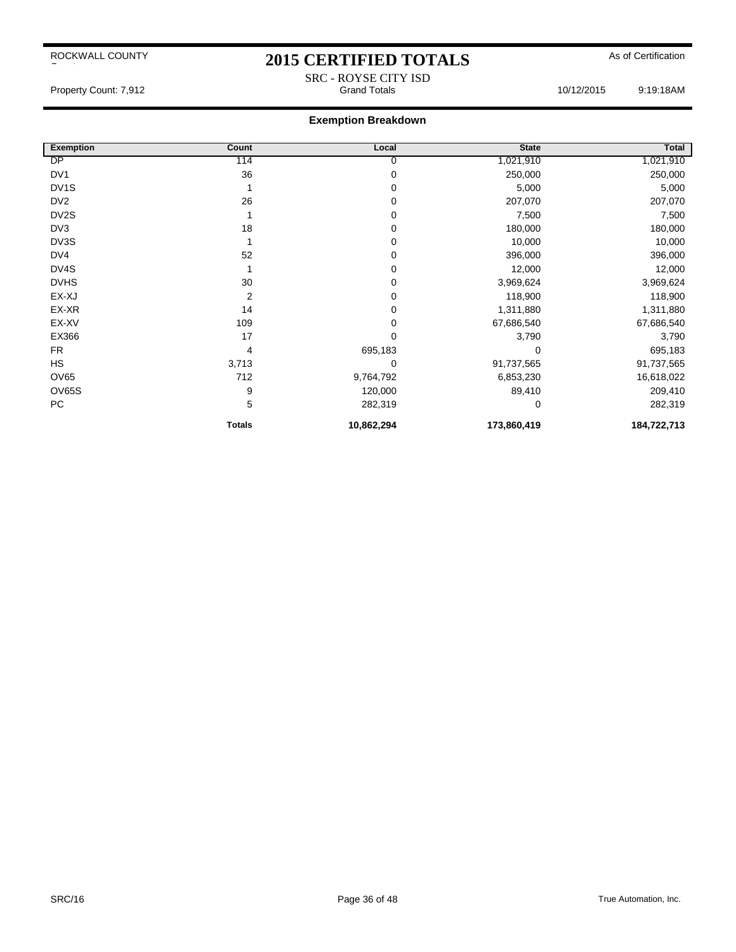# 2015 CERTIFIED TOTALS As of Certification

#### **Exemption Breakdown**

| <b>Exemption</b>  | Count         | Local      | <b>State</b> | Total       |
|-------------------|---------------|------------|--------------|-------------|
| DP                | 114           | 0          | 1,021,910    | 1,021,910   |
| DV <sub>1</sub>   | 36            | 0          | 250,000      | 250,000     |
| DV <sub>1</sub> S |               | 0          | 5,000        | 5,000       |
| DV <sub>2</sub>   | 26            | 0          | 207,070      | 207,070     |
| DV <sub>2</sub> S |               | 0          | 7,500        | 7,500       |
| DV3               | 18            | 0          | 180,000      | 180,000     |
| DV3S              |               | 0          | 10,000       | 10,000      |
| DV4               | 52            | 0          | 396,000      | 396,000     |
| DV4S              |               | 0          | 12,000       | 12,000      |
| <b>DVHS</b>       | 30            | 0          | 3,969,624    | 3,969,624   |
| EX-XJ             | 2             | 0          | 118,900      | 118,900     |
| EX-XR             | 14            | 0          | 1,311,880    | 1,311,880   |
| EX-XV             | 109           | 0          | 67,686,540   | 67,686,540  |
| EX366             | 17            | 0          | 3,790        | 3,790       |
| <b>FR</b>         | 4             | 695,183    | $\Omega$     | 695,183     |
| HS                | 3,713         | 0          | 91,737,565   | 91,737,565  |
| OV65              | 712           | 9,764,792  | 6,853,230    | 16,618,022  |
| <b>OV65S</b>      | 9             | 120,000    | 89,410       | 209,410     |
| PC                | 5             | 282,319    | $\Omega$     | 282,319     |
|                   | <b>Totals</b> | 10,862,294 | 173,860,419  | 184,722,713 |

SRC - ROYSE CITY ISD<br>Grand Totals

Property Count: 7,912 **Count: 7,912** Crand Totals Grand Totals 10/12/2015 9:19:18AM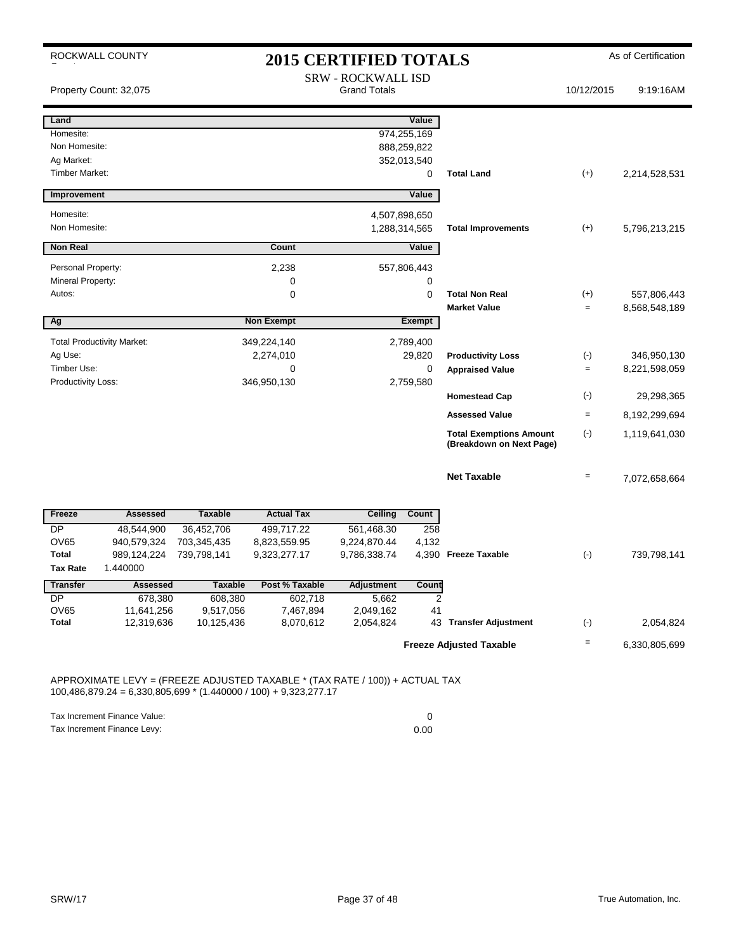|                             | ROCKWALL COUNTY                   |                         |                        | <b>2015 CERTIFIED TOTALS</b>                     |                |                                                            |                   | As of Certification |
|-----------------------------|-----------------------------------|-------------------------|------------------------|--------------------------------------------------|----------------|------------------------------------------------------------|-------------------|---------------------|
|                             | Property Count: 32,075            |                         |                        | <b>SRW - ROCKWALL ISD</b><br><b>Grand Totals</b> |                |                                                            | 10/12/2015        | 9:19:16AM           |
| Land                        |                                   |                         |                        |                                                  | Value          |                                                            |                   |                     |
| Homesite:                   |                                   |                         |                        |                                                  | 974,255,169    |                                                            |                   |                     |
| Non Homesite:               |                                   |                         |                        |                                                  | 888,259,822    |                                                            |                   |                     |
| Ag Market:                  |                                   |                         |                        |                                                  | 352,013,540    |                                                            |                   |                     |
| Timber Market:              |                                   |                         |                        |                                                  | 0              | <b>Total Land</b>                                          | $(+)$             | 2,214,528,531       |
| Improvement                 |                                   |                         |                        |                                                  | Value          |                                                            |                   |                     |
| Homesite:                   |                                   |                         |                        | 4,507,898,650                                    |                |                                                            |                   |                     |
| Non Homesite:               |                                   |                         |                        |                                                  | 1,288,314,565  | <b>Total Improvements</b>                                  | $(+)$             | 5,796,213,215       |
| <b>Non Real</b>             |                                   |                         | Count                  |                                                  | Value          |                                                            |                   |                     |
| Personal Property:          |                                   |                         | 2,238                  |                                                  | 557,806,443    |                                                            |                   |                     |
| Mineral Property:           |                                   |                         | 0                      |                                                  | 0              |                                                            |                   |                     |
| Autos:                      |                                   |                         | 0                      |                                                  | 0              | <b>Total Non Real</b>                                      | $(+)$             | 557,806,443         |
|                             |                                   |                         |                        |                                                  |                | <b>Market Value</b>                                        | $=$               | 8,568,548,189       |
| Ag                          |                                   |                         | <b>Non Exempt</b>      |                                                  | <b>Exempt</b>  |                                                            |                   |                     |
|                             | <b>Total Productivity Market:</b> |                         | 349,224,140            |                                                  | 2,789,400      |                                                            |                   |                     |
| Ag Use:                     |                                   |                         | 2,274,010              |                                                  | 29,820         | <b>Productivity Loss</b>                                   | $(\text{-})$      | 346,950,130         |
| Timber Use:                 |                                   |                         | 0                      |                                                  | 0              | <b>Appraised Value</b>                                     | $=$               | 8,221,598,059       |
| Productivity Loss:          |                                   |                         | 346,950,130            |                                                  | 2,759,580      |                                                            |                   |                     |
|                             |                                   |                         |                        |                                                  |                | <b>Homestead Cap</b>                                       | $(-)$             | 29,298,365          |
|                             |                                   |                         |                        |                                                  |                | <b>Assessed Value</b>                                      | $=$               | 8,192,299,694       |
|                             |                                   |                         |                        |                                                  |                | <b>Total Exemptions Amount</b><br>(Breakdown on Next Page) | $(-)$             | 1,119,641,030       |
|                             |                                   |                         |                        |                                                  |                | <b>Net Taxable</b>                                         | $\qquad \qquad =$ | 7,072,658,664       |
| Freeze                      | <b>Assessed</b>                   | <b>Taxable</b>          | <b>Actual Tax</b>      | <b>Ceiling</b>                                   | Count          |                                                            |                   |                     |
| $\overline{DP}$             | 48,544,900                        | 36,452,706              | 499,717.22             | 561,468.30                                       | 258            |                                                            |                   |                     |
| <b>OV65</b>                 | 940,579,324                       | 703,345,435             | 8,823,559.95           | 9,224,870.44                                     | 4,132          |                                                            |                   |                     |
| Total                       | 989,124,224                       | 739,798,141             | 9,323,277.17           | 9,786,338.74                                     |                | 4,390 Freeze Taxable                                       | $(\cdot)$         | 739,798,141         |
| <b>Tax Rate</b>             | 1.440000                          |                         |                        |                                                  |                |                                                            |                   |                     |
| <b>Transfer</b>             | <b>Assessed</b>                   | <b>Taxable</b>          | Post % Taxable         | <b>Adjustment</b>                                | Count          |                                                            |                   |                     |
| <b>DP</b>                   | 678,380                           | 608,380                 | 602,718                | 5,662                                            | $\overline{2}$ |                                                            |                   |                     |
| <b>OV65</b><br><b>Total</b> | 11,641,256<br>12,319,636          | 9,517,056<br>10,125,436 | 7,467,894<br>8,070,612 | 2,049,162<br>2,054,824                           | 41             | 43 Transfer Adjustment                                     | $(-)$             | 2,054,824           |
|                             |                                   |                         |                        |                                                  |                |                                                            |                   |                     |
|                             |                                   |                         |                        |                                                  |                | <b>Freeze Adjusted Taxable</b>                             | $\qquad \qquad =$ | 6,330,805,699       |

APPROXIMATE LEVY = (FREEZE ADJUSTED TAXABLE \* (TAX RATE / 100)) + ACTUAL TAX 100,486,879.24 = 6,330,805,699 \* (1.440000 / 100) + 9,323,277.17

Tax Increment Finance Value: 0 Tax Increment Finance Levy: 0.00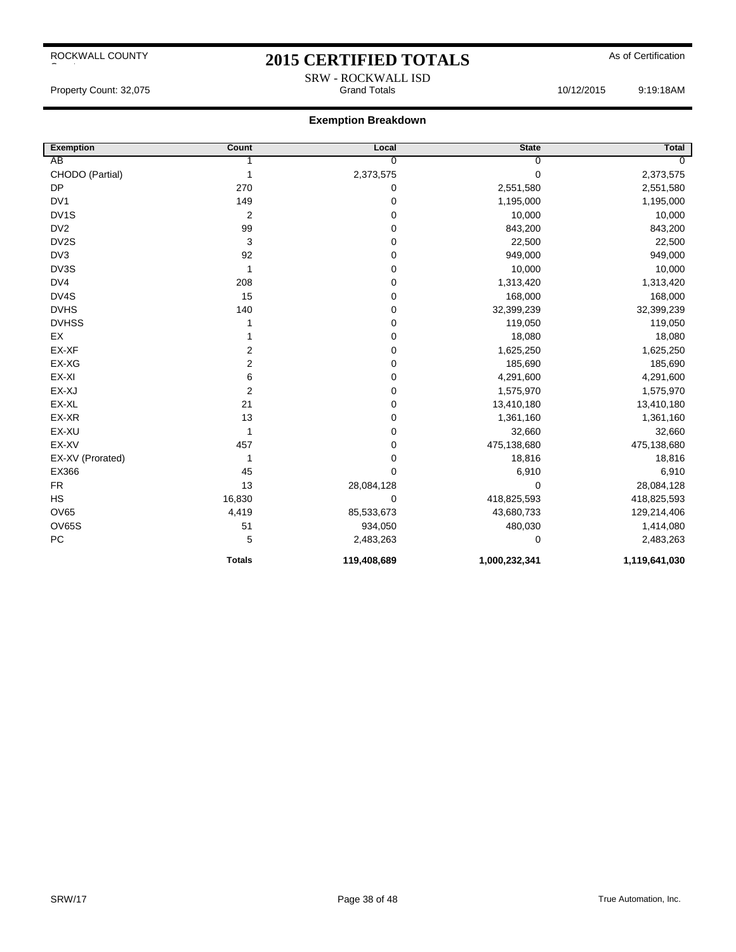## 2015 CERTIFIED TOTALS As of Certification SRW - ROCKWALL ISD

Property Count: 32,075 Grand Totals 10/12/2015 9:19:18AM

| <b>Exemption</b>  | Count                   | Local          | <b>State</b>  | Total         |
|-------------------|-------------------------|----------------|---------------|---------------|
| AB                |                         | $\overline{0}$ | $\Omega$      | $\Omega$      |
| CHODO (Partial)   | 1                       | 2,373,575      | 0             | 2,373,575     |
| <b>DP</b>         | 270                     | 0              | 2,551,580     | 2,551,580     |
| DV <sub>1</sub>   | 149                     | 0              | 1,195,000     | 1,195,000     |
| DV <sub>1</sub> S | $\overline{c}$          | 0              | 10,000        | 10,000        |
| DV <sub>2</sub>   | 99                      | 0              | 843,200       | 843,200       |
| DV2S              | 3                       | 0              | 22,500        | 22,500        |
| DV3               | 92                      | 0              | 949,000       | 949,000       |
| DV3S              | 1                       | 0              | 10,000        | 10,000        |
| DV4               | 208                     | 0              | 1,313,420     | 1,313,420     |
| DV4S              | 15                      | 0              | 168,000       | 168,000       |
| <b>DVHS</b>       | 140                     | 0              | 32,399,239    | 32,399,239    |
| <b>DVHSS</b>      |                         | 0              | 119,050       | 119,050       |
| EX                |                         | 0              | 18,080        | 18,080        |
| EX-XF             | $\overline{\mathbf{c}}$ | 0              | 1,625,250     | 1,625,250     |
| EX-XG             | $\overline{2}$          | 0              | 185,690       | 185,690       |
| EX-XI             | 6                       | 0              | 4,291,600     | 4,291,600     |
| EX-XJ             | $\overline{2}$          | 0              | 1,575,970     | 1,575,970     |
| EX-XL             | 21                      | 0              | 13,410,180    | 13,410,180    |
| EX-XR             | 13                      | 0              | 1,361,160     | 1,361,160     |
| EX-XU             | 1                       | 0              | 32,660        | 32,660        |
| EX-XV             | 457                     | 0              | 475,138,680   | 475,138,680   |
| EX-XV (Prorated)  | 1                       | 0              | 18,816        | 18,816        |
| EX366             | 45                      | 0              | 6,910         | 6,910         |
| <b>FR</b>         | 13                      | 28,084,128     | 0             | 28,084,128    |
| <b>HS</b>         | 16,830                  | 0              | 418,825,593   | 418,825,593   |
| <b>OV65</b>       | 4,419                   | 85,533,673     | 43,680,733    | 129,214,406   |
| <b>OV65S</b>      | 51                      | 934,050        | 480,030       | 1,414,080     |
| PC                | 5                       | 2,483,263      | 0             | 2,483,263     |
|                   | <b>Totals</b>           | 119,408,689    | 1,000,232,341 | 1,119,641,030 |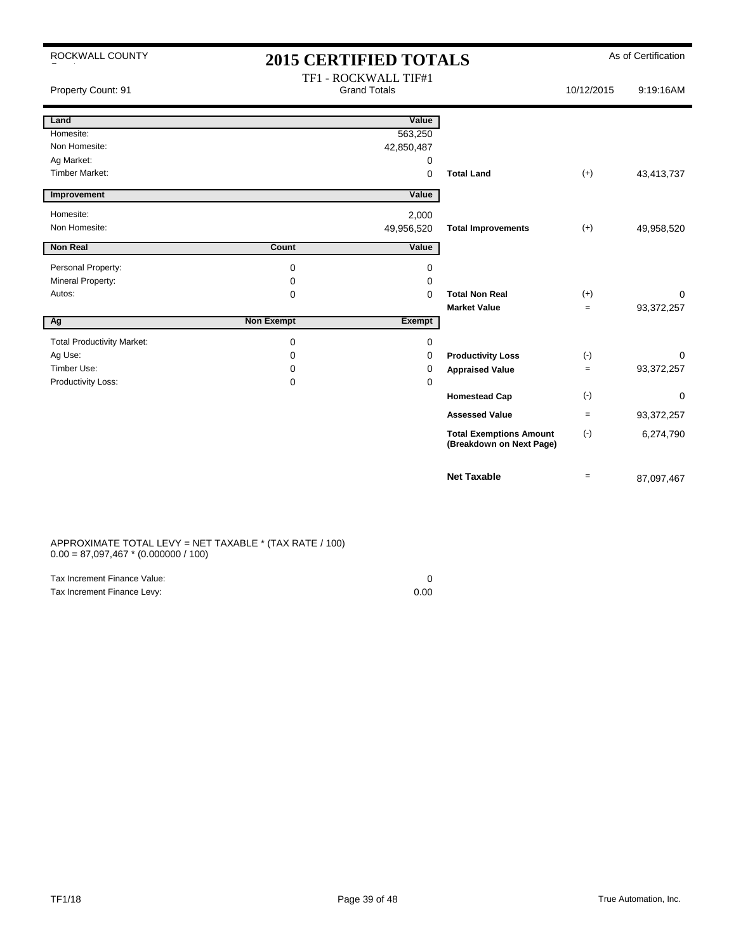| ROCKWALL COUNTY                   | <b>2015 CERTIFIED TOTALS</b> |                                             |                                                            | As of Certification |            |
|-----------------------------------|------------------------------|---------------------------------------------|------------------------------------------------------------|---------------------|------------|
| Property Count: 91                |                              | TF1 - ROCKWALL TIF#1<br><b>Grand Totals</b> |                                                            | 10/12/2015          | 9:19:16AM  |
| Land                              |                              | Value                                       |                                                            |                     |            |
| Homesite:                         |                              | 563,250                                     |                                                            |                     |            |
| Non Homesite:                     |                              | 42,850,487                                  |                                                            |                     |            |
| Ag Market:                        |                              | 0                                           |                                                            |                     |            |
| <b>Timber Market:</b>             |                              | $\mathbf 0$                                 | <b>Total Land</b>                                          | $(+)$               | 43,413,737 |
| Improvement                       |                              | Value                                       |                                                            |                     |            |
| Homesite:                         |                              | 2,000                                       |                                                            |                     |            |
| Non Homesite:                     |                              | 49,956,520                                  | <b>Total Improvements</b>                                  | $(+)$               | 49,958,520 |
| <b>Non Real</b>                   | Count                        | Value                                       |                                                            |                     |            |
| Personal Property:                | 0                            | 0                                           |                                                            |                     |            |
| Mineral Property:                 | 0                            | $\Omega$                                    |                                                            |                     |            |
| Autos:                            | 0                            | $\Omega$                                    | <b>Total Non Real</b>                                      | $(+)$               | $\Omega$   |
|                                   |                              |                                             | <b>Market Value</b>                                        | $=$                 | 93,372,257 |
| Ag                                | <b>Non Exempt</b>            | Exempt                                      |                                                            |                     |            |
| <b>Total Productivity Market:</b> | 0                            | 0                                           |                                                            |                     |            |
| Ag Use:                           | 0                            | 0                                           | <b>Productivity Loss</b>                                   | $(-)$               | 0          |
| Timber Use:                       | 0                            | 0                                           | <b>Appraised Value</b>                                     | $\qquad \qquad =$   | 93,372,257 |
| <b>Productivity Loss:</b>         | 0                            | 0                                           |                                                            |                     |            |
|                                   |                              |                                             | <b>Homestead Cap</b>                                       | $(\cdot)$           | 0          |
|                                   |                              |                                             | <b>Assessed Value</b>                                      | $=$                 | 93,372,257 |
|                                   |                              |                                             | <b>Total Exemptions Amount</b><br>(Breakdown on Next Page) | $(\cdot)$           | 6,274,790  |
|                                   |                              |                                             | <b>Net Taxable</b>                                         | $\qquad \qquad =$   | 87,097,467 |

#### APPROXIMATE TOTAL LEVY = NET TAXABLE \* (TAX RATE / 100)  $0.00 = 87,097,467 * (0.000000 / 100)$

| Tax Increment Finance Value: |      |
|------------------------------|------|
| Tax Increment Finance Levy:  | 0.00 |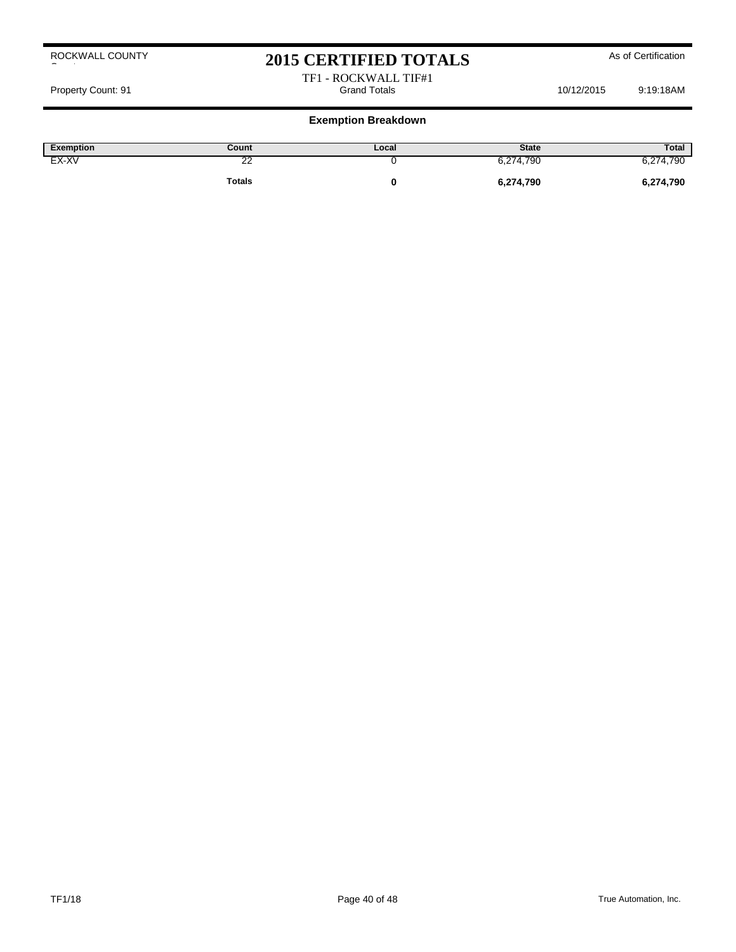# 2015 CERTIFIED TOTALS As of Certification

TF1 - ROCKWALL TIF#1 Property Count: 91 Cross Count: 91 Cross Crame Count: 91 Grand Totals 10/12/2015 9:19:18AM

### **Exemption Breakdown**

| Exemption | Count         | Local | <b>State</b> | Total     |
|-----------|---------------|-------|--------------|-----------|
| EX-XV     | ç<br>~        |       | 6,274,790    | 6,274,790 |
|           | <b>Totals</b> |       | 6,274,790    | 6,274,790 |

ROCKWALL COUNTY

County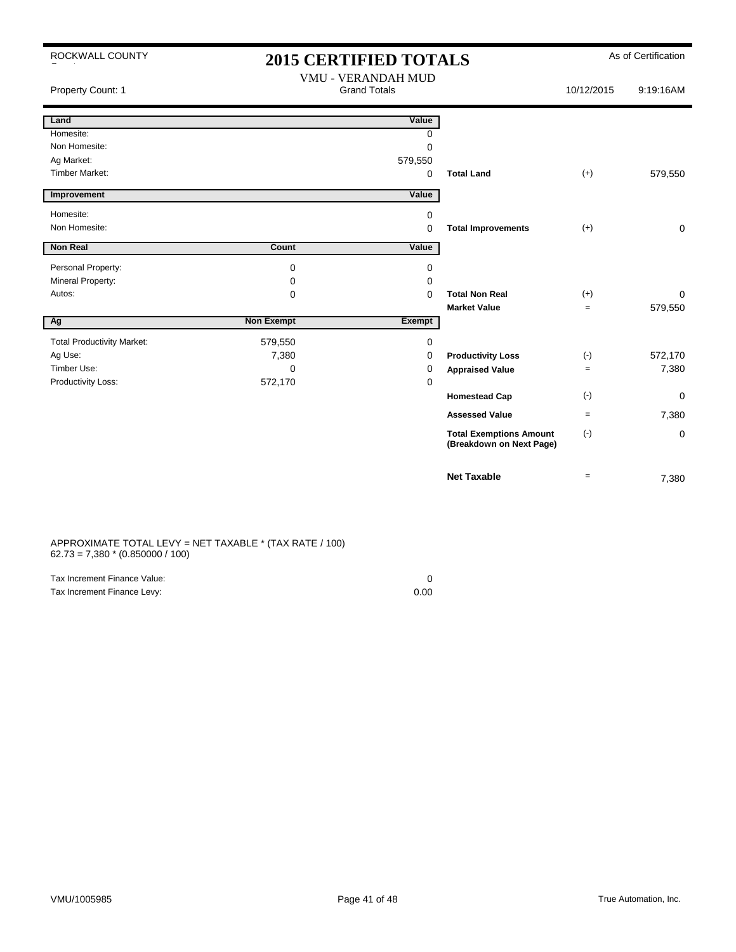| ROCKWALL COUNTY                   | <b>2015 CERTIFIED TOTALS</b> |                                                  |                                                            |            | As of Certification |
|-----------------------------------|------------------------------|--------------------------------------------------|------------------------------------------------------------|------------|---------------------|
| Property Count: 1                 |                              | <b>VMU - VERANDAH MUD</b><br><b>Grand Totals</b> |                                                            | 10/12/2015 | 9:19:16AM           |
| Land                              |                              | Value                                            |                                                            |            |                     |
| Homesite:                         |                              | <sup>0</sup>                                     |                                                            |            |                     |
| Non Homesite:                     |                              | 0                                                |                                                            |            |                     |
| Ag Market:                        |                              | 579,550                                          |                                                            |            |                     |
| <b>Timber Market:</b>             |                              | $\Omega$                                         | <b>Total Land</b>                                          | $(+)$      | 579,550             |
| Improvement                       |                              | Value                                            |                                                            |            |                     |
| Homesite:                         |                              | 0                                                |                                                            |            |                     |
| Non Homesite:                     |                              | 0                                                | <b>Total Improvements</b>                                  | $(+)$      | 0                   |
| Non Real                          | Count                        | Value                                            |                                                            |            |                     |
| Personal Property:                | 0                            | 0                                                |                                                            |            |                     |
| Mineral Property:                 | 0                            | 0                                                |                                                            |            |                     |
| Autos:                            | $\Omega$                     | 0                                                | <b>Total Non Real</b>                                      | $(+)$      | $\Omega$            |
|                                   |                              |                                                  | <b>Market Value</b>                                        | $=$        | 579,550             |
| Ag                                | <b>Non Exempt</b>            | <b>Exempt</b>                                    |                                                            |            |                     |
| <b>Total Productivity Market:</b> | 579,550                      | 0                                                |                                                            |            |                     |
| Ag Use:                           | 7,380                        | 0                                                | <b>Productivity Loss</b>                                   | $(-)$      | 572,170             |
| Timber Use:                       | $\Omega$                     | 0                                                | <b>Appraised Value</b>                                     | $=$        | 7,380               |
| Productivity Loss:                | 572,170                      | 0                                                |                                                            |            |                     |
|                                   |                              |                                                  | <b>Homestead Cap</b>                                       | $(-)$      | 0                   |
|                                   |                              |                                                  | <b>Assessed Value</b>                                      | $=$        | 7,380               |
|                                   |                              |                                                  | <b>Total Exemptions Amount</b><br>(Breakdown on Next Page) | $(-)$      | 0                   |

APPROXIMATE TOTAL LEVY = NET TAXABLE \* (TAX RATE / 100) 62.73 = 7,380 \* (0.850000 / 100)

| Tax Increment Finance Value: |      |
|------------------------------|------|
| Tax Increment Finance Levy:  | 0.00 |

**Net Taxable**  $\qquad \qquad = \qquad \qquad \qquad 7,380$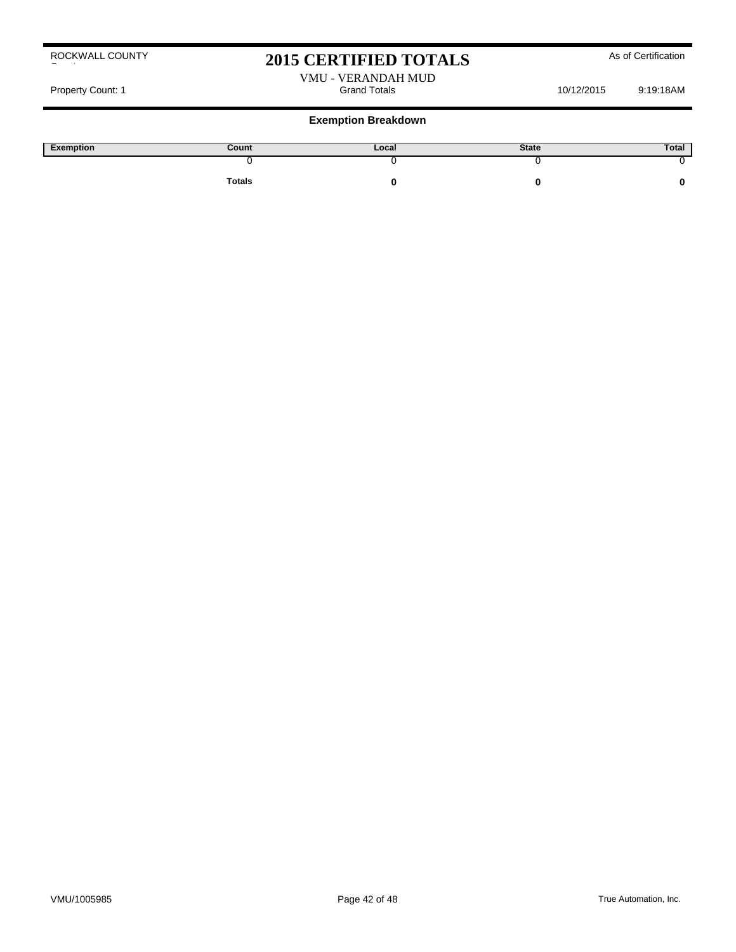County

ROCKWALL COUNTY

## 2015 CERTIFIED TOTALS As of Certification

VMU - VERANDAH MUD

Property Count: 1 and Totals Count: 1 and Totals 10/12/2015 9:19:18AM

| Exemption | Count         | Local | <b>State</b> | Total |
|-----------|---------------|-------|--------------|-------|
|           |               |       |              |       |
|           | <b>Totals</b> |       |              |       |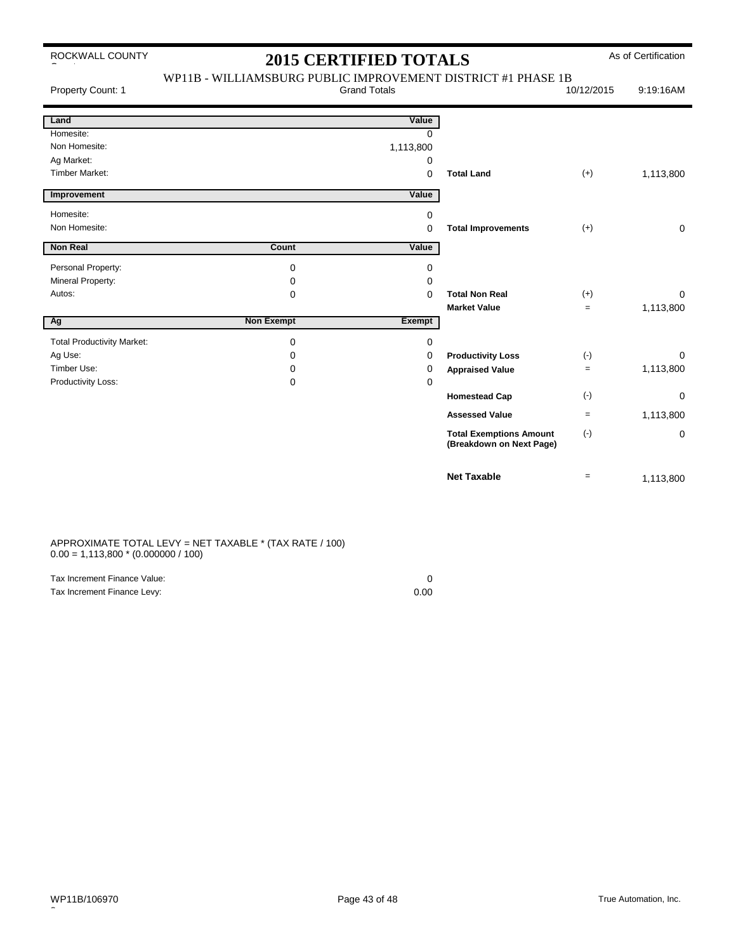# 2015 CERTIFIED TOTALS As of Certification

| Property Count: 1                 | WP11B - WILLIAMSBURG PUBLIC IMPROVEMENT DISTRICT #1 PHASE 1B | <b>Grand Totals</b> |                                                            | 10/12/2015 | 9:19:16AM   |
|-----------------------------------|--------------------------------------------------------------|---------------------|------------------------------------------------------------|------------|-------------|
| Land                              |                                                              | Value               |                                                            |            |             |
| Homesite:                         |                                                              | $\Omega$            |                                                            |            |             |
| Non Homesite:                     |                                                              | 1,113,800           |                                                            |            |             |
| Ag Market:                        |                                                              | 0                   |                                                            |            |             |
| <b>Timber Market:</b>             |                                                              | $\mathbf 0$         | <b>Total Land</b>                                          | $(+)$      | 1,113,800   |
| Improvement                       |                                                              | Value               |                                                            |            |             |
| Homesite:                         |                                                              | 0                   |                                                            |            |             |
| Non Homesite:                     |                                                              | 0                   | <b>Total Improvements</b>                                  | $(+)$      | $\mathbf 0$ |
| <b>Non Real</b>                   | <b>Count</b>                                                 | Value               |                                                            |            |             |
| Personal Property:                | 0                                                            | 0                   |                                                            |            |             |
| Mineral Property:                 | 0                                                            | 0                   |                                                            |            |             |
| Autos:                            | 0                                                            | 0                   | <b>Total Non Real</b>                                      | $(+)$      | $\Omega$    |
|                                   |                                                              |                     | <b>Market Value</b>                                        | $=$        | 1,113,800   |
| Ag                                | <b>Non Exempt</b>                                            | <b>Exempt</b>       |                                                            |            |             |
| <b>Total Productivity Market:</b> | 0                                                            | 0                   |                                                            |            |             |
| Ag Use:                           | 0                                                            | 0                   | <b>Productivity Loss</b>                                   | $(\cdot)$  | 0           |
| Timber Use:                       | 0                                                            | 0                   | <b>Appraised Value</b>                                     | $=$        | 1,113,800   |
| Productivity Loss:                | $\Omega$                                                     | 0                   |                                                            |            |             |
|                                   |                                                              |                     | <b>Homestead Cap</b>                                       | $(-)$      | 0           |
|                                   |                                                              |                     | <b>Assessed Value</b>                                      | $=$        | 1,113,800   |
|                                   |                                                              |                     | <b>Total Exemptions Amount</b><br>(Breakdown on Next Page) | $(\cdot)$  | $\mathbf 0$ |
|                                   |                                                              |                     | <b>Net Taxable</b>                                         | $=$        | 1,113,800   |

#### APPROXIMATE TOTAL LEVY = NET TAXABLE \* (TAX RATE / 100)  $0.00 = 1,113,800 * (0.000000 / 100)$

| Tax Increment Finance Value: |      |
|------------------------------|------|
| Tax Increment Finance Levy:  | 0.00 |

 $\overline{a}$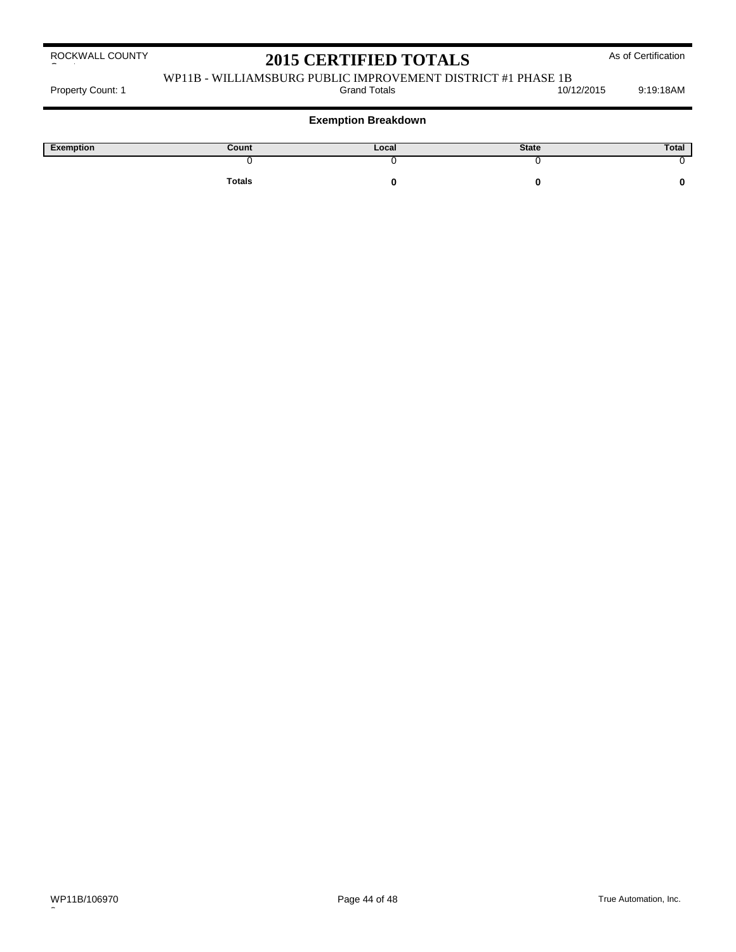# 2015 CERTIFIED TOTALS As of Certification

# WP11B - WILLIAMSBURG PUBLIC IMPROVEMENT DISTRICT #1 PHASE 1B<br>10/12/2015

Property Count: 1 and Totals Count: 1 and Totals 10/12/2015 9:19:18AM

**Exemption Breakdown**

| Exemption | Count         | Local | <b>State</b> | Total |
|-----------|---------------|-------|--------------|-------|
|           |               |       |              |       |
|           | <b>Totals</b> |       |              |       |

 $\overline{a}$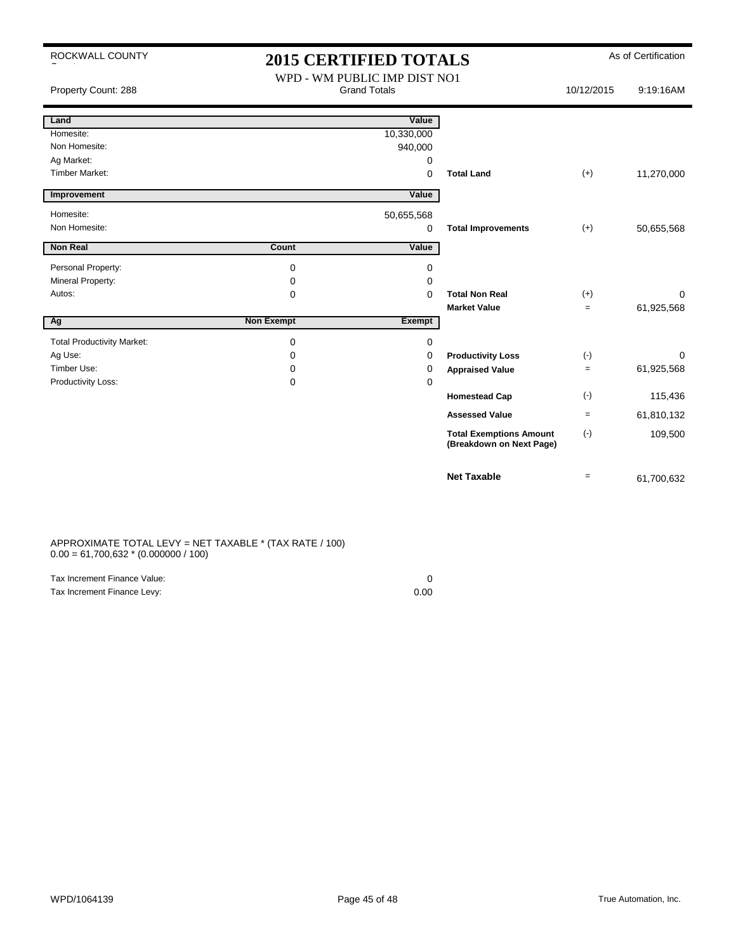| ROCKWALL COUNTY                   | <b>2015 CERTIFIED TOTALS</b>                        |            |                                                            | As of Certification |            |
|-----------------------------------|-----------------------------------------------------|------------|------------------------------------------------------------|---------------------|------------|
| Property Count: 288               | WPD - WM PUBLIC IMP DIST NO1<br><b>Grand Totals</b> |            | 10/12/2015                                                 | 9:19:16AM           |            |
| Land                              |                                                     | Value      |                                                            |                     |            |
| Homesite:                         |                                                     | 10,330,000 |                                                            |                     |            |
| Non Homesite:                     |                                                     | 940,000    |                                                            |                     |            |
| Ag Market:                        |                                                     | 0          |                                                            |                     |            |
| <b>Timber Market:</b>             |                                                     | 0          | <b>Total Land</b>                                          | $(+)$               | 11,270,000 |
| Improvement                       |                                                     | Value      |                                                            |                     |            |
| Homesite:                         |                                                     | 50,655,568 |                                                            |                     |            |
| Non Homesite:                     |                                                     | $\Omega$   | <b>Total Improvements</b>                                  | $(+)$               | 50,655,568 |
| <b>Non Real</b>                   | Count                                               | Value      |                                                            |                     |            |
| Personal Property:                | 0                                                   | 0          |                                                            |                     |            |
| Mineral Property:                 | 0                                                   | 0          |                                                            |                     |            |
| Autos:                            | 0                                                   | 0          | <b>Total Non Real</b>                                      | $(+)$               | 0          |
|                                   |                                                     |            | <b>Market Value</b>                                        | $\equiv$            | 61,925,568 |
| Ag                                | <b>Non Exempt</b>                                   | Exempt     |                                                            |                     |            |
| <b>Total Productivity Market:</b> | 0                                                   | 0          |                                                            |                     |            |
| Ag Use:                           | $\Omega$                                            | 0          | <b>Productivity Loss</b>                                   | $(-)$               | 0          |
| Timber Use:                       | 0                                                   | 0          | <b>Appraised Value</b>                                     | $=$                 | 61,925,568 |
| Productivity Loss:                | 0                                                   | 0          |                                                            |                     |            |
|                                   |                                                     |            | <b>Homestead Cap</b>                                       | $(-)$               | 115,436    |
|                                   |                                                     |            | <b>Assessed Value</b>                                      | $\equiv$            | 61,810,132 |
|                                   |                                                     |            | <b>Total Exemptions Amount</b><br>(Breakdown on Next Page) | $(-)$               | 109,500    |
|                                   |                                                     |            | <b>Net Taxable</b>                                         | $\equiv$            | 61,700,632 |

#### APPROXIMATE TOTAL LEVY = NET TAXABLE \* (TAX RATE / 100)  $0.00 = 61,700,632 * (0.000000 / 100)$

| Tax Increment Finance Value: |      |
|------------------------------|------|
| Tax Increment Finance Levy:  | 0.00 |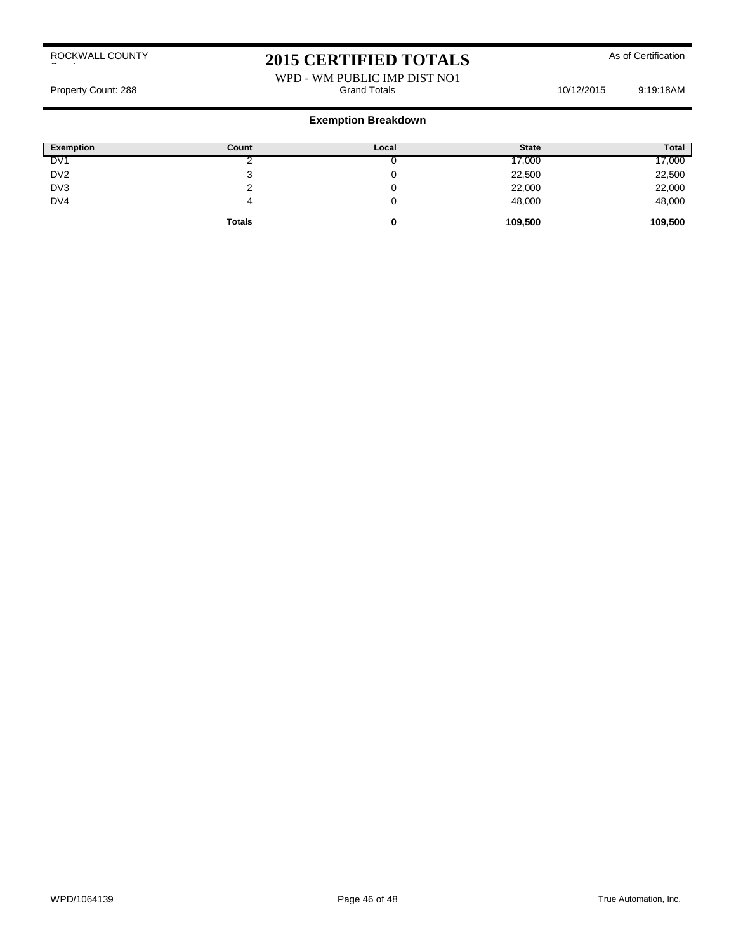# 2015 CERTIFIED TOTALS As of Certification

WPD - WM PUBLIC IMP DIST NO1<br>Grand Totals Property Count: 288 **Property Count: 288** Crand Totals **Grand Totals** 10/12/2015 9:19:18AM

| <b>Exemption</b> | Count         | Local | <b>State</b> | Total   |
|------------------|---------------|-------|--------------|---------|
| DV <sub>1</sub>  |               |       | 17,000       | 17,000  |
| DV <sub>2</sub>  |               |       | 22,500       | 22,500  |
| DV3              |               | u     | 22,000       | 22,000  |
| DV4              | 4             | v     | 48,000       | 48,000  |
|                  | <b>Totals</b> | 0     | 109,500      | 109,500 |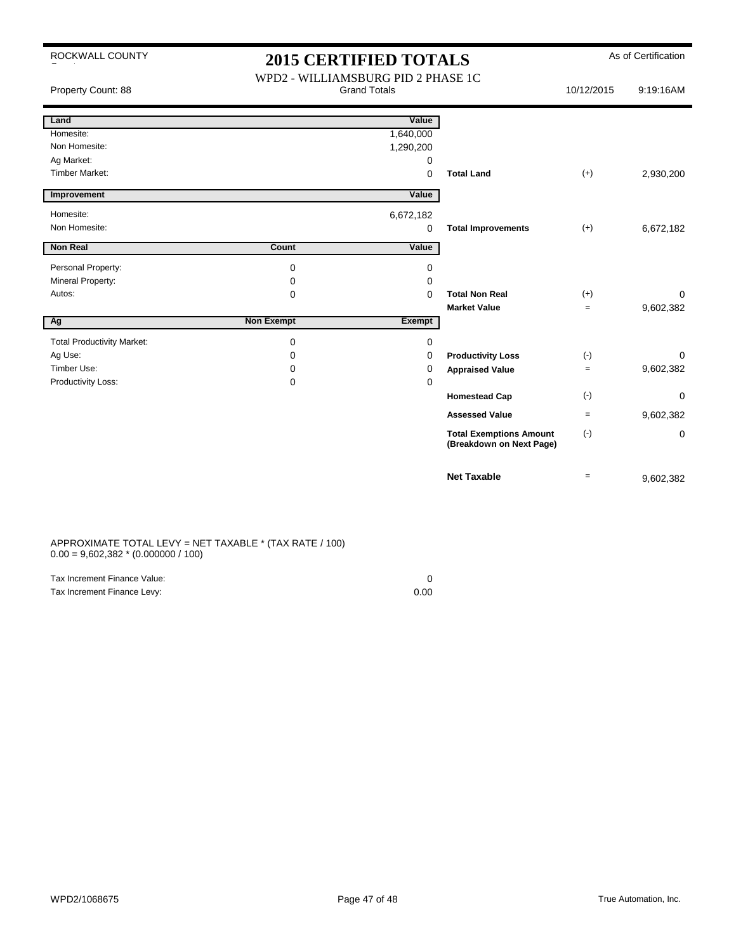|  | ROCKWALL COUNTY |
|--|-----------------|
|  |                 |

## As of Certification **2015 CERTIFIED TOTALS**

| Property Count: 88                | WPD2 - WILLIAMSBURG PID 2 PHASE 1C<br><b>Grand Totals</b> |             | 10/12/2015                                                 | 9:19:16AM         |             |
|-----------------------------------|-----------------------------------------------------------|-------------|------------------------------------------------------------|-------------------|-------------|
| Land                              |                                                           | Value       |                                                            |                   |             |
| Homesite:                         |                                                           | 1,640,000   |                                                            |                   |             |
| Non Homesite:                     |                                                           | 1,290,200   |                                                            |                   |             |
| Ag Market:                        |                                                           | 0           |                                                            |                   |             |
| <b>Timber Market:</b>             |                                                           | $\mathbf 0$ | <b>Total Land</b>                                          | $(+)$             | 2,930,200   |
| Improvement                       |                                                           | Value       |                                                            |                   |             |
| Homesite:                         |                                                           | 6,672,182   |                                                            |                   |             |
| Non Homesite:                     |                                                           | 0           | <b>Total Improvements</b>                                  | $(+)$             | 6,672,182   |
| <b>Non Real</b>                   | Count                                                     | Value       |                                                            |                   |             |
| Personal Property:                | 0                                                         | 0           |                                                            |                   |             |
| Mineral Property:                 | 0                                                         | 0           |                                                            |                   |             |
| Autos:                            | 0                                                         | $\mathbf 0$ | <b>Total Non Real</b>                                      | $(+)$             | 0           |
|                                   |                                                           |             | <b>Market Value</b>                                        | $=$               | 9,602,382   |
| Ag                                | <b>Non Exempt</b>                                         | Exempt      |                                                            |                   |             |
| <b>Total Productivity Market:</b> | 0                                                         | 0           |                                                            |                   |             |
| Ag Use:                           | 0                                                         | 0           | <b>Productivity Loss</b>                                   | $(-)$             | 0           |
| Timber Use:                       | 0                                                         | $\Omega$    | <b>Appraised Value</b>                                     | $\equiv$          | 9,602,382   |
| Productivity Loss:                | 0                                                         | 0           |                                                            |                   |             |
|                                   |                                                           |             | <b>Homestead Cap</b>                                       | $(-)$             | $\mathbf 0$ |
|                                   |                                                           |             | <b>Assessed Value</b>                                      | $\qquad \qquad =$ | 9,602,382   |
|                                   |                                                           |             | <b>Total Exemptions Amount</b><br>(Breakdown on Next Page) | $(-)$             | 0           |
|                                   |                                                           |             | <b>Net Taxable</b>                                         | $=$               | 9,602,382   |

#### APPROXIMATE TOTAL LEVY = NET TAXABLE \* (TAX RATE / 100)  $0.00 = 9{,}602{,}382 * (0.000000 / 100)$

| Tax Increment Finance Value: |      |
|------------------------------|------|
| Tax Increment Finance Levy:  | 0.00 |